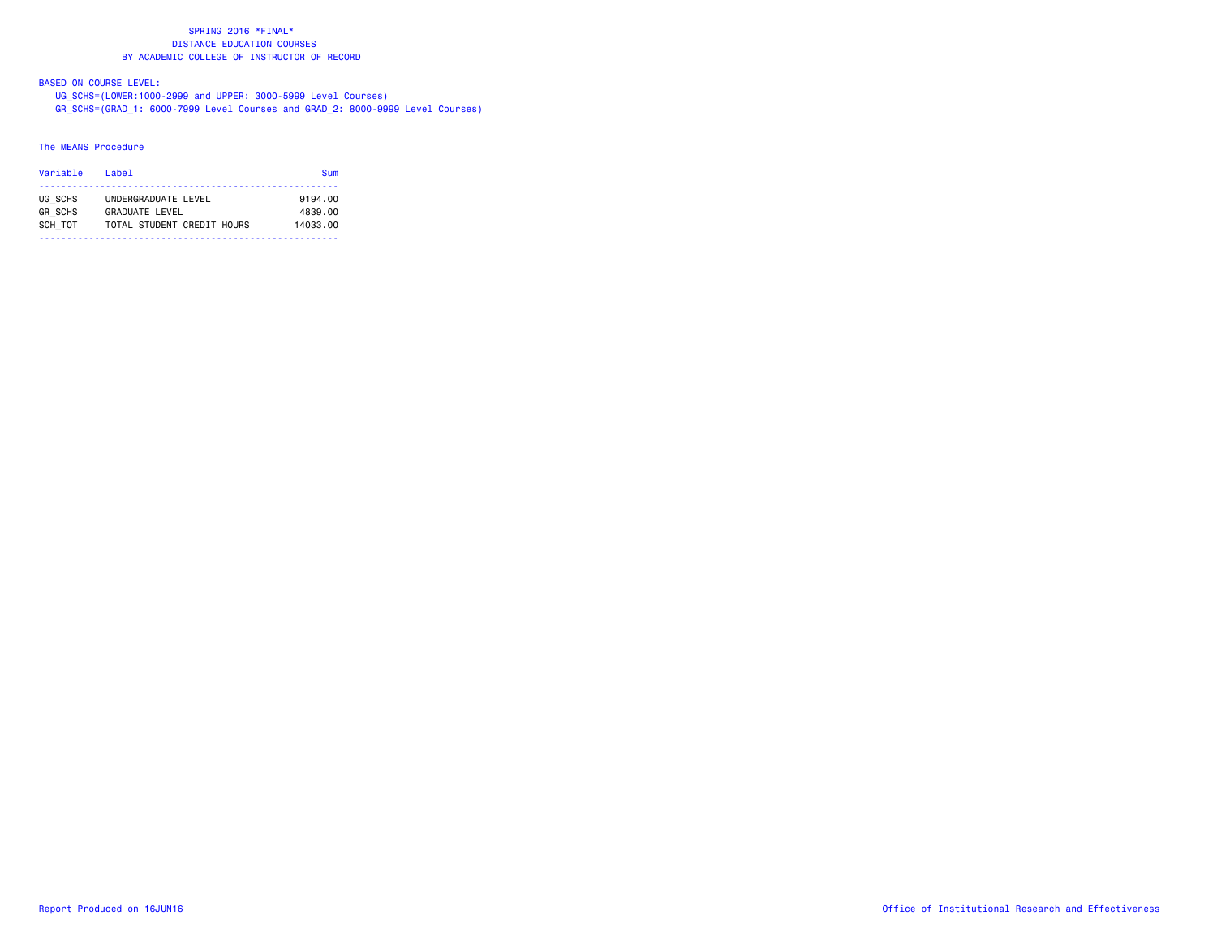### BASED ON COURSE LEVEL:

 UG\_SCHS=(LOWER:1000-2999 and UPPER: 3000-5999 Level Courses) GR\_SCHS=(GRAD\_1: 6000-7999 Level Courses and GRAD\_2: 8000-9999 Level Courses)

#### The MEANS Procedure

| Variable       | l ahel                     | Sum      |
|----------------|----------------------------|----------|
| UG SCHS        | UNDERGRADUATE LEVEL        | 9194.00  |
| <b>GR SCHS</b> | GRADUATE LEVEL             | 4839.00  |
| SCH TOT        | TOTAL STUDENT CREDIT HOURS | 14033.00 |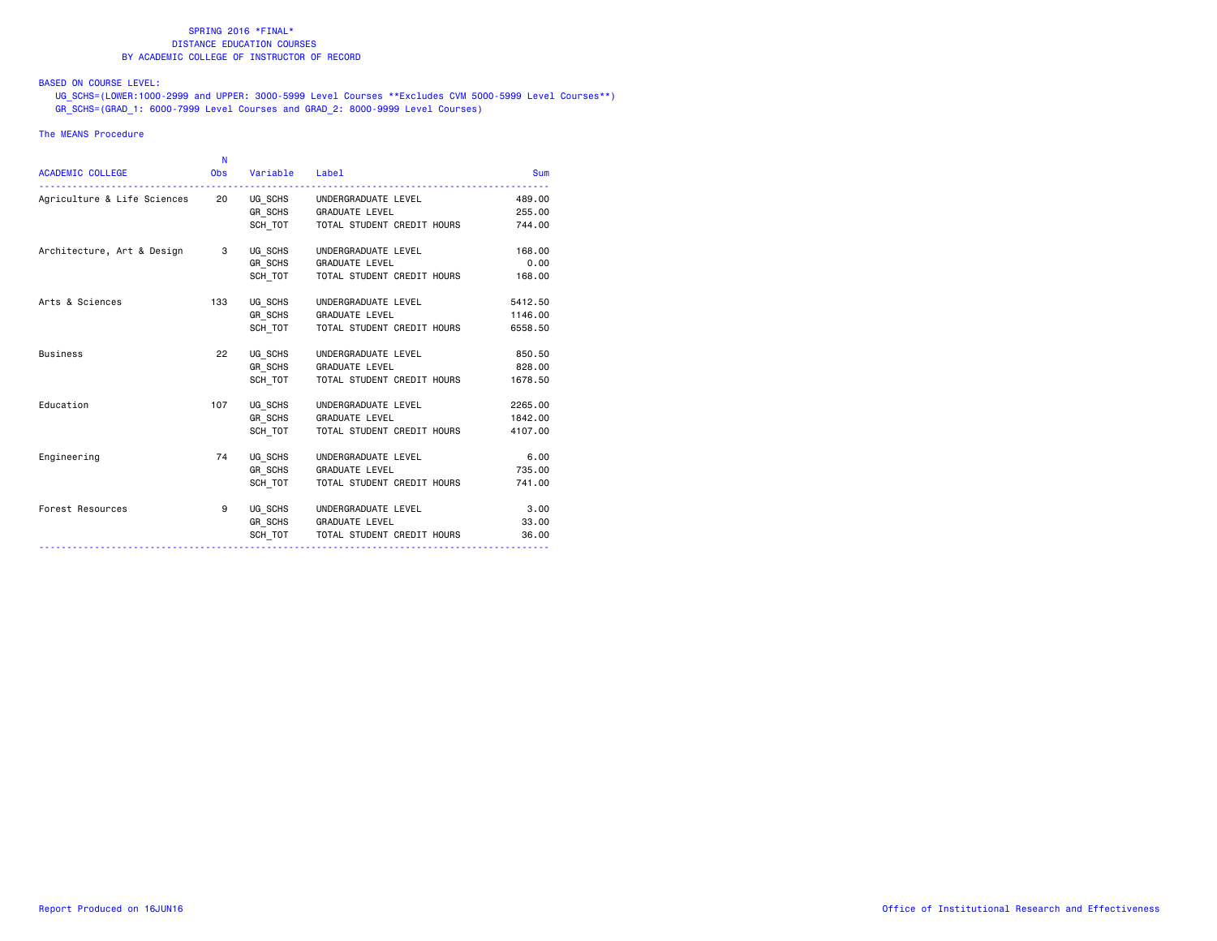### BASED ON COURSE LEVEL:

 UG\_SCHS=(LOWER:1000-2999 and UPPER: 3000-5999 Level Courses \*\*Excludes CVM 5000-5999 Level Courses\*\*) GR\_SCHS=(GRAD\_1: 6000-7999 Level Courses and GRAD\_2: 8000-9999 Level Courses)

#### The MEANS Procedure

|                            | N          |                |                                      |            |
|----------------------------|------------|----------------|--------------------------------------|------------|
| <b>ACADEMIC COLLEGE</b>    | <b>Obs</b> | Variable Label |                                      | <b>Sum</b> |
|                            |            |                |                                      | 489.00     |
|                            |            |                | GR SCHS GRADUATE LEVEL               | 255.00     |
|                            |            | SCH TOT        | TOTAL STUDENT CREDIT HOURS           | 744.00     |
| Architecture, Art & Design | 3          | UG SCHS        | UNDERGRADUATE LEVEL                  | 168,00     |
|                            |            | GR SCHS        | <b>GRADUATE LEVEL</b>                | 0.00       |
|                            |            | SCH TOT        | TOTAL STUDENT CREDIT HOURS           | 168.00     |
| Arts & Sciences            | 133        | UG SCHS        | UNDERGRADUATE LEVEL                  | 5412.50    |
|                            |            |                | GR SCHS GRADUATE LEVEL               | 1146.00    |
|                            |            | SCH TOT        | TOTAL STUDENT CREDIT HOURS           | 6558.50    |
| <b>Business</b>            | 22         |                | UG SCHS UNDERGRADUATE LEVEL          | 850.50     |
|                            |            |                | GR_SCHS GRADUATE LEVEL               | 828.00     |
|                            |            | SCH TOT        | TOTAL STUDENT CREDIT HOURS           | 1678.50    |
| Education                  | 107        |                | UG SCHS UNDERGRADUATE LEVEL          | 2265.00    |
|                            |            |                | GR_SCHS GRADUATE LEVEL               | 1842.00    |
|                            |            | SCH TOT        | TOTAL STUDENT CREDIT HOURS           | 4107.00    |
| Engineering                | 74         | UG SCHS        | UNDERGRADUATE LEVEL                  | 6.00       |
|                            |            |                | GR SCHS GRADUATE LEVEL               | 735.00     |
|                            |            | SCH TOT        | TOTAL STUDENT CREDIT HOURS           | 741.00     |
| Forest Resources           | 9          |                | UG SCHS UNDERGRADUATE LEVEL          | 3.00       |
|                            |            |                | GR SCHS GRADUATE LEVEL               | 33,00      |
|                            |            |                | SCH TOT   TOTAL STUDENT CREDIT HOURS | 36.00      |
|                            |            |                |                                      |            |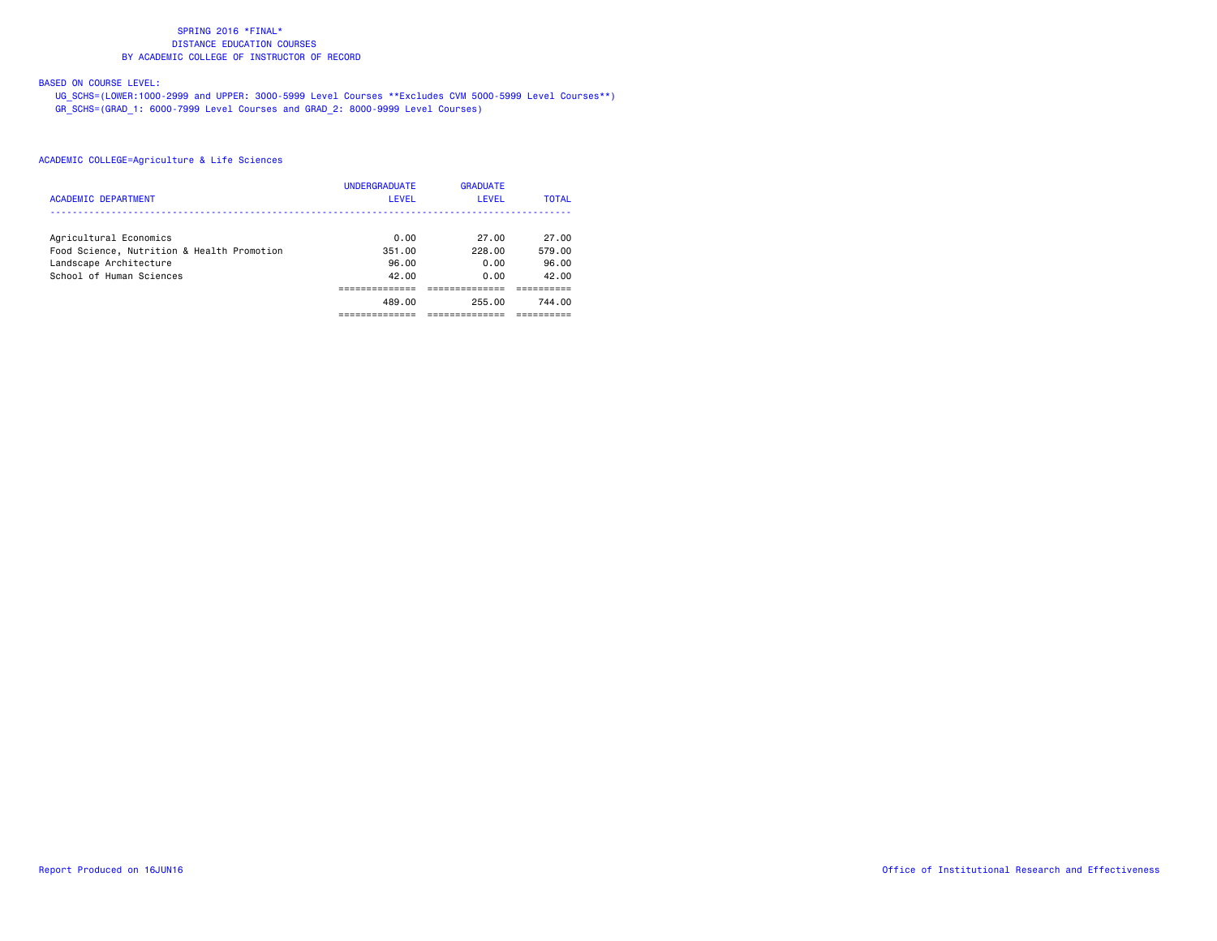### BASED ON COURSE LEVEL:

 UG\_SCHS=(LOWER:1000-2999 and UPPER: 3000-5999 Level Courses \*\*Excludes CVM 5000-5999 Level Courses\*\*) GR\_SCHS=(GRAD\_1: 6000-7999 Level Courses and GRAD\_2: 8000-9999 Level Courses)

|                                            | <b>UNDERGRADUATE</b> | <b>GRADUATE</b> |              |
|--------------------------------------------|----------------------|-----------------|--------------|
| <b>ACADEMIC DEPARTMENT</b>                 | <b>LEVEL</b>         | <b>LEVEL</b>    | <b>TOTAL</b> |
|                                            |                      |                 |              |
| Agricultural Economics                     | 0.00                 | 27.00           | 27.00        |
| Food Science, Nutrition & Health Promotion | 351.00               | 228.00          | 579.00       |
| Landscape Architecture                     | 96.00                | 0.00            | 96.00        |
| School of Human Sciences                   | 42.00                | 0.00            | 42.00        |
|                                            |                      |                 |              |
|                                            | 489.00               | 255.00          | 744.00       |
|                                            |                      |                 |              |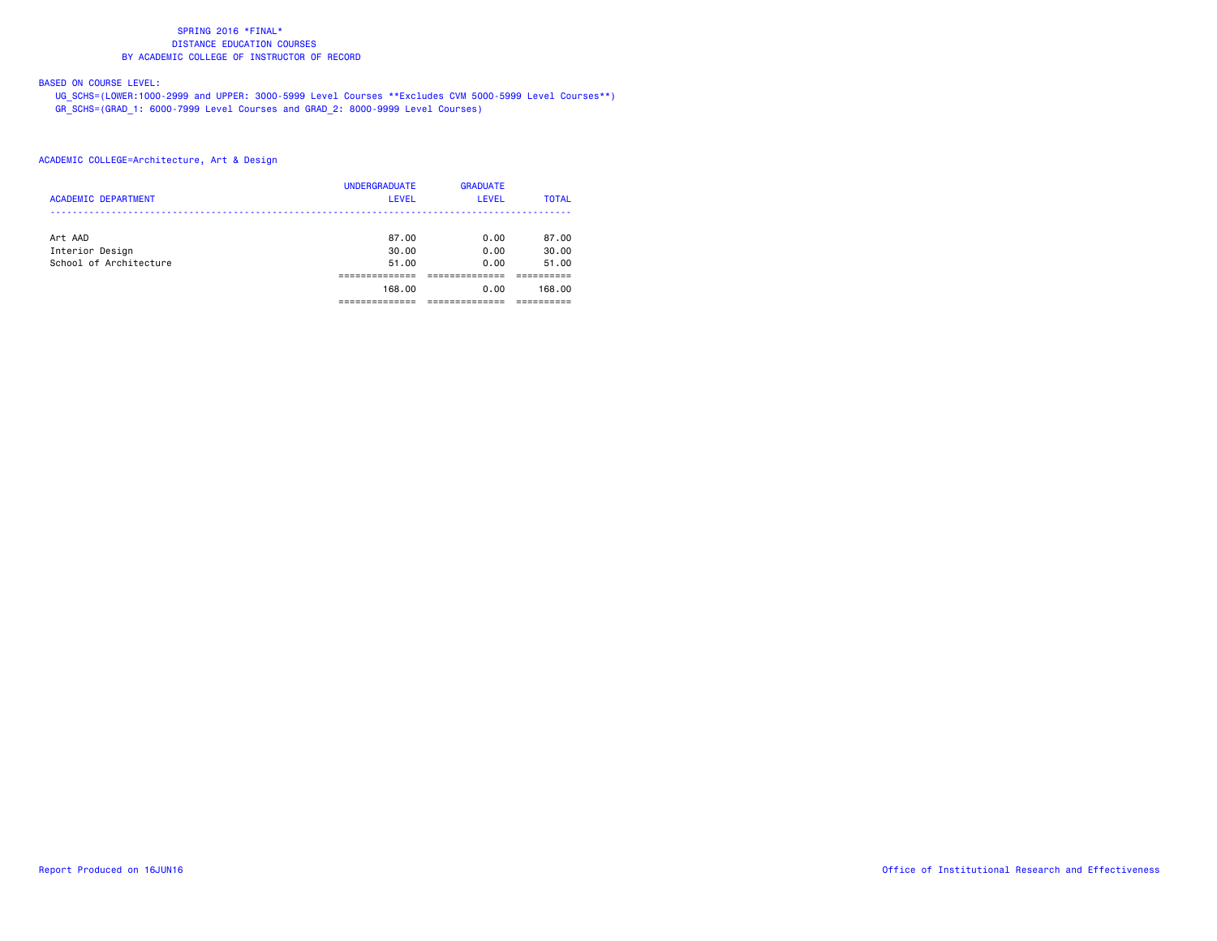### BASED ON COURSE LEVEL:

 UG\_SCHS=(LOWER:1000-2999 and UPPER: 3000-5999 Level Courses \*\*Excludes CVM 5000-5999 Level Courses\*\*) GR\_SCHS=(GRAD\_1: 6000-7999 Level Courses and GRAD\_2: 8000-9999 Level Courses)

| <b>ACADEMIC DEPARTMENT</b> | <b>UNDERGRADUATE</b><br><b>LEVEL</b> | <b>GRADUATE</b><br><b>LEVEL</b> | <b>TOTAL</b> |
|----------------------------|--------------------------------------|---------------------------------|--------------|
| Art AAD                    | 87.00                                | 0.00                            | 87.00        |
| Interior Design            | 30.00                                | 0.00                            | 30.00        |
| School of Architecture     | 51.00                                | 0.00                            | 51.00        |
|                            |                                      |                                 |              |
|                            | 168,00                               | 0.00                            | 168,00       |
|                            |                                      |                                 |              |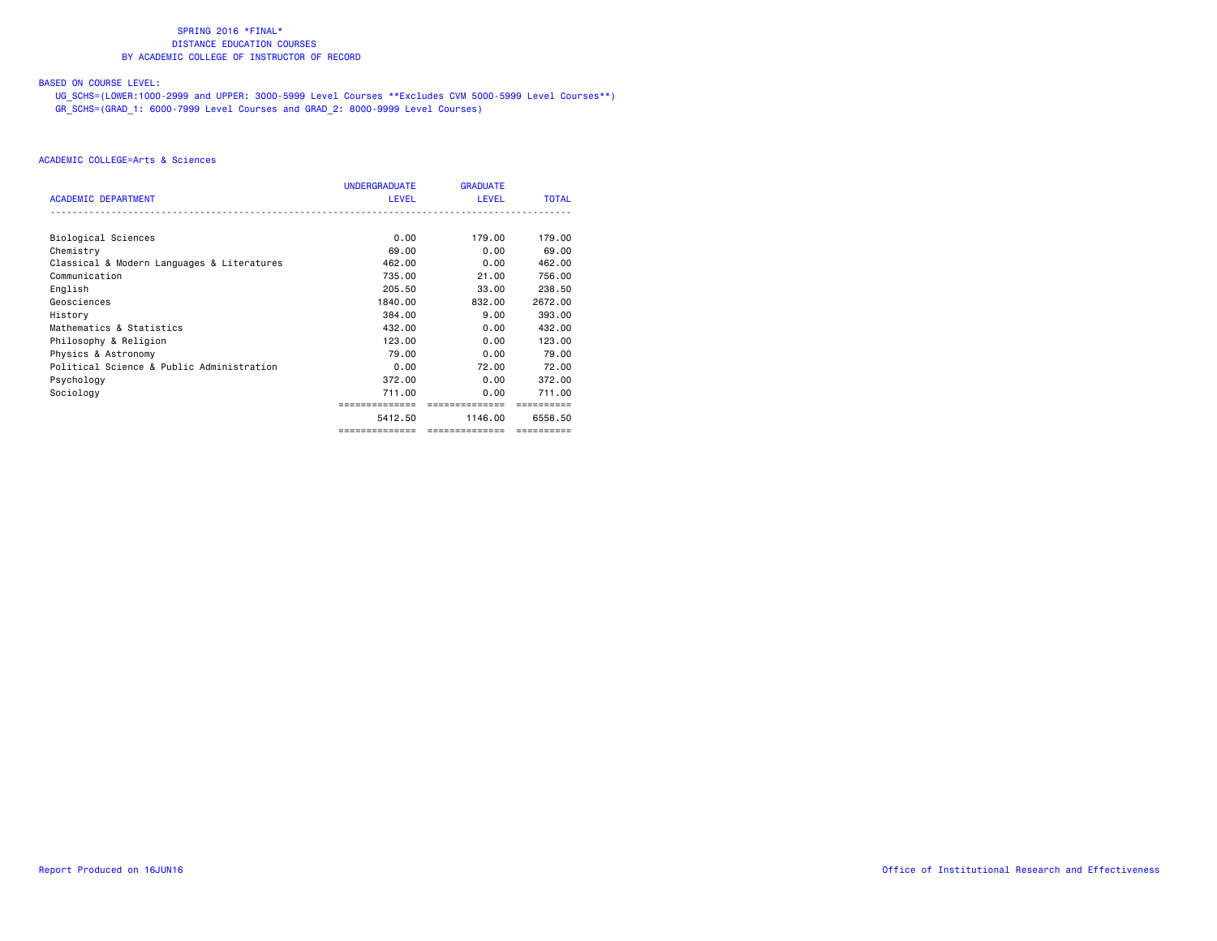### BASED ON COURSE LEVEL:

 UG\_SCHS=(LOWER:1000-2999 and UPPER: 3000-5999 Level Courses \*\*Excludes CVM 5000-5999 Level Courses\*\*) GR\_SCHS=(GRAD\_1: 6000-7999 Level Courses and GRAD\_2: 8000-9999 Level Courses)

|                                            | <b>UNDERGRADUATE</b>                                                                                                                                                                     | <b>GRADUATE</b> |              |
|--------------------------------------------|------------------------------------------------------------------------------------------------------------------------------------------------------------------------------------------|-----------------|--------------|
| <b>ACADEMIC DEPARTMENT</b>                 | <b>LEVEL</b><br>0.00<br>69.00<br>462,00<br>735.00<br>205.50<br>1840.00<br>384.00<br>432,00<br>123,00<br>79.00<br>0.00<br>372.00<br>711.00<br>==============<br>5412.50<br>-------------- | <b>LEVEL</b>    | <b>TOTAL</b> |
|                                            |                                                                                                                                                                                          |                 |              |
| Biological Sciences                        |                                                                                                                                                                                          | 179.00          | 179.00       |
| Chemistry                                  |                                                                                                                                                                                          | 0.00            | 69.00        |
| Classical & Modern Languages & Literatures |                                                                                                                                                                                          | 0.00            | 462.00       |
| Communication                              |                                                                                                                                                                                          | 21.00           | 756.00       |
| English                                    |                                                                                                                                                                                          | 33.00           | 238.50       |
| Geosciences                                |                                                                                                                                                                                          | 832,00          | 2672.00      |
| History                                    |                                                                                                                                                                                          | 9.00            | 393.00       |
| Mathematics & Statistics                   |                                                                                                                                                                                          | 0.00            | 432,00       |
| Philosophy & Religion                      |                                                                                                                                                                                          | 0.00            | 123,00       |
| Physics & Astronomy                        |                                                                                                                                                                                          | 0.00            | 79.00        |
| Political Science & Public Administration  |                                                                                                                                                                                          | 72.00           | 72.00        |
| Psychology                                 |                                                                                                                                                                                          | 0.00            | 372.00       |
| Sociology                                  |                                                                                                                                                                                          | 0.00            | 711.00       |
|                                            |                                                                                                                                                                                          | ==============  | ==========   |
|                                            |                                                                                                                                                                                          | 1146.00         | 6558.50      |
|                                            |                                                                                                                                                                                          | ==============  | ==========   |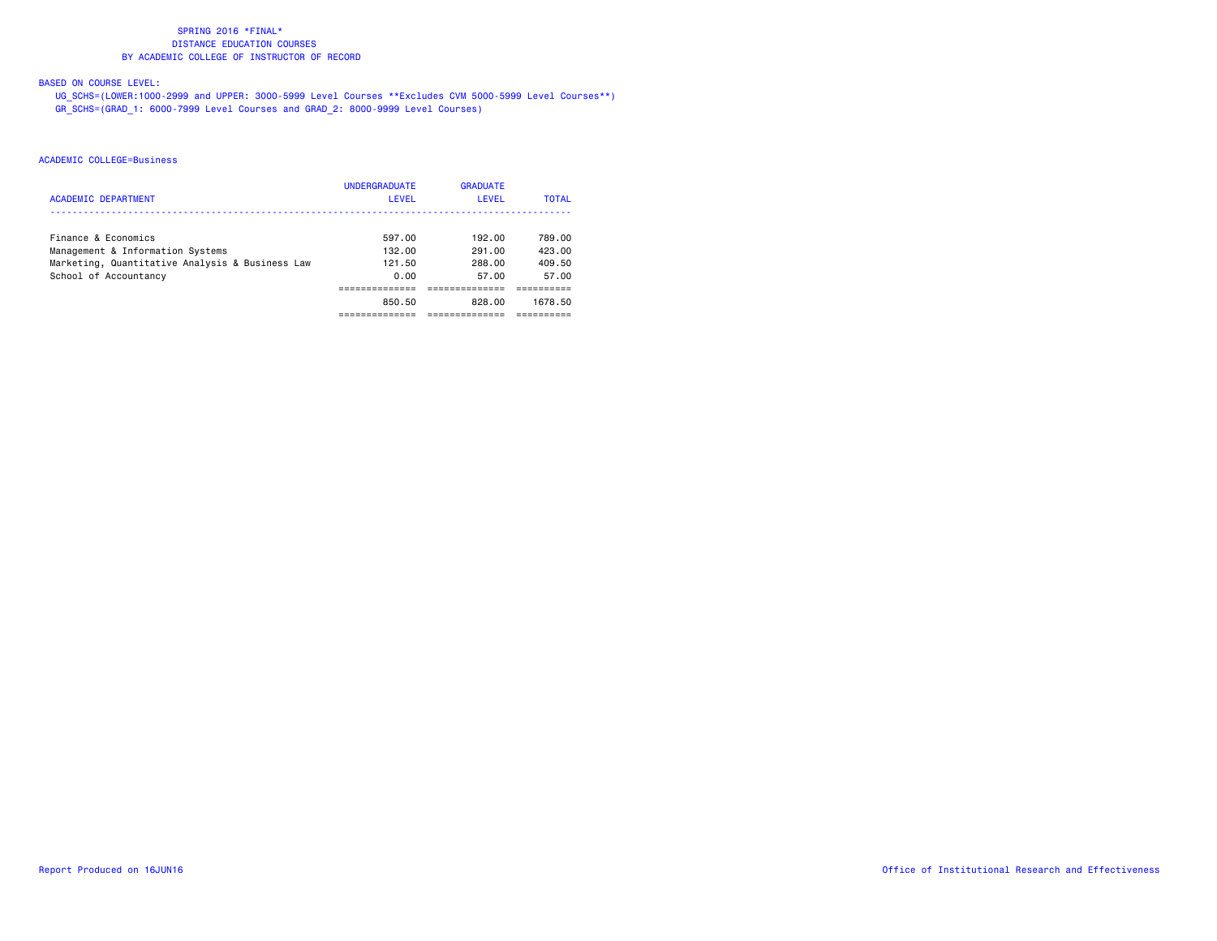### BASED ON COURSE LEVEL:

 UG\_SCHS=(LOWER:1000-2999 and UPPER: 3000-5999 Level Courses \*\*Excludes CVM 5000-5999 Level Courses\*\*) GR\_SCHS=(GRAD\_1: 6000-7999 Level Courses and GRAD\_2: 8000-9999 Level Courses)

| <b>ACADEMIC DEPARTMENT</b>                      | <b>UNDERGRADUATE</b><br>LEVEL | <b>GRADUATE</b><br>LEVEL | <b>TOTAL</b> |
|-------------------------------------------------|-------------------------------|--------------------------|--------------|
| Finance & Economics                             | 597.00                        | 192.00                   | 789.00       |
| Management & Information Systems                | 132.00                        | 291.00                   | 423.00       |
| Marketing, Quantitative Analysis & Business Law | 121.50                        | 288.00                   | 409.50       |
| School of Accountancy                           | 0.00                          | 57.00                    | 57.00        |
|                                                 |                               |                          |              |
|                                                 | 850.50                        | 828.00                   | 1678.50      |
|                                                 |                               |                          |              |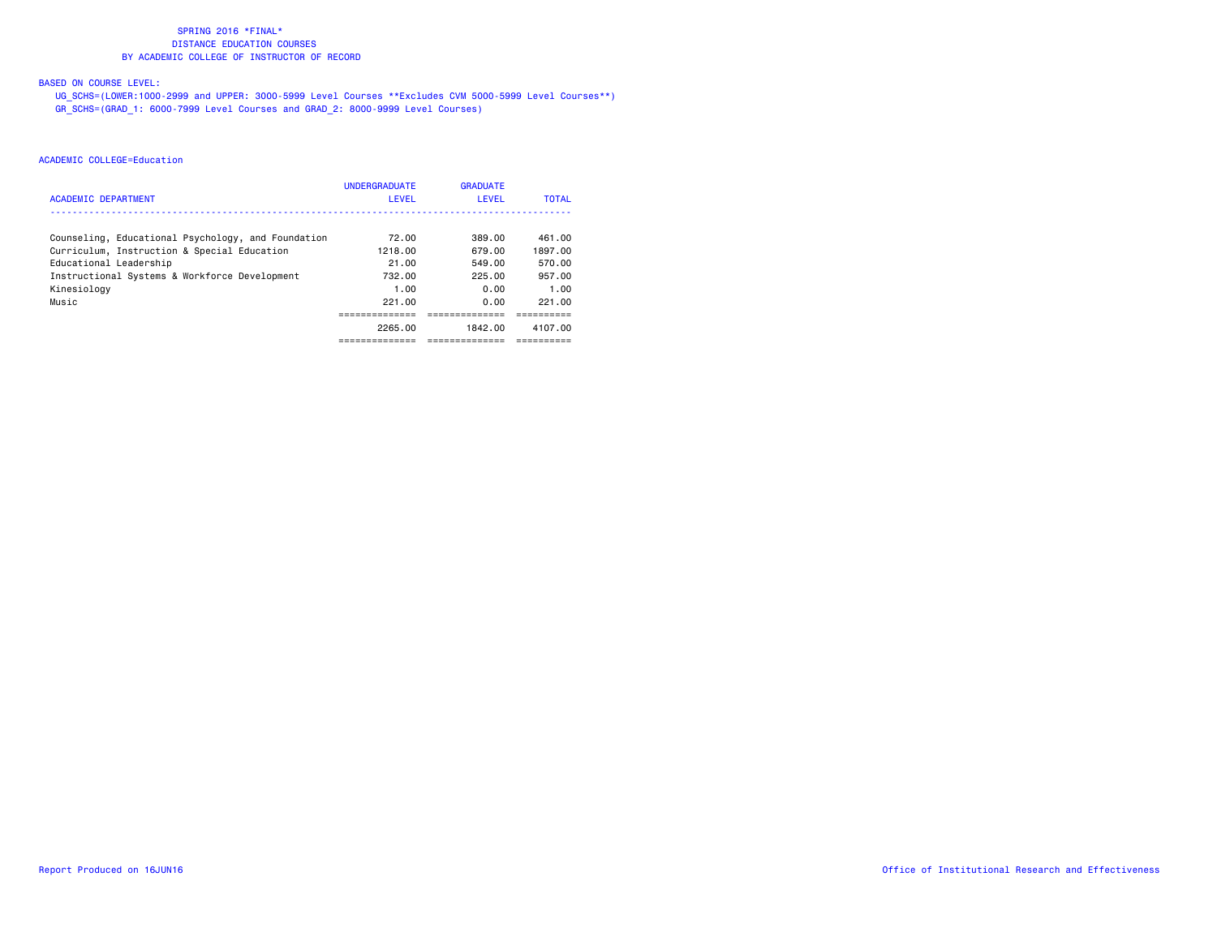### BASED ON COURSE LEVEL:

 UG\_SCHS=(LOWER:1000-2999 and UPPER: 3000-5999 Level Courses \*\*Excludes CVM 5000-5999 Level Courses\*\*) GR\_SCHS=(GRAD\_1: 6000-7999 Level Courses and GRAD\_2: 8000-9999 Level Courses)

| <b>ACADEMIC DEPARTMENT</b>                         | <b>UNDERGRADUATE</b><br>LEVEL | <b>GRADUATE</b><br>LEVEL | <b>TOTAL</b> |
|----------------------------------------------------|-------------------------------|--------------------------|--------------|
|                                                    |                               |                          |              |
| Counseling, Educational Psychology, and Foundation | 72.00                         | 389.00                   | 461.00       |
| Curriculum, Instruction & Special Education        | 1218.00                       | 679.00                   | 1897.00      |
| Educational Leadership                             | 21.00                         | 549.00                   | 570.00       |
| Instructional Systems & Workforce Development      | 732.00                        | 225.00                   | 957.00       |
| Kinesiology                                        | 1.00                          | 0.00                     | 1.00         |
| Music                                              | 221.00                        | 0.00                     | 221.00       |
|                                                    |                               |                          |              |
|                                                    | 2265.00                       | 1842.00                  | 4107.00      |
|                                                    | ---------                     | --------                 |              |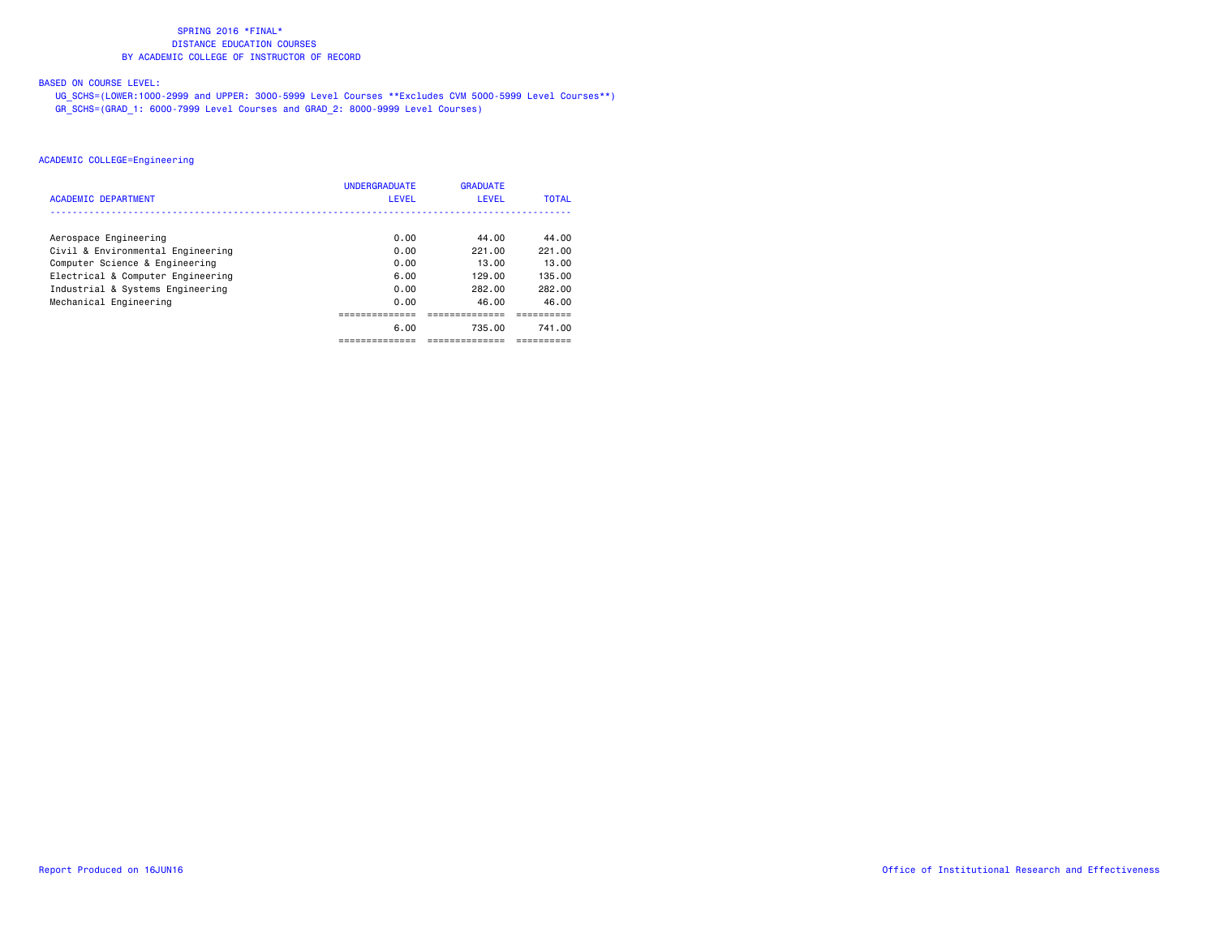### BASED ON COURSE LEVEL:

 UG\_SCHS=(LOWER:1000-2999 and UPPER: 3000-5999 Level Courses \*\*Excludes CVM 5000-5999 Level Courses\*\*) GR\_SCHS=(GRAD\_1: 6000-7999 Level Courses and GRAD\_2: 8000-9999 Level Courses)

### ACADEMIC COLLEGE=Engineering

| <b>ACADEMIC DEPARTMENT</b>        | <b>UNDERGRADUATE</b><br>LEVEL | <b>GRADUATE</b><br>LEVEL | <b>TOTAL</b> |
|-----------------------------------|-------------------------------|--------------------------|--------------|
|                                   |                               |                          |              |
| Aerospace Engineering             | 0.00                          | 44.00                    | 44.00        |
| Civil & Environmental Engineering | 0.00                          | 221.00                   | 221.00       |
| Computer Science & Engineering    | 0.00                          | 13.00                    | 13.00        |
| Electrical & Computer Engineering | 6.00                          | 129.00                   | 135.00       |
| Industrial & Systems Engineering  | 0.00                          | 282.00                   | 282.00       |
| Mechanical Engineering            | 0.00                          | 46.00                    | 46.00        |
|                                   |                               |                          |              |
|                                   | 6.00                          | 735.00                   | 741.00       |
|                                   |                               | --------                 |              |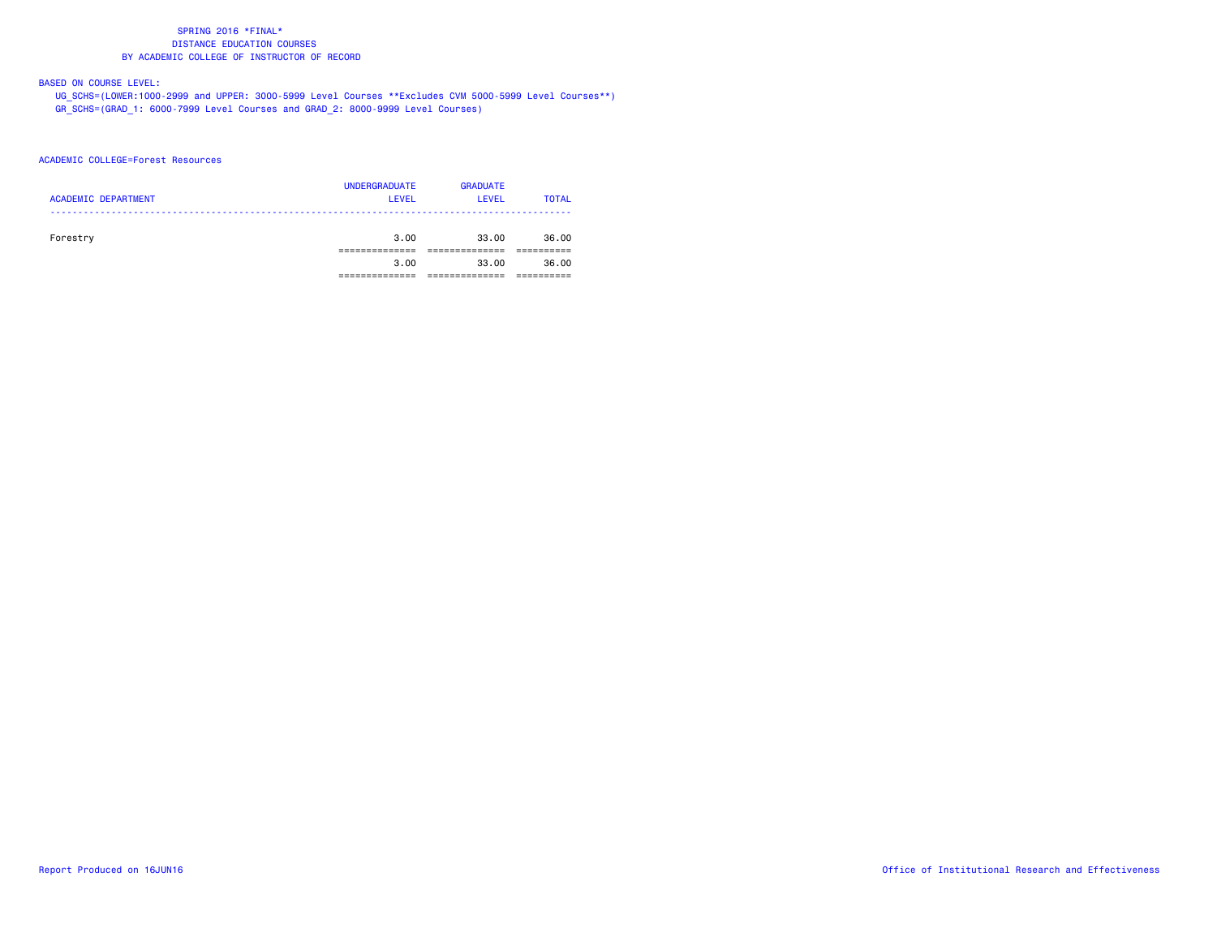### BASED ON COURSE LEVEL:

 UG\_SCHS=(LOWER:1000-2999 and UPPER: 3000-5999 Level Courses \*\*Excludes CVM 5000-5999 Level Courses\*\*) GR\_SCHS=(GRAD\_1: 6000-7999 Level Courses and GRAD\_2: 8000-9999 Level Courses)

### ACADEMIC COLLEGE=Forest Resources

| <b>ACADEMIC DEPARTMENT</b> | <b>UNDERGRADUATE</b><br><b>LEVEL</b> | <b>GRADUATE</b><br>LEVEL | <b>TOTAL</b> |
|----------------------------|--------------------------------------|--------------------------|--------------|
| Forestry                   | 3,00                                 | 33.00                    | 36.00        |
|                            | 3,00                                 | 33.00                    | 36.00        |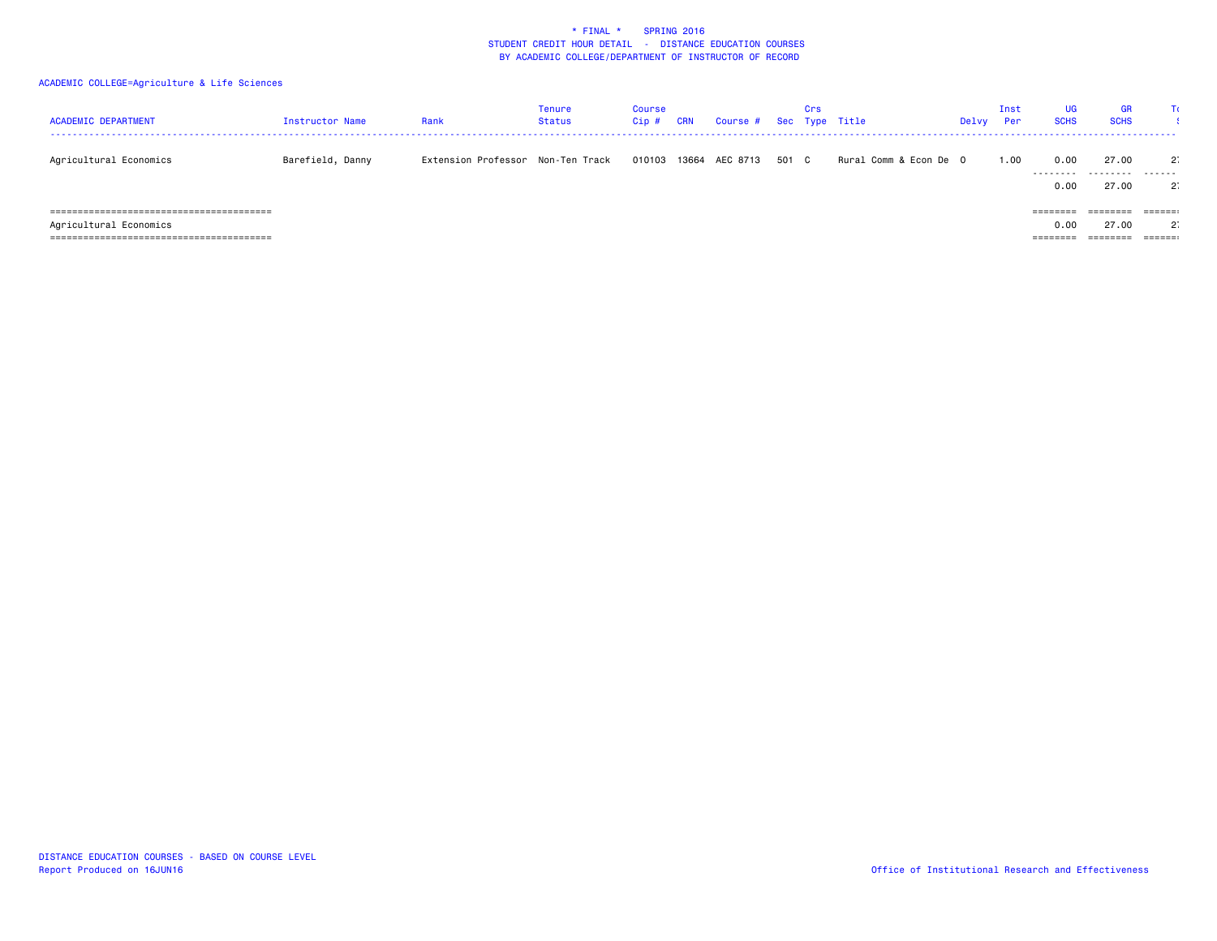| <b>ACADEMIC DEPARTMENT</b>                                     | Instructor Name  | Rank                              | Tenure<br>Status | <b>Course</b><br>Cip # | CRN | Course # Sec Type Title |       | Crs |                         | Delvy | Inst<br>Per | UG.<br><b>SCHS</b>           | <b>GR</b><br><b>SCHS</b> |                                           |
|----------------------------------------------------------------|------------------|-----------------------------------|------------------|------------------------|-----|-------------------------|-------|-----|-------------------------|-------|-------------|------------------------------|--------------------------|-------------------------------------------|
| Agricultural Economics                                         | Barefield, Danny | Extension Professor Non-Ten Track |                  | 010103                 |     | 13664 AEC 8713          | 501 C |     | Rural Comm & Econ De  O |       | 1.00        | 0.00<br>---------<br>0.00    | 27.00<br>.<br>27.00      | $2^{\circ}$<br>-------<br>$2^{\circ}$     |
| Agricultural Economics<br>. ================================== |                  |                                   |                  |                        |     |                         |       |     |                         |       |             | ========<br>0.00<br>======== | ========<br>27.00        | $=$ = = = = = :<br>$2^{\circ}$<br>======: |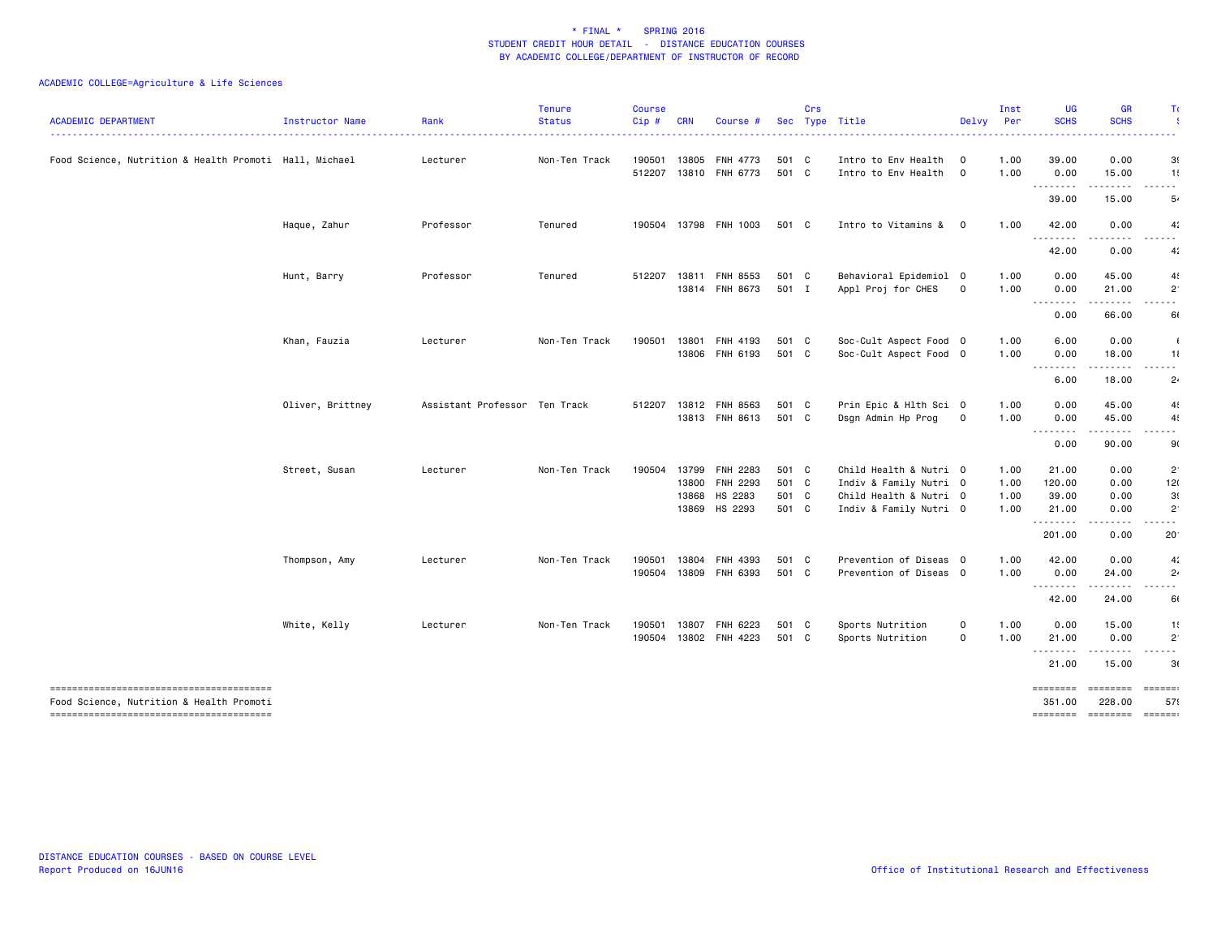| <b>ACADEMIC DEPARTMENT</b>                             | Instructor Name  | Rank                          | <b>Tenure</b><br><b>Status</b> | <b>Course</b><br>Cip# | <b>CRN</b> | Course #                          |                | Crs | Sec Type Title                                   | Delvy                     | Inst<br>Per  | <b>UG</b><br><b>SCHS</b> | <b>GR</b><br><b>SCHS</b>                                                                                                                                                                 | Τı                            |
|--------------------------------------------------------|------------------|-------------------------------|--------------------------------|-----------------------|------------|-----------------------------------|----------------|-----|--------------------------------------------------|---------------------------|--------------|--------------------------|------------------------------------------------------------------------------------------------------------------------------------------------------------------------------------------|-------------------------------|
| Food Science, Nutrition & Health Promoti Hall, Michael |                  | Lecturer                      | Non-Ten Track                  | 190501<br>512207      | 13805      | <b>FNH 4773</b><br>13810 FNH 6773 | 501 C<br>501 C |     | Intro to Env Health<br>Intro to Env Health       | $\circ$<br>$\overline{0}$ | 1.00<br>1.00 | 39.00<br>0.00            | 0.00<br>15.00                                                                                                                                                                            | 3(<br>1!                      |
|                                                        |                  |                               |                                |                       |            |                                   |                |     |                                                  |                           |              | .<br>39.00               | .<br>15.00                                                                                                                                                                               | $- - -$<br>5.                 |
|                                                        | Haque, Zahur     | Professor                     | Tenured                        |                       |            | 190504 13798 FNH 1003             | 501 C          |     | Intro to Vitamins &                              | $\mathbf{o}$              | 1.00         | 42.00                    | 0.00                                                                                                                                                                                     | 4:                            |
|                                                        |                  |                               |                                |                       |            |                                   |                |     |                                                  |                           |              | .<br>42.00               | .<br>0.00                                                                                                                                                                                | 4:                            |
|                                                        | Hunt, Barry      | Professor                     | Tenured                        |                       |            | 512207 13811 FNH 8553             | 501 C          |     | Behavioral Epidemiol 0                           |                           | 1.00         | 0.00                     | 45.00                                                                                                                                                                                    | 4                             |
|                                                        |                  |                               |                                |                       | 13814      | FNH 8673                          | 501 I          |     | Appl Proj for CHES                               | $\mathbf 0$               | 1.00         | 0.00<br><u>.</u>         | 21.00<br>$\frac{1}{2} \left( \frac{1}{2} \right) \left( \frac{1}{2} \right) \left( \frac{1}{2} \right) \left( \frac{1}{2} \right) \left( \frac{1}{2} \right) \left( \frac{1}{2} \right)$ | $\overline{2}$<br>$- - -$     |
|                                                        |                  |                               |                                |                       |            |                                   |                |     |                                                  |                           |              | 0.00                     | 66.00                                                                                                                                                                                    | 61                            |
|                                                        | Khan, Fauzia     | Lecturer                      | Non-Ten Track                  | 190501                |            | 13801 FNH 4193<br>13806 FNH 6193  | 501 C<br>501 C |     | Soc-Cult Aspect Food 0<br>Soc-Cult Aspect Food 0 |                           | 1.00<br>1.00 | 6.00<br>0.00             | 0.00<br>18.00                                                                                                                                                                            | 11                            |
|                                                        |                  |                               |                                |                       |            |                                   |                |     |                                                  |                           |              | --------<br>6.00         | 18.00                                                                                                                                                                                    | $\sim$ $\sim$<br>$2\cdot$     |
|                                                        | Oliver, Brittney | Assistant Professor Ten Track |                                | 512207                |            | 13812 FNH 8563                    | 501 C          |     | Prin Epic & Hlth Sci 0                           |                           | 1.00         | 0.00                     | 45.00                                                                                                                                                                                    | 4!                            |
|                                                        |                  |                               |                                |                       |            | 13813 FNH 8613                    | 501 C          |     | Dsgn Admin Hp Prog                               | $\mathbf 0$               | 1.00         | 0.00<br>.                | 45.00<br>.                                                                                                                                                                               | 4!<br>.                       |
|                                                        |                  |                               |                                |                       |            |                                   |                |     |                                                  |                           |              | 0.00                     | 90.00                                                                                                                                                                                    | 90                            |
|                                                        | Street, Susan    | Lecturer                      | Non-Ten Track                  | 190504                |            | 13799 FNH 2283                    | 501 C          |     | Child Health & Nutri 0                           |                           | 1.00         | 21.00                    | 0.00                                                                                                                                                                                     | $2^{\circ}$                   |
|                                                        |                  |                               |                                |                       |            | 13800 FNH 2293                    | 501 C          |     | Indiv & Family Nutri 0                           |                           | 1.00         | 120.00                   | 0.00                                                                                                                                                                                     | 12(                           |
|                                                        |                  |                               |                                |                       | 13868      | HS 2283                           | 501 C          |     | Child Health & Nutri 0                           |                           | 1.00         | 39.00                    | 0.00                                                                                                                                                                                     | 3(                            |
|                                                        |                  |                               |                                |                       |            | 13869 HS 2293                     | 501 C          |     | Indiv & Family Nutri 0                           |                           | 1.00         | 21.00<br>.               | 0.00<br>.                                                                                                                                                                                | $2^{\circ}$<br>------         |
|                                                        |                  |                               |                                |                       |            |                                   |                |     |                                                  |                           |              | 201.00                   | 0.00                                                                                                                                                                                     | 20 <sup>1</sup>               |
|                                                        | Thompson, Amy    | Lecturer                      | Non-Ten Track                  | 190501                | 13804      | <b>FNH 4393</b>                   | 501 C          |     | Prevention of Diseas 0                           |                           | 1.00         | 42.00                    | 0.00                                                                                                                                                                                     | 4:                            |
|                                                        |                  |                               |                                | 190504                |            | 13809 FNH 6393                    | 501 C          |     | Prevention of Diseas 0                           |                           | 1.00         | 0.00                     | 24.00                                                                                                                                                                                    | $2\cdot$                      |
|                                                        |                  |                               |                                |                       |            |                                   |                |     |                                                  |                           |              | .<br>42.00               | . <b>.</b><br>24.00                                                                                                                                                                      | ------<br>60                  |
|                                                        | White, Kelly     | Lecturer                      | Non-Ten Track                  | 190501                | 13807      | FNH 6223                          | 501 C          |     | Sports Nutrition                                 | $\mathbf 0$               | 1.00         | 0.00                     | 15.00                                                                                                                                                                                    | 1!                            |
|                                                        |                  |                               |                                | 190504                |            | 13802 FNH 4223                    | 501 C          |     | Sports Nutrition                                 | $\mathbf 0$               | 1.00         | 21.00<br>.               | 0.00<br>.                                                                                                                                                                                | $2^{\circ}$<br>- - -          |
|                                                        |                  |                               |                                |                       |            |                                   |                |     |                                                  |                           |              | 21.00                    | 15.00                                                                                                                                                                                    | 3(                            |
| Food Science, Nutrition & Health Promoti               |                  |                               |                                |                       |            |                                   |                |     |                                                  |                           |              | ========<br>351,00       | <b>ESSESSE</b><br>228.00                                                                                                                                                                 | $=$ $=$ $=$ $=$ $=$ $=$<br>57 |
|                                                        |                  |                               |                                |                       |            |                                   |                |     |                                                  |                           |              | -------- -------         |                                                                                                                                                                                          | <b>EEEEEE</b>                 |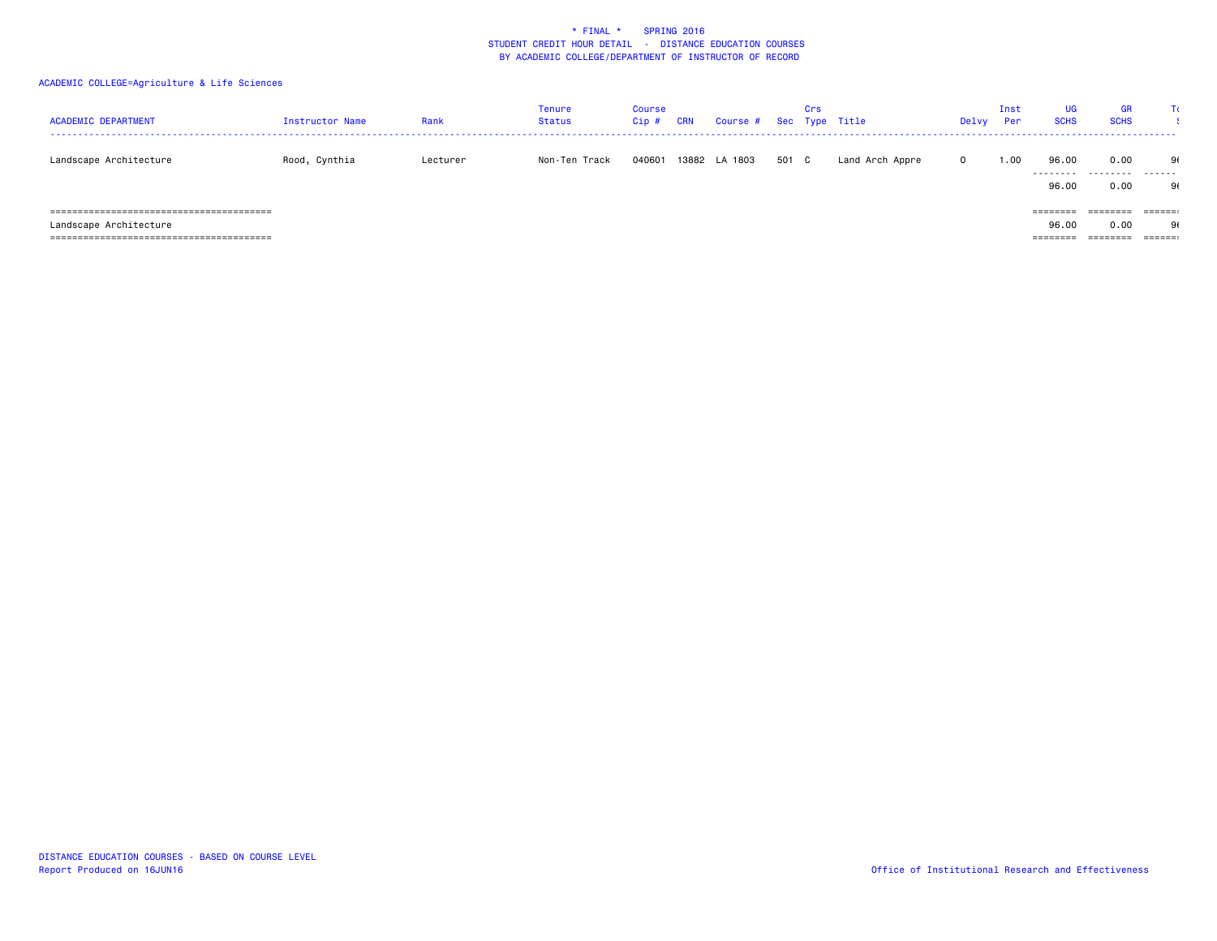| <b>ACADEMIC DEPARTMENT</b> | Instructor Name | Rank     | Tenure<br>Status | Course<br>$Cip$ # | CRN | Course #      |       | Crs | Sec Type Title  | Delvy        | Inst<br>Per | UG<br><b>SCHS</b>  | <b>GR</b><br><b>SCHS</b> |                         |
|----------------------------|-----------------|----------|------------------|-------------------|-----|---------------|-------|-----|-----------------|--------------|-------------|--------------------|--------------------------|-------------------------|
| Landscape Architecture     | Rood, Cynthia   | Lecturer | Non-Ten Track    | 040601            |     | 13882 LA 1803 | 501 C |     | Land Arch Appre | $\mathbf{0}$ | 1.00        | 96.00<br>--------- | 0.00<br>.                | 91<br>-------           |
|                            |                 |          |                  |                   |     |               |       |     |                 |              |             | 96.00              | 0.00                     | 90                      |
|                            |                 |          |                  |                   |     |               |       |     |                 |              |             | $=$ = = = = = = =  | ========                 | $=$ $=$ $=$ $=$ $=$ $:$ |
| Landscape Architecture     |                 |          |                  |                   |     |               |       |     |                 |              |             | 96.00              | 0.00                     | 90                      |
|                            |                 |          |                  |                   |     |               |       |     |                 |              |             | ========           | ========                 | $=$ $=$ $=$ $=$ $=$ $:$ |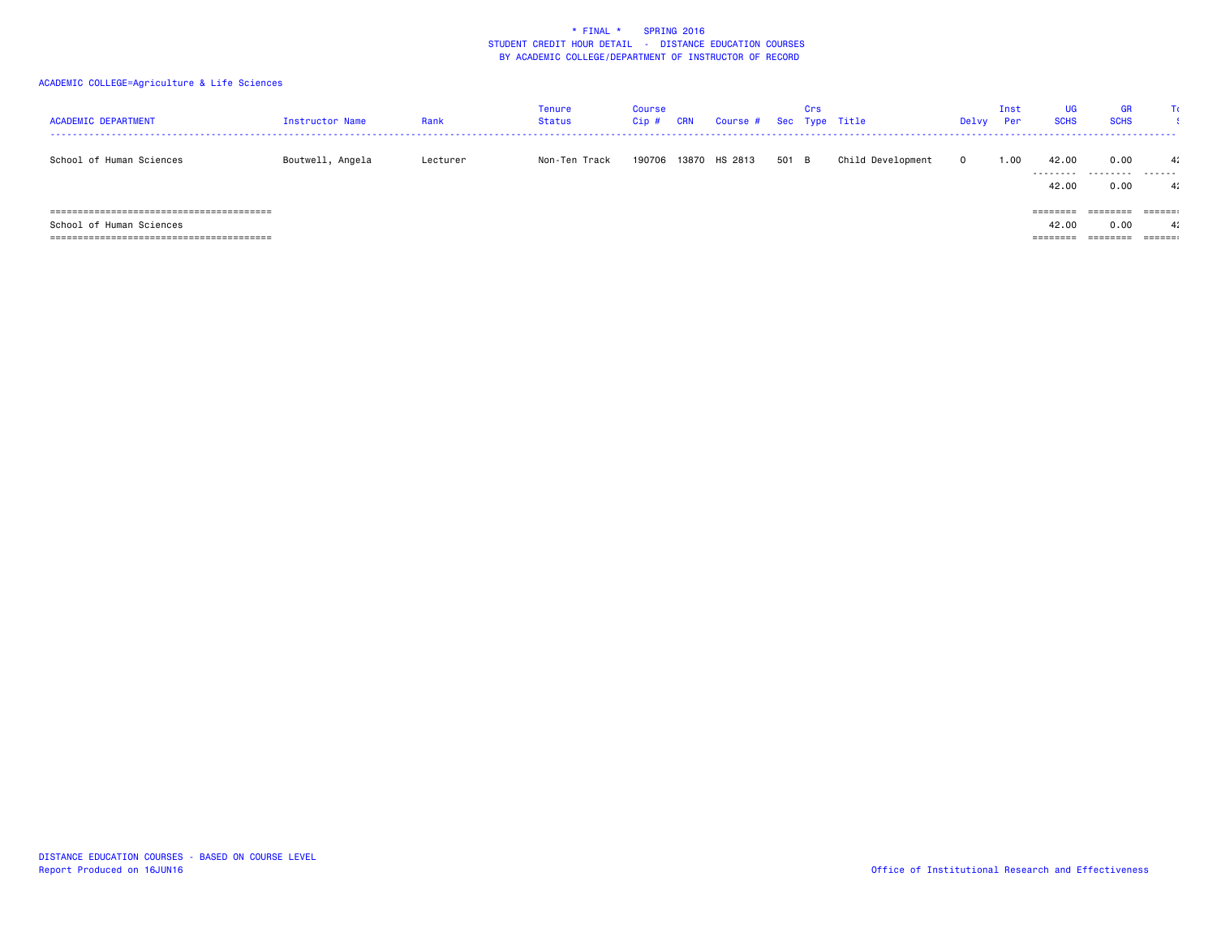| <b>ACADEMIC DEPARTMENT</b>                     | Instructor Name  | Rank     | Tenure<br>Status | Course<br>Cip# | <b>CRN</b> | Course # Sec Type Title |       | Crs |                   | Delvy    | Inst<br>Per | UG<br><b>SCHS</b>  | <b>GR</b><br><b>SCHS</b> |                         |
|------------------------------------------------|------------------|----------|------------------|----------------|------------|-------------------------|-------|-----|-------------------|----------|-------------|--------------------|--------------------------|-------------------------|
| School of Human Sciences                       | Boutwell, Angela | Lecturer | Non-Ten Track    | 190706         |            | 13870 HS 2813           | 501 B |     | Child Development | $\Omega$ | 00، ن       | 42.00<br>--------- | 0.00<br>.                | 4:<br>-------           |
|                                                |                  |          |                  |                |            |                         |       |     |                   |          |             | 42.00              | 0.00                     | 4:                      |
| =====================================<br>----- |                  |          |                  |                |            |                         |       |     |                   |          |             | $=$ = = = = = = =  | ========                 |                         |
| School of Human Sciences                       |                  |          |                  |                |            |                         |       |     |                   |          |             | 42.00              | 0.00                     | 4:                      |
|                                                |                  |          |                  |                |            |                         |       |     |                   |          |             | ========           | ========                 | $=$ $=$ $=$ $=$ $=$ $:$ |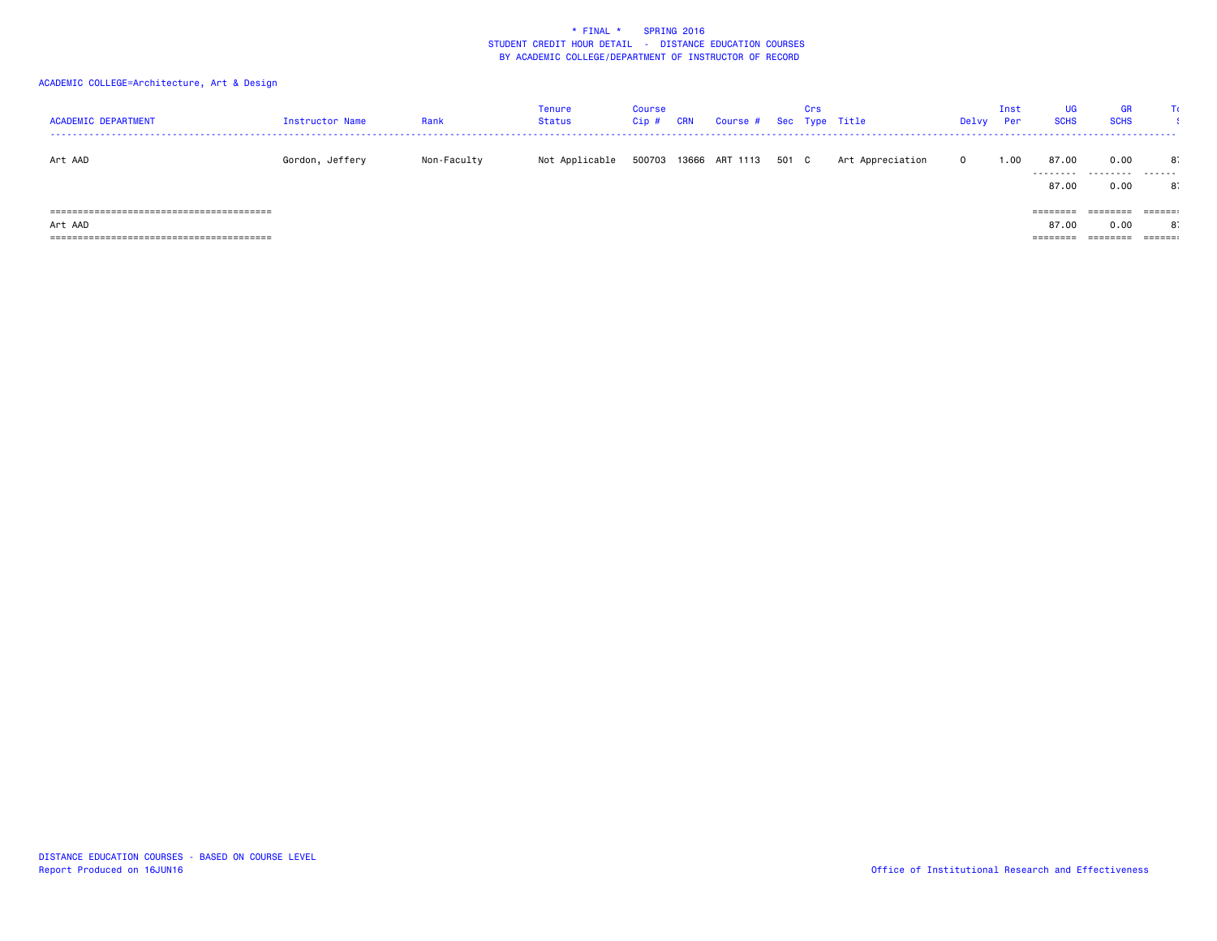| <b>ACADEMIC DEPARTMENT</b> | Instructor Name | Rank        | Tenure<br>Status | Course<br>Cip # | <b>CRN</b> | Course # Sec Type Title |       | Crs |                  | Delvy        | Inst<br>Per | <b>UG</b><br><b>SCHS</b> | <b>GR</b><br><b>SCHS</b> | TC.           |
|----------------------------|-----------------|-------------|------------------|-----------------|------------|-------------------------|-------|-----|------------------|--------------|-------------|--------------------------|--------------------------|---------------|
| Art AAD                    | Gordon, Jeffery | Non-Faculty | Not Applicable   | 500703          |            | 13666 ART 1113          | 501 C |     | Art Appreciation | $\mathbf{O}$ | 1.00        | 87.00<br>.               | 0.00<br>.                | 8.<br>------- |
|                            |                 |             |                  |                 |            |                         |       |     |                  |              |             | 87.00                    | 0.00                     | 8.            |
|                            |                 |             |                  |                 |            |                         |       |     |                  |              |             | ========                 | ========                 | ======        |
| Art AAD                    |                 |             |                  |                 |            |                         |       |     |                  |              |             | 87.00                    | 0.00                     | 8.            |
|                            |                 |             |                  |                 |            |                         |       |     |                  |              |             | ========                 | ========                 | $= 22222222$  |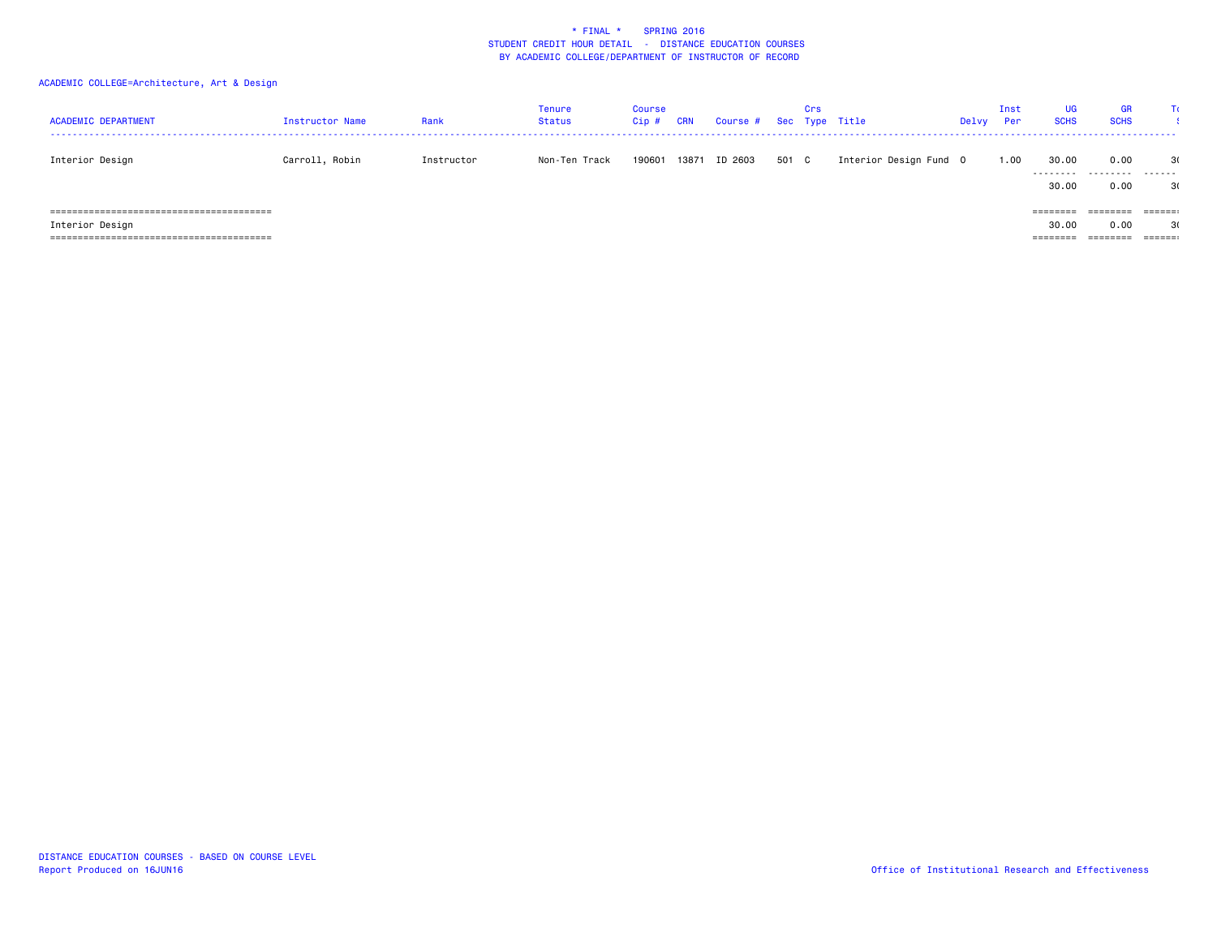| <b>ACADEMIC DEPARTMENT</b> | Instructor Name | Rank       | Tenure<br>Status | Course<br>Cip # | <b>CRN</b> | Course # Sec Type Title |       | Crs |                        | Delvy | Inst<br>Per | UG<br><b>SCHS</b> | <b>GR</b><br><b>SCHS</b> | TC.              |
|----------------------------|-----------------|------------|------------------|-----------------|------------|-------------------------|-------|-----|------------------------|-------|-------------|-------------------|--------------------------|------------------|
| Interior Design            | Carroll, Robin  | Instructor | Non-Ten Track    | 190601          | 13871      | ID 2603                 | 501 C |     | Interior Design Fund 0 |       | 1.00        | 30.00<br>.        | 0.00<br>.                | 30<br>. <b>.</b> |
|                            |                 |            |                  |                 |            |                         |       |     |                        |       |             | 30.00             | 0.00                     | 3(               |
|                            |                 |            |                  |                 |            |                         |       |     |                        |       |             | ========          | ========                 | ======           |
| Interior Design            |                 |            |                  |                 |            |                         |       |     |                        |       |             | 30.00             | 0.00                     | 3(               |
|                            |                 |            |                  |                 |            |                         |       |     |                        |       |             | ========          | ========                 | ======:          |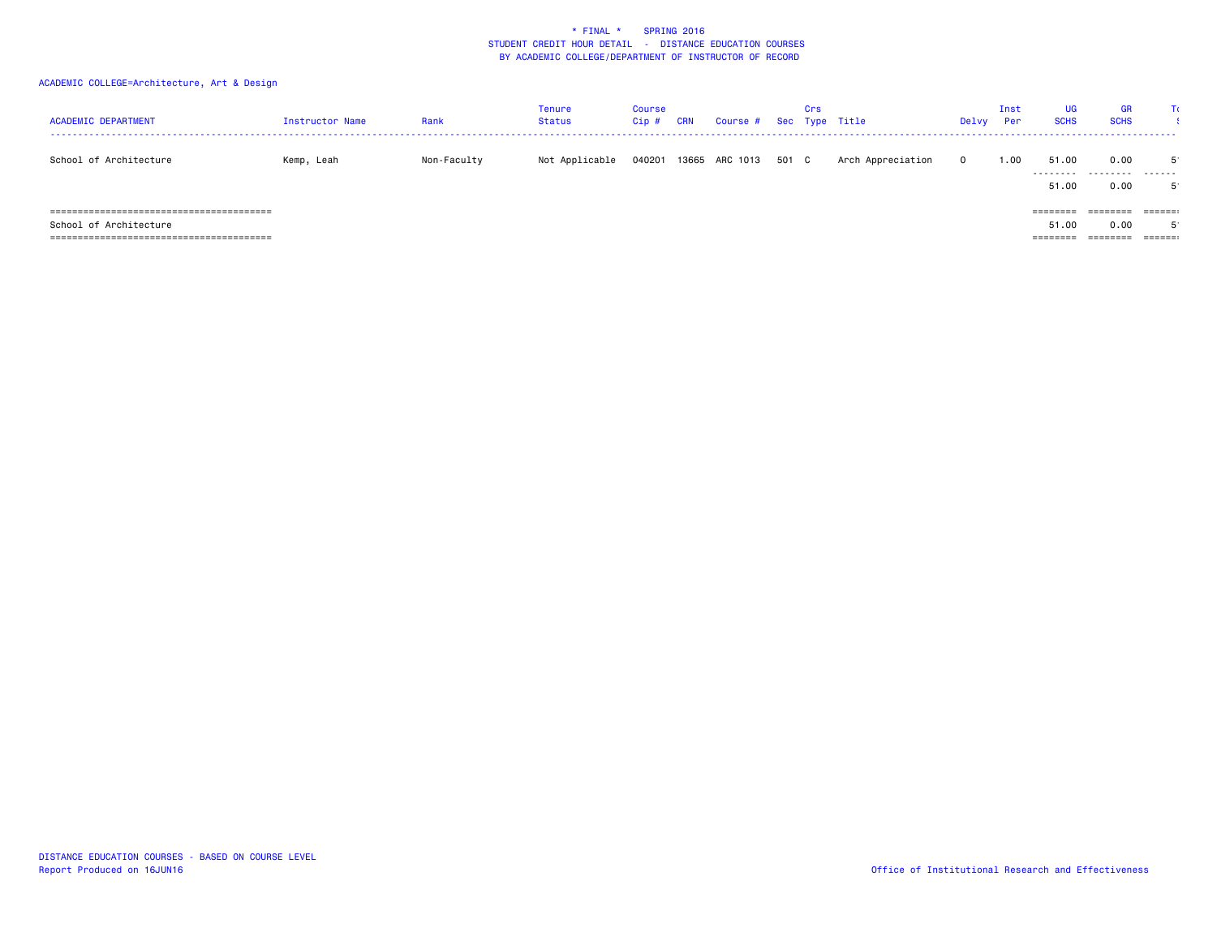| <b>ACADEMIC DEPARTMENT</b> | Instructor Name | Rank        | Tenure<br>Status | Course<br>Cip # | <b>CRN</b> | Course # Sec Type Title |       | Crs |                   | Delvy        | Inst<br>Per | UG<br><b>SCHS</b> | <b>GR</b><br><b>SCHS</b> | Τc                      |
|----------------------------|-----------------|-------------|------------------|-----------------|------------|-------------------------|-------|-----|-------------------|--------------|-------------|-------------------|--------------------------|-------------------------|
| School of Architecture     | Kemp, Leah      | Non-Faculty | Not Applicable   | 040201          |            | 13665 ARC 1013          | 501 C |     | Arch Appreciation | $\mathbf{0}$ | 1.00        | 51.00<br>.        | 0.00<br>.                | - 51<br>-------         |
|                            |                 |             |                  |                 |            |                         |       |     |                   |              |             | 51.00             | 0.00                     |                         |
|                            |                 |             |                  |                 |            |                         |       |     |                   |              |             | $=$ = = = = = = = | ========                 | $=$ $=$ $=$ $=$ $=$ $:$ |
| School of Architecture     |                 |             |                  |                 |            |                         |       |     |                   |              |             | 51.00             | 0.00                     |                         |
|                            |                 |             |                  |                 |            |                         |       |     |                   |              |             | ========          | ========                 | ======:                 |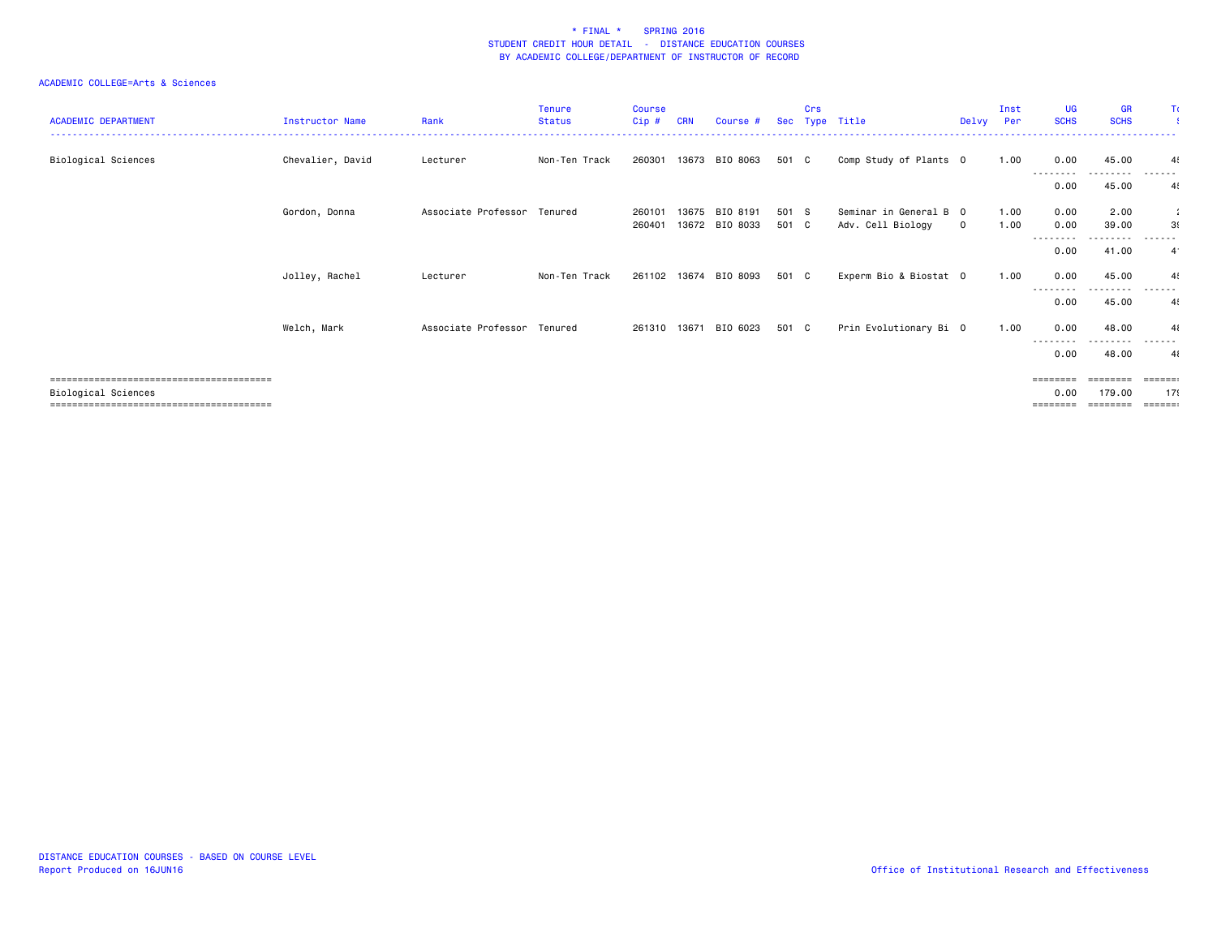| <b>ACADEMIC DEPARTMENT</b> | <b>Instructor Name</b> | Rank                        | Tenure<br><b>Status</b> | <b>Course</b><br>$Cip$ # | <b>CRN</b> | Course #                   |                | Crs | Sec Type Title                              | Delvy        | Inst<br>Per  | <b>UG</b><br><b>SCHS</b>              | <b>GR</b><br><b>SCHS</b>       | Π                                               |
|----------------------------|------------------------|-----------------------------|-------------------------|--------------------------|------------|----------------------------|----------------|-----|---------------------------------------------|--------------|--------------|---------------------------------------|--------------------------------|-------------------------------------------------|
| Biological Sciences        | Chevalier, David       | Lecturer                    | Non-Ten Track           | 260301                   |            | 13673 BIO 8063             | 501 C          |     | Comp Study of Plants 0                      |              | 1.00         | 0.00                                  | 45.00                          | $\overline{4}$                                  |
|                            |                        |                             |                         |                          |            |                            |                |     |                                             |              |              | ---------<br>0.00                     | ---------<br>45.00             | .<br>4!                                         |
|                            | Gordon, Donna          | Associate Professor         | Tenured                 | 260101<br>260401         | 13675      | BIO 8191<br>13672 BIO 8033 | 501 S<br>501 C |     | Seminar in General B 0<br>Adv. Cell Biology | $\mathbf{O}$ | 1.00<br>1.00 | 0.00<br>0.00                          | 2.00<br>39.00                  | ÷.<br>39                                        |
|                            |                        |                             |                         |                          |            |                            |                |     |                                             |              |              | $\cdots$<br>0.00                      | 41.00                          | $4^{\circ}$                                     |
|                            | Jolley, Rachel         | Lecturer                    | Non-Ten Track           |                          |            | 261102 13674 BIO 8093      | 501 C          |     | Experm Bio & Biostat 0                      |              | 1.00         | 0.00                                  | 45.00                          |                                                 |
|                            |                        |                             |                         |                          |            |                            |                |     |                                             |              |              | --------<br>0.00                      | 45.00                          | ------<br>4                                     |
|                            | Welch, Mark            | Associate Professor Tenured |                         |                          |            | 261310 13671 BIO 6023      | 501 C          |     | Prin Evolutionary Bi 0                      |              | 1.00         | 0.00                                  | 48.00                          | $\overline{4}$                                  |
|                            |                        |                             |                         |                          |            |                            |                |     |                                             |              |              | --------<br>0.00                      | .<br>48.00                     | ------<br>41                                    |
| Biological Sciences        |                        |                             |                         |                          |            |                            |                |     |                                             |              |              | $=$ = = = = = = =<br>0.00<br>======== | ========<br>179.00<br>.======= | <b>ESSESS</b><br>179<br>$=$ $=$ $=$ $=$ $=$ $:$ |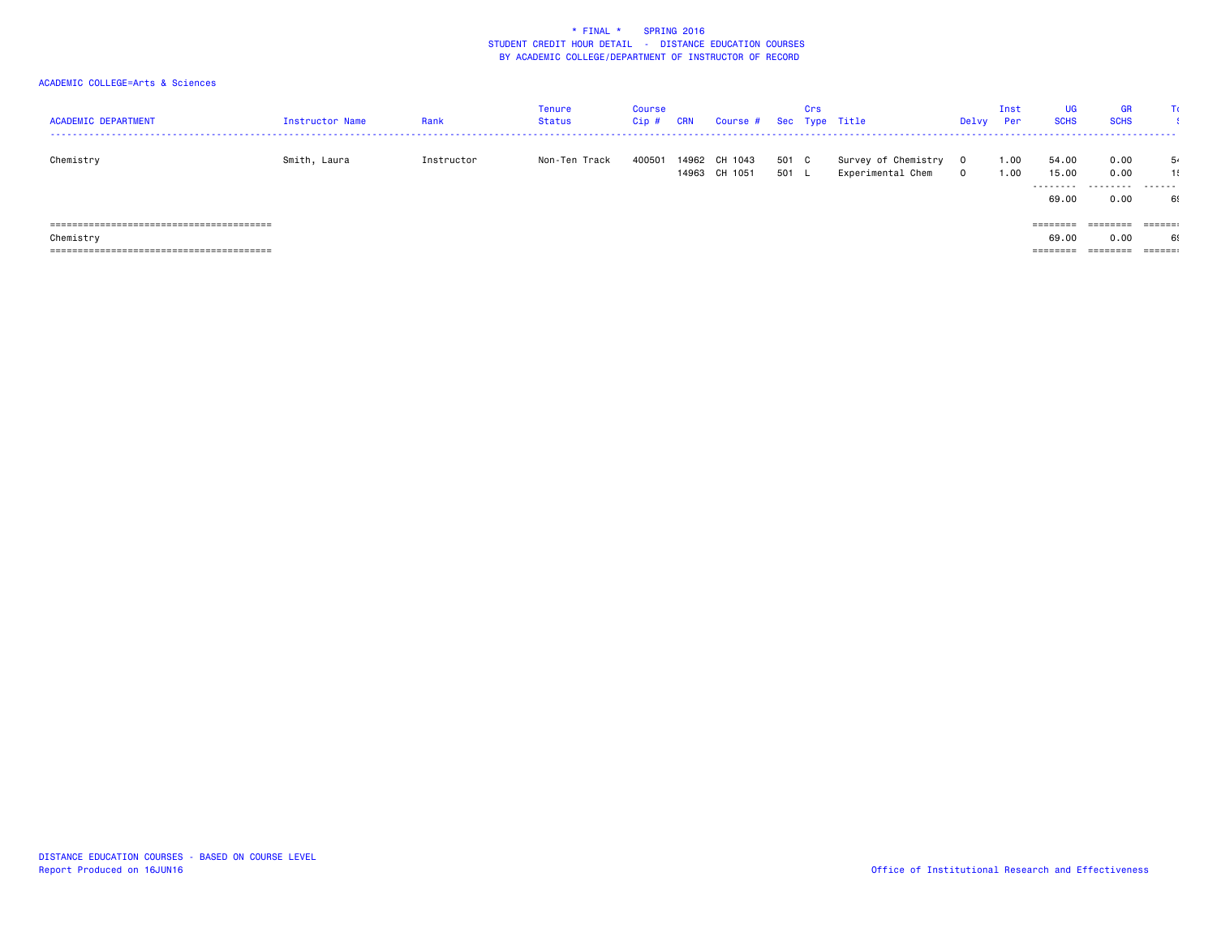| <b>ACADEMIC DEPARTMENT</b> | Instructor Name | Rank       | Tenure<br>Status | <b>Course</b><br>Cip # | CRN | Course # Sec Type Title        |                | Crs |                                          | Delvy            | Inst<br>Per | UG<br><b>SCHS</b> | <b>GR</b><br><b>SCHS</b> | TC.                     |
|----------------------------|-----------------|------------|------------------|------------------------|-----|--------------------------------|----------------|-----|------------------------------------------|------------------|-------------|-------------------|--------------------------|-------------------------|
| Chemistry                  | Smith, Laura    | Instructor | Non-Ten Track    | 400501                 |     | 14962 CH 1043<br>14963 CH 1051 | 501 C<br>501 L |     | Survey of Chemistry<br>Experimental Chem | 0<br>$\mathbf 0$ | .00<br>1.00 | 54.00<br>15.00    | 0.00<br>0.00             | 5.<br>1!                |
|                            |                 |            |                  |                        |     |                                |                |     |                                          |                  |             | .<br>69.00        | .<br>0.00                | . <b>.</b><br>69        |
|                            |                 |            |                  |                        |     |                                |                |     |                                          |                  |             | $=$ = = = = = = = | ========                 | $=$ $=$ $=$ $=$ $=$ $:$ |
| Chemistry                  |                 |            |                  |                        |     |                                |                |     |                                          |                  |             | 69,00             | 0.00                     | 69                      |
|                            |                 |            |                  |                        |     |                                |                |     |                                          |                  |             | ========          | ========                 | $=$ $=$ $=$ $=$ $=$ $:$ |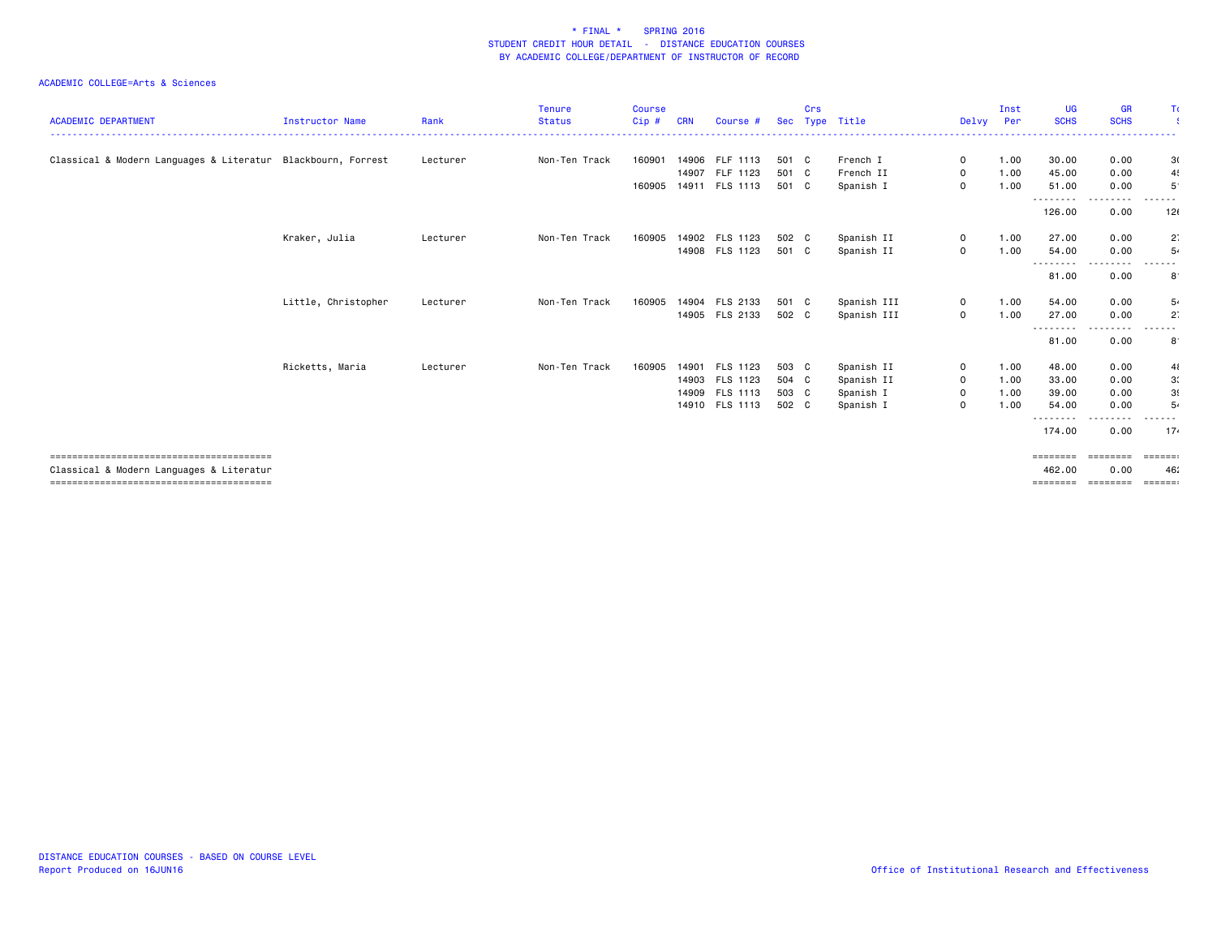| <b>ACADEMIC DEPARTMENT</b>                                   | <b>Instructor Name</b> | Rank     | <b>Tenure</b><br><b>Status</b> | <b>Course</b><br>$Cip$ # | <b>CRN</b> | Course #              |       | Crs | Sec Type Title | Delvy Per    | Inst | <b>UG</b><br><b>SCHS</b> | <b>GR</b><br><b>SCHS</b> | Τc                             |
|--------------------------------------------------------------|------------------------|----------|--------------------------------|--------------------------|------------|-----------------------|-------|-----|----------------|--------------|------|--------------------------|--------------------------|--------------------------------|
|                                                              |                        |          |                                |                          |            |                       |       |     |                |              |      |                          |                          |                                |
| Classical & Modern Languages & Literatur Blackbourn, Forrest |                        | Lecturer | Non-Ten Track                  | 160901                   |            | 14906 FLF 1113        | 501 C |     | French I       | $\mathbf 0$  | 1.00 | 30.00                    | 0.00                     | 3(                             |
|                                                              |                        |          |                                |                          | 14907      | FLF 1123              | 501 C |     | French II      | $\mathbf{O}$ | 1.00 | 45.00                    | 0.00                     | 4                              |
|                                                              |                        |          |                                |                          |            | 160905 14911 FLS 1113 | 501 C |     | Spanish I      | $\mathbf 0$  | 1.00 | 51.00                    | 0.00<br>.                | $5^{\circ}$<br>------          |
|                                                              |                        |          |                                |                          |            |                       |       |     |                |              |      | --------<br>126.00       | 0.00                     | 12(                            |
|                                                              | Kraker, Julia          | Lecturer | Non-Ten Track                  | 160905                   |            | 14902 FLS 1123        | 502 C |     | Spanish II     | $\mathbf 0$  | 1.00 | 27.00                    | 0.00                     | $2^{\circ}$                    |
|                                                              |                        |          |                                |                          |            | 14908 FLS 1123        | 501 C |     | Spanish II     | $\mathbf 0$  | 1.00 | 54.00                    | 0.00                     | 5.                             |
|                                                              |                        |          |                                |                          |            |                       |       |     |                |              |      | --------<br>81.00        | --------<br>0.00         | .<br>8                         |
|                                                              | Little, Christopher    | Lecturer | Non-Ten Track                  | 160905                   |            | 14904 FLS 2133        | 501 C |     | Spanish III    | $\mathbf{0}$ | 1.00 | 54.00                    | 0.00                     | 5.                             |
|                                                              |                        |          |                                |                          |            | 14905 FLS 2133        | 502 C |     | Spanish III    | $\mathbf 0$  | 1.00 | 27.00                    | 0.00                     | $2^{\circ}$                    |
|                                                              |                        |          |                                |                          |            |                       |       |     |                |              |      | --------<br>81.00        | 0.00                     | . <u>.</u> .<br>8 <sup>1</sup> |
|                                                              | Ricketts, Maria        | Lecturer | Non-Ten Track                  | 160905                   |            | 14901 FLS 1123        | 503 C |     | Spanish II     | $\mathbf 0$  | 1.00 | 48.00                    | 0.00                     | 41                             |
|                                                              |                        |          |                                |                          |            | 14903 FLS 1123        | 504 C |     | Spanish II     | $\mathbf 0$  | 1.00 | 33.00                    | 0.00                     | 3 <sup>′</sup>                 |
|                                                              |                        |          |                                |                          |            | 14909 FLS 1113        | 503 C |     | Spanish I      | $\mathbf 0$  | 1.00 | 39.00                    | 0.00                     | 3(                             |
|                                                              |                        |          |                                |                          |            | 14910 FLS 1113        | 502 C |     | Spanish I      | 0            | 1.00 | 54.00                    | 0.00                     | 5.                             |
|                                                              |                        |          |                                |                          |            |                       |       |     |                |              |      | --------<br>174.00       | 0.00                     | 17.                            |
|                                                              |                        |          |                                |                          |            |                       |       |     |                |              |      | ========                 | ========                 | ======                         |
| Classical & Modern Languages & Literatur                     |                        |          |                                |                          |            |                       |       |     |                |              |      | 462.00                   | 0.00                     | 46                             |
|                                                              |                        |          |                                |                          |            |                       |       |     |                |              |      | ========                 | ========                 | =======                        |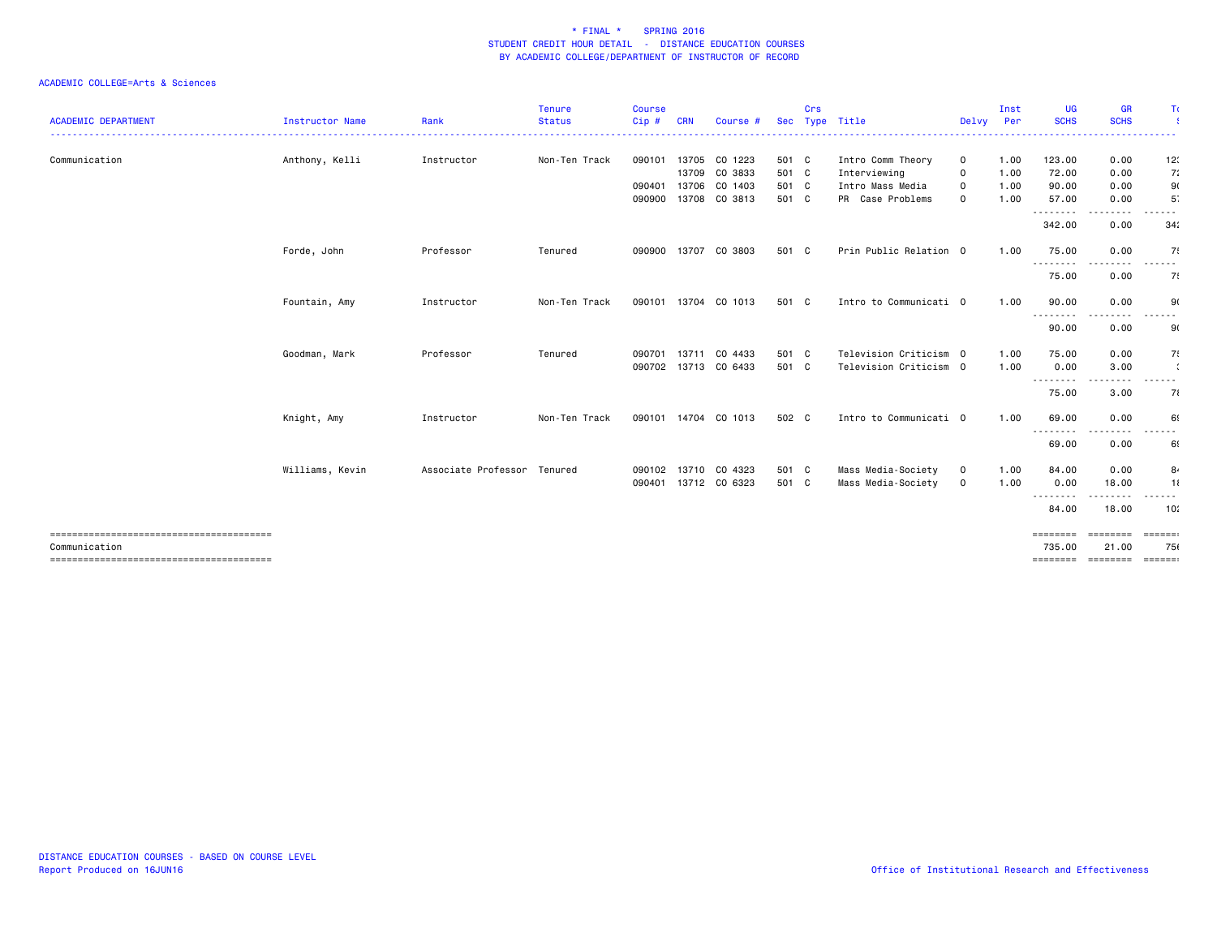|                            |                 |                     | <b>Tenure</b>      | <b>Course</b> |            |                      |            | Crs |                                  |             | Inst | UG                 | <b>GR</b>                | Τı                                                                                                                                                                                                                                                                                                                                                                                                                                                                                           |
|----------------------------|-----------------|---------------------|--------------------|---------------|------------|----------------------|------------|-----|----------------------------------|-------------|------|--------------------|--------------------------|----------------------------------------------------------------------------------------------------------------------------------------------------------------------------------------------------------------------------------------------------------------------------------------------------------------------------------------------------------------------------------------------------------------------------------------------------------------------------------------------|
| <b>ACADEMIC DEPARTMENT</b> | Instructor Name | Rank<br>.           | <b>Status</b><br>. | Cip #<br>.    | <b>CRN</b> | Course #             | <b>Sec</b> |     | Type Title<br>------------------ | Delvy       | Per  | <b>SCHS</b>        | <b>SCHS</b>              | .                                                                                                                                                                                                                                                                                                                                                                                                                                                                                            |
| Communication              | Anthony, Kelli  | Instructor          | Non-Ten Track      |               |            | 090101 13705 CO 1223 | 501 C      |     | Intro Comm Theory                | $\mathbf 0$ | 1.00 | 123.00             | 0.00                     | 12:                                                                                                                                                                                                                                                                                                                                                                                                                                                                                          |
|                            |                 |                     |                    |               |            | 13709 CO 3833        | 501 C      |     | Interviewing                     | 0           | 1.00 | 72.00              | 0.00                     | 7:                                                                                                                                                                                                                                                                                                                                                                                                                                                                                           |
|                            |                 |                     |                    | 090401        |            | 13706 CO 1403        | 501 C      |     | Intro Mass Media                 | $\mathbf 0$ | 1.00 | 90.00              | 0.00                     | 9(                                                                                                                                                                                                                                                                                                                                                                                                                                                                                           |
|                            |                 |                     |                    | 090900        |            | 13708 CO 3813        | 501 C      |     | PR Case Problems                 | $\mathbf 0$ | 1.00 | 57.00<br>--------  | 0.00                     | 5.                                                                                                                                                                                                                                                                                                                                                                                                                                                                                           |
|                            |                 |                     |                    |               |            |                      |            |     |                                  |             |      | 342.00             | 0.00                     | 34 <sub>i</sub>                                                                                                                                                                                                                                                                                                                                                                                                                                                                              |
|                            | Forde, John     | Professor           | Tenured            |               |            | 090900 13707 CO 3803 | 501 C      |     | Prin Public Relation 0           |             | 1.00 | 75.00<br>--------- | 0.00<br>.                | 75<br>$\begin{array}{cccccccccccccc} \multicolumn{2}{c}{} & \multicolumn{2}{c}{} & \multicolumn{2}{c}{} & \multicolumn{2}{c}{} & \multicolumn{2}{c}{} & \multicolumn{2}{c}{} & \multicolumn{2}{c}{} & \multicolumn{2}{c}{} & \multicolumn{2}{c}{} & \multicolumn{2}{c}{} & \multicolumn{2}{c}{} & \multicolumn{2}{c}{} & \multicolumn{2}{c}{} & \multicolumn{2}{c}{} & \multicolumn{2}{c}{} & \multicolumn{2}{c}{} & \multicolumn{2}{c}{} & \multicolumn{2}{c}{} & \multicolumn{2}{c}{} & \$ |
|                            |                 |                     |                    |               |            |                      |            |     |                                  |             |      | 75.00              | 0.00                     | 75                                                                                                                                                                                                                                                                                                                                                                                                                                                                                           |
|                            | Fountain, Amy   | Instructor          | Non-Ten Track      |               |            | 090101 13704 CO 1013 | 501 C      |     | Intro to Communicati 0           |             | 1.00 | 90.00              | 0.00                     | 9                                                                                                                                                                                                                                                                                                                                                                                                                                                                                            |
|                            |                 |                     |                    |               |            |                      |            |     |                                  |             |      | --------<br>90.00  | 0.00                     | .<br>90                                                                                                                                                                                                                                                                                                                                                                                                                                                                                      |
|                            | Goodman, Mark   | Professor           | Tenured            | 090701        | 13711      | CO 4433              | 501 C      |     | Television Criticism 0           |             | 1.00 | 75.00              | 0.00                     | 7.                                                                                                                                                                                                                                                                                                                                                                                                                                                                                           |
|                            |                 |                     |                    |               |            | 090702 13713 CO 6433 | 501 C      |     | Television Criticism 0           |             | 1.00 | 0.00<br>--------   | 3.00<br>.                | $\ddot{\phantom{a}}$<br>.                                                                                                                                                                                                                                                                                                                                                                                                                                                                    |
|                            |                 |                     |                    |               |            |                      |            |     |                                  |             |      | 75.00              | 3.00                     | 71                                                                                                                                                                                                                                                                                                                                                                                                                                                                                           |
|                            | Knight, Amy     | Instructor          | Non-Ten Track      |               |            | 090101 14704 CO 1013 | 502 C      |     | Intro to Communicati 0           |             | 1.00 | 69.00<br>--------  | 0.00<br>$\cdots$         | 69<br>------                                                                                                                                                                                                                                                                                                                                                                                                                                                                                 |
|                            |                 |                     |                    |               |            |                      |            |     |                                  |             |      | 69.00              | 0.00                     | 69                                                                                                                                                                                                                                                                                                                                                                                                                                                                                           |
|                            | Williams, Kevin | Associate Professor | Tenured            |               |            | 090102 13710 CO 4323 | 501 C      |     | Mass Media-Society               | $\mathbf 0$ | 1.00 | 84.00              | 0.00                     | 8،                                                                                                                                                                                                                                                                                                                                                                                                                                                                                           |
|                            |                 |                     |                    |               |            | 090401 13712 CO 6323 | 501 C      |     | Mass Media-Society               | $\mathbf 0$ | 1.00 | 0.00<br>--------   | 18.00                    | 11<br>- - -                                                                                                                                                                                                                                                                                                                                                                                                                                                                                  |
|                            |                 |                     |                    |               |            |                      |            |     |                                  |             |      | 84.00              | 18.00                    | 10:                                                                                                                                                                                                                                                                                                                                                                                                                                                                                          |
| Communication              |                 |                     |                    |               |            |                      |            |     |                                  |             |      | ========<br>735.00 | ========<br>21.00        | $= 22222222$<br>750                                                                                                                                                                                                                                                                                                                                                                                                                                                                          |
|                            |                 |                     |                    |               |            |                      |            |     |                                  |             |      |                    | ======== ======== ====== |                                                                                                                                                                                                                                                                                                                                                                                                                                                                                              |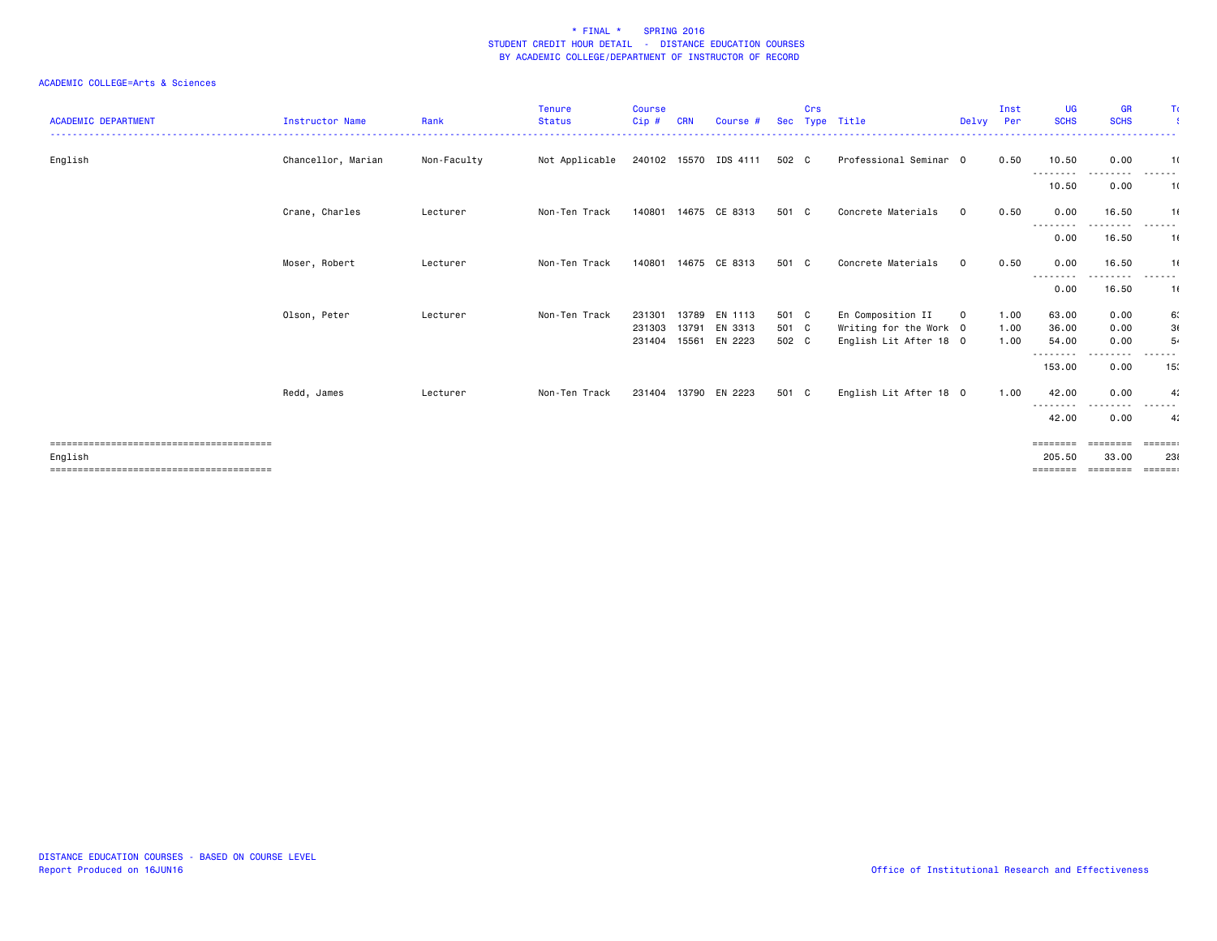| <b>ACADEMIC DEPARTMENT</b> | Instructor Name    | Rank        | Tenure<br><b>Status</b> | <b>Course</b><br>Cip # | <b>CRN</b> | Course #                 |                | Crs | Sec Type Title                                   | Delvy        | Inst<br>Per  | UG<br><b>SCHS</b>  | <b>GR</b><br><b>SCHS</b> | Τc                          |
|----------------------------|--------------------|-------------|-------------------------|------------------------|------------|--------------------------|----------------|-----|--------------------------------------------------|--------------|--------------|--------------------|--------------------------|-----------------------------|
| English                    | Chancellor, Marian | Non-Faculty | Not Applicable          |                        |            | 240102 15570 IDS 4111    | 502 C          |     | Professional Seminar 0                           |              | 0.50         | 10.50              | 0.00                     | 1(                          |
|                            |                    |             |                         |                        |            |                          |                |     |                                                  |              |              | ---------<br>10.50 | 0.00                     | -------<br>1(               |
|                            | Crane, Charles     | Lecturer    | Non-Ten Track           | 140801                 |            | 14675 CE 8313            | 501 C          |     | Concrete Materials                               | $\mathbf{0}$ | 0.50         | 0.00               | 16.50                    | 1(                          |
|                            |                    |             |                         |                        |            |                          |                |     |                                                  |              |              | --------<br>0.00   | 16.50                    | 1(                          |
|                            | Moser, Robert      | Lecturer    | Non-Ten Track           | 140801                 |            | 14675 CE 8313            | 501 C          |     | Concrete Materials                               | $\mathbf 0$  | 0.50         | 0.00<br>--------   | 16.50<br>---------       | 1(<br>.                     |
|                            |                    |             |                         |                        |            |                          |                |     |                                                  |              |              | 0.00               | 16.50                    | 1(                          |
|                            | Olson, Peter       | Lecturer    | Non-Ten Track           | 231301                 | 13789      | EN 1113                  | 501 C          |     | En Composition II                                | $\mathbf{O}$ | 1.00         | 63.00              | 0.00                     | 6.                          |
|                            |                    |             |                         | 231303<br>231404       | 13791      | EN 3313<br>15561 EN 2223 | 501 C<br>502 C |     | Writing for the Work 0<br>English Lit After 18 0 |              | 1.00<br>1.00 | 36.00<br>54.00     | 0.00<br>0.00             | 3(<br>5.                    |
|                            |                    |             |                         |                        |            |                          |                |     |                                                  |              |              | ---------          | - - - -                  |                             |
|                            |                    |             |                         |                        |            |                          |                |     |                                                  |              |              | 153.00             | 0.00                     | 15 <sub>1</sub>             |
|                            | Redd, James        | Lecturer    | Non-Ten Track           |                        |            | 231404 13790 EN 2223     | 501 C          |     | English Lit After 18 0                           |              | 1.00         | 42.00<br>--------- | 0.00<br>----             | 4 <sub>i</sub><br>------    |
|                            |                    |             |                         |                        |            |                          |                |     |                                                  |              |              | 42.00              | 0.00                     | 4 <sub>i</sub>              |
|                            |                    |             |                         |                        |            |                          |                |     |                                                  |              |              | $=$ = = = = = = =  | ========                 | $=$ $=$ $=$ $=$ $=$ $=$ $=$ |
| English                    |                    |             |                         |                        |            |                          |                |     |                                                  |              |              | 205.50             | 33.00                    | 231                         |
|                            |                    |             |                         |                        |            |                          |                |     |                                                  |              |              | ========           | ========                 | $=$ $=$ $=$ $=$ $=$ $=$ $=$ |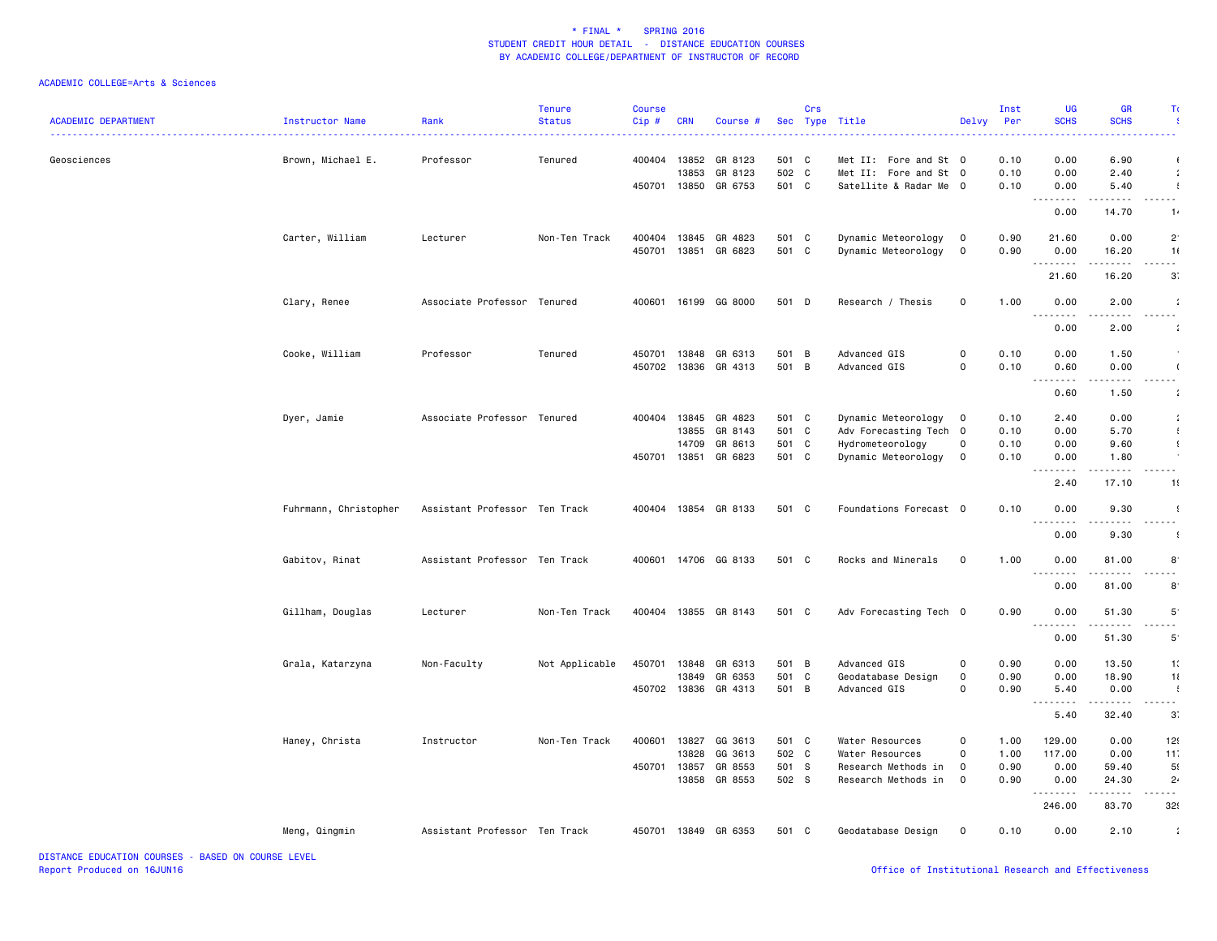|                            |                       |                               | <b>Tenure</b>  | <b>Course</b> |              |                      |                | Crs |                        |                   | Inst         | <b>UG</b>                                    | <b>GR</b>          | T)                  |
|----------------------------|-----------------------|-------------------------------|----------------|---------------|--------------|----------------------|----------------|-----|------------------------|-------------------|--------------|----------------------------------------------|--------------------|---------------------|
| <b>ACADEMIC DEPARTMENT</b> | Instructor Name       | Rank                          | <b>Status</b>  | Cip#          | <b>CRN</b>   | Course #             |                |     | Sec Type Title         | Delvy             | Per          | <b>SCHS</b>                                  | <b>SCHS</b>        |                     |
| Geosciences                | Brown, Michael E.     | Professor                     | Tenured        | 400404 13852  |              | GR 8123              | 501 C          |     | Met II: Fore and St 0  |                   | 0.10         | 0.00                                         | 6.90               |                     |
|                            |                       |                               |                |               | 13853        | GR 8123              | 502 C          |     | Met II: Fore and St 0  |                   | 0.10         | 0.00                                         | 2.40               |                     |
|                            |                       |                               |                | 450701 13850  |              | GR 6753              | 501 C          |     | Satellite & Radar Me 0 |                   | 0.10         | 0.00                                         | 5.40               | $\overline{1}$      |
|                            |                       |                               |                |               |              |                      |                |     |                        |                   |              | .                                            | .                  | .                   |
|                            |                       |                               |                |               |              |                      |                |     |                        |                   |              | 0.00                                         | 14.70              | 1.                  |
|                            | Carter, William       | Lecturer                      | Non-Ten Track  | 400404        | 13845        | GR 4823              | 501 C          |     | Dynamic Meteorology    | $\mathbf 0$       | 0.90         | 21.60                                        | 0.00               | $2^{\circ}$         |
|                            |                       |                               |                |               | 450701 13851 | GR 6823              | 501 C          |     | Dynamic Meteorology    | 0                 | 0.90         | 0.00                                         | 16.20              | 1(                  |
|                            |                       |                               |                |               |              |                      |                |     |                        |                   |              | .<br>21.60                                   | .<br>16.20         | .<br>3 <sup>2</sup> |
|                            |                       |                               |                |               |              |                      |                |     |                        |                   |              |                                              |                    |                     |
|                            | Clary, Renee          | Associate Professor Tenured   |                |               |              | 400601 16199 GG 8000 | 501 D          |     | Research / Thesis      | $\mathsf{O}$      | 1.00         | 0.00<br>$\sim$ $\sim$ $\sim$<br>. <u>.</u> . | 2.00               |                     |
|                            |                       |                               |                |               |              |                      |                |     |                        |                   |              | 0.00                                         | 2.00               |                     |
|                            |                       | Professor                     | Tenured        | 450701 13848  |              | GR 6313              |                |     | Advanced GIS           | $\Omega$          | 0.10         | 0.00                                         |                    |                     |
|                            | Cooke, William        |                               |                | 450702        | 13836        | GR 4313              | 501 B<br>501 B |     | Advanced GIS           | $\Omega$          | 0.10         | 0.60                                         | 1.50<br>0.00       |                     |
|                            |                       |                               |                |               |              |                      |                |     |                        |                   |              | .                                            | .                  | .                   |
|                            |                       |                               |                |               |              |                      |                |     |                        |                   |              | 0.60                                         | 1.50               |                     |
|                            | Dyer, Jamie           | Associate Professor Tenured   |                | 400404        | 13845        | GR 4823              | 501 C          |     | Dynamic Meteorology    | $\circ$           | 0.10         | 2.40                                         | 0.00               | $\cdot$             |
|                            |                       |                               |                |               | 13855        | GR 8143              | 501 C          |     | Adv Forecasting Tech 0 |                   | 0.10         | 0.00                                         | 5.70               | $\mathfrak{t}$      |
|                            |                       |                               |                |               | 14709        | GR 8613              | 501 C          |     | Hydrometeorology       | $\mathsf{o}$      | 0.10         | 0.00                                         | 9.60               | $\mathfrak{g}$      |
|                            |                       |                               |                | 450701        | 13851        | GR 6823              | 501 C          |     | Dynamic Meteorology    | $\mathbf 0$       | 0.10         | 0.00                                         | 1.80               |                     |
|                            |                       |                               |                |               |              |                      |                |     |                        |                   |              | .<br>2.40                                    | 2.2.2.2.2<br>17.10 | .<br>1!             |
|                            | Fuhrmann, Christopher | Assistant Professor Ten Track |                | 400404 13854  |              | GR 8133              | 501 C          |     | Foundations Forecast 0 |                   | 0.10         | 0.00                                         | 9.30               | $\cdot$             |
|                            |                       |                               |                |               |              |                      |                |     |                        |                   |              | $\sim$ $\sim$ $\sim$<br>.<br>0.00            | .<br>9.30          |                     |
|                            |                       |                               |                |               |              |                      |                |     |                        |                   |              |                                              |                    |                     |
|                            | Gabitov, Rinat        | Assistant Professor Ten Track |                |               |              | 400601 14706 GG 8133 | 501 C          |     | Rocks and Minerals     | $\mathbf 0$       | 1.00         | 0.00<br>$\frac{1}{2}$                        | 81.00              | 8                   |
|                            |                       |                               |                |               |              |                      |                |     |                        |                   |              | 0.00                                         | 81.00              | $8^{\circ}$         |
|                            | Gillham, Douglas      | Lecturer                      | Non-Ten Track  |               |              | 400404 13855 GR 8143 | 501 C          |     | Adv Forecasting Tech 0 |                   | 0.90         | 0.00                                         | 51.30              | $5^{\circ}$         |
|                            |                       |                               |                |               |              |                      |                |     |                        |                   |              | 0.00                                         | 51.30              | $5^{\circ}$         |
|                            |                       |                               |                |               |              |                      |                |     |                        |                   |              |                                              |                    |                     |
|                            | Grala, Katarzyna      | Non-Faculty                   | Not Applicable | 450701        | 13848        | GR 6313              | 501 B          |     | Advanced GIS           | $\Omega$          | 0.90         | 0.00                                         | 13.50              | 1:                  |
|                            |                       |                               |                |               | 13849        | GR 6353              | 501 C<br>501 B |     | Geodatabase Design     | $\mathsf{o}$<br>0 | 0.90<br>0.90 | 0.00                                         | 18.90              | 11<br>$\cdot$       |
|                            |                       |                               |                |               |              | 450702 13836 GR 4313 |                |     | Advanced GIS           |                   |              | 5.40<br>-----<br>$  -$                       | 0.00<br>.          | - - -               |
|                            |                       |                               |                |               |              |                      |                |     |                        |                   |              | 5.40                                         | 32.40              | 3 <sup>2</sup>      |
|                            | Haney, Christa        | Instructor                    | Non-Ten Track  | 400601        | 13827        | GG 3613              | 501 C          |     | Water Resources        | $\Omega$          | 1.00         | 129.00                                       | 0.00               | 12!                 |
|                            |                       |                               |                |               | 13828        | GG 3613              | 502 C          |     | Water Resources        | 0                 | 1.00         | 117.00                                       | 0.00               | 11                  |
|                            |                       |                               |                | 450701        | 13857        | GR 8553              | 501 S          |     | Research Methods in    | $\mathbf 0$       | 0.90         | 0.00                                         | 59.40              | 5(                  |
|                            |                       |                               |                |               | 13858        | GR 8553              | 502 S          |     | Research Methods in    | $\mathbf 0$       | 0.90         | 0.00<br>.                                    | 24.30<br><b>.</b>  | $2^{i}$<br>.        |
|                            |                       |                               |                |               |              |                      |                |     |                        |                   |              | 246.00                                       | 83.70              | 32                  |
|                            | Meng, Qingmin         | Assistant Professor Ten Track |                |               |              | 450701 13849 GR 6353 | 501 C          |     | Geodatabase Design     | 0                 | 0.10         | 0.00                                         | 2.10               | $\cdot$             |
|                            |                       |                               |                |               |              |                      |                |     |                        |                   |              |                                              |                    |                     |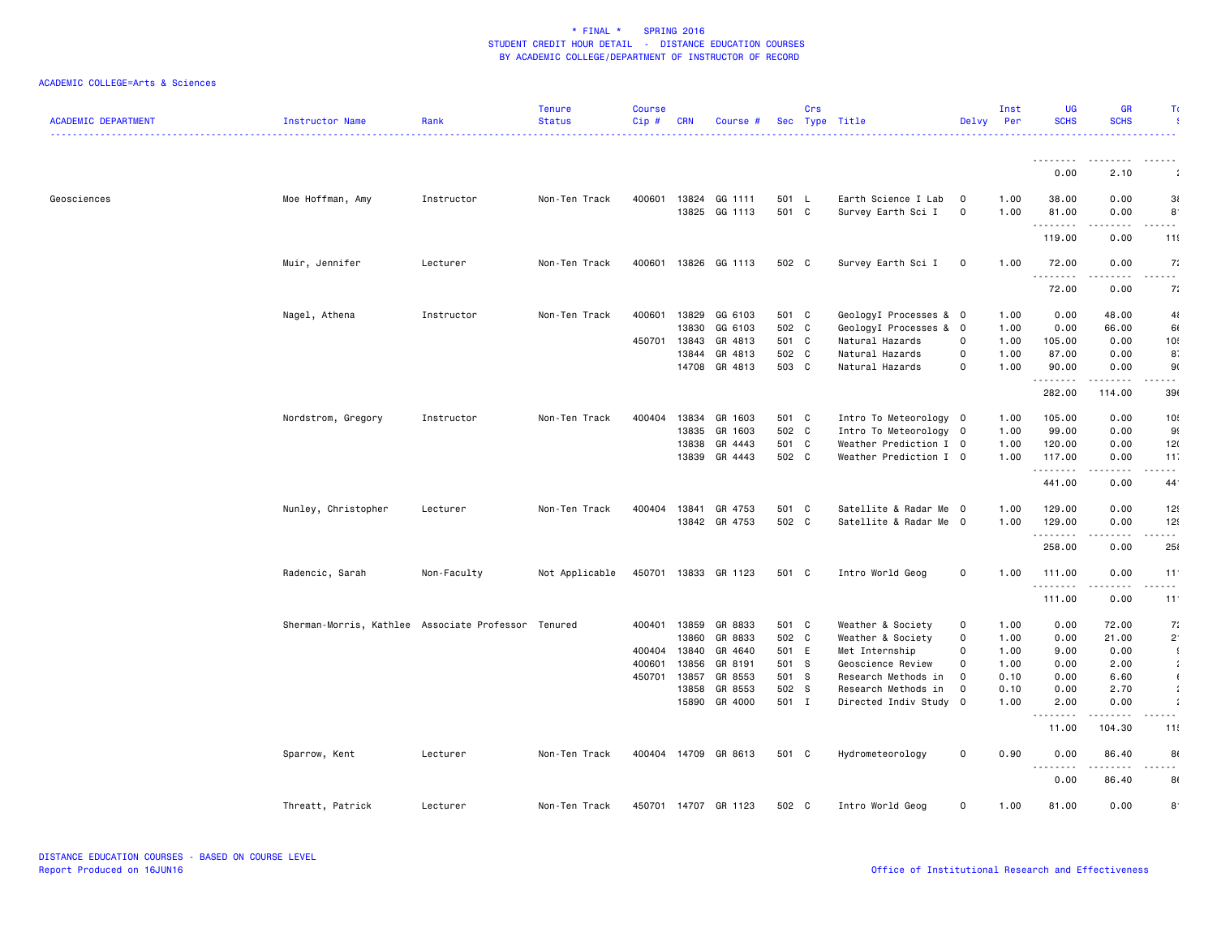| <b>ACADEMIC DEPARTMENT</b> | Instructor Name                                     | Rank        | <b>Tenure</b><br><b>Status</b> | <b>Course</b><br>Cip# | <b>CRN</b> | Course #             |       | Crs | Sec Type Title         | Delvy                    | Inst<br>Per | <b>UG</b><br><b>SCHS</b>    | <b>GR</b><br><b>SCHS</b> | Τı              |
|----------------------------|-----------------------------------------------------|-------------|--------------------------------|-----------------------|------------|----------------------|-------|-----|------------------------|--------------------------|-------------|-----------------------------|--------------------------|-----------------|
|                            |                                                     |             |                                |                       |            |                      |       |     |                        |                          |             |                             |                          |                 |
|                            |                                                     |             |                                |                       |            |                      |       |     |                        |                          |             | --------<br>0.00            | .<br>2.10                |                 |
| Geosciences                | Moe Hoffman, Amy                                    | Instructor  | Non-Ten Track                  | 400601                | 13824      | GG 1111              | 501 L |     | Earth Science I Lab    | $\mathbf 0$              | 1.00        | 38.00                       | 0.00                     | 3 <sub>i</sub>  |
|                            |                                                     |             |                                |                       | 13825      | GG 1113              | 501 C |     | Survey Earth Sci I     | 0                        | 1.00        | 81.00                       | 0.00                     | $8^{\circ}$     |
|                            |                                                     |             |                                |                       |            |                      |       |     |                        |                          |             | .                           |                          | .               |
|                            |                                                     |             |                                |                       |            |                      |       |     |                        |                          |             | 119.00                      | 0.00                     | 11              |
|                            | Muir, Jennifer                                      | Lecturer    | Non-Ten Track                  |                       |            | 400601 13826 GG 1113 | 502 C |     | Survey Earth Sci I     | $\mathbf 0$              | 1.00        | 72.00                       | 0.00                     | 7:              |
|                            |                                                     |             |                                |                       |            |                      |       |     |                        |                          |             | $\sim$ $\sim$ $\sim$ $\sim$ |                          |                 |
|                            |                                                     |             |                                |                       |            |                      |       |     |                        |                          |             | 72.00                       | 0.00                     | 7:              |
|                            | Nagel, Athena                                       | Instructor  | Non-Ten Track                  | 400601                | 13829      | GG 6103              | 501 C |     | GeologyI Processes & O |                          | 1.00        | 0.00                        | 48.00                    | 41              |
|                            |                                                     |             |                                |                       | 13830      | GG 6103              | 502 C |     | GeologyI Processes & 0 |                          | 1.00        | 0.00                        | 66.00                    | 61              |
|                            |                                                     |             |                                | 450701                | 13843      | GR 4813              | 501 C |     | Natural Hazards        | 0                        | 1.00        | 105.00                      | 0.00                     | 10              |
|                            |                                                     |             |                                |                       | 13844      | GR 4813              | 502 C |     | Natural Hazards        | $\mathbf 0$              | 1.00        | 87.00                       | 0.00                     | 8               |
|                            |                                                     |             |                                |                       | 14708      | GR 4813              | 503 C |     | Natural Hazards        | $\mathbf 0$              | 1.00        | 90.00                       | 0.00                     | 9(              |
|                            |                                                     |             |                                |                       |            |                      |       |     |                        |                          |             | .<br>282.00                 | 114.00                   | 39              |
|                            | Nordstrom, Gregory                                  | Instructor  | Non-Ten Track                  | 400404                | 13834      | GR 1603              | 501 C |     | Intro To Meteorology 0 |                          | 1.00        | 105.00                      | 0.00                     | 10!             |
|                            |                                                     |             |                                |                       | 13835      | GR 1603              | 502 C |     | Intro To Meteorology 0 |                          | 1.00        | 99.00                       | 0.00                     | 9               |
|                            |                                                     |             |                                |                       | 13838      | GR 4443              | 501 C |     | Weather Prediction I 0 |                          | 1.00        | 120.00                      | 0.00                     | 12(             |
|                            |                                                     |             |                                |                       |            | 13839 GR 4443        | 502 C |     | Weather Prediction I 0 |                          | 1.00        | 117.00                      | 0.00                     | 11              |
|                            |                                                     |             |                                |                       |            |                      |       |     |                        |                          |             | .                           | .                        | $ -$            |
|                            |                                                     |             |                                |                       |            |                      |       |     |                        |                          |             | 441.00                      | 0.00                     | 44              |
|                            | Nunley, Christopher                                 | Lecturer    | Non-Ten Track                  | 400404                | 13841      | GR 4753              | 501 C |     | Satellite & Radar Me   | $\overline{\phantom{0}}$ | 1.00        | 129.00                      | 0.00                     | 12              |
|                            |                                                     |             |                                |                       |            | 13842 GR 4753        | 502 C |     | Satellite & Radar Me 0 |                          | 1.00        | 129.00                      | 0.00                     | 12!             |
|                            |                                                     |             |                                |                       |            |                      |       |     |                        |                          |             | .<br>258.00                 | $- - - -$<br>0.00        | .<br>25         |
|                            |                                                     |             |                                | 450701 13833          |            |                      | 501 C |     | Intro World Geog       | $\mathsf{o}\xspace$      | 1.00        |                             | 0.00                     | 11              |
|                            | Radencic, Sarah                                     | Non-Faculty | Not Applicable                 |                       |            | GR 1123              |       |     |                        |                          |             | 111.00<br>.                 | .                        | .               |
|                            |                                                     |             |                                |                       |            |                      |       |     |                        |                          |             | 111.00                      | 0.00                     | 11 <sup>1</sup> |
|                            | Sherman-Morris, Kathlee Associate Professor Tenured |             |                                | 400401                | 13859      | GR 8833              | 501 C |     | Weather & Society      | 0                        | 1.00        | 0.00                        | 72.00                    | 7:              |
|                            |                                                     |             |                                |                       | 13860      | GR 8833              | 502 C |     | Weather & Society      | $\mathsf{O}\xspace$      | 1.00        | 0.00                        | 21.00                    | $2^{\cdot}$     |
|                            |                                                     |             |                                | 400404                | 13840      | GR 4640              | 501 E |     | Met Internship         | 0                        | 1.00        | 9.00                        | 0.00                     | $\cdot$         |
|                            |                                                     |             |                                | 400601                | 13856      | GR 8191              | 501 S |     | Geoscience Review      | 0                        | 1.00        | 0.00                        | 2.00                     | $\mathcal{I}$   |
|                            |                                                     |             |                                | 450701                | 13857      | GR 8553              | 501 S |     | Research Methods in    | $\mathbf{o}$             | 0.10        | 0.00                        | 6.60                     | $\mathbf{I}$    |
|                            |                                                     |             |                                |                       | 13858      | GR 8553              | 502 S |     | Research Methods in    | $\mathbf 0$              | 0.10        | 0.00                        | 2.70                     | $\mathbf{r}$    |
|                            |                                                     |             |                                |                       |            | 15890 GR 4000        | 501 I |     | Directed Indiv Study 0 |                          | 1.00        | 2.00                        | 0.00                     |                 |
|                            |                                                     |             |                                |                       |            |                      |       |     |                        |                          |             | 11.00                       | 104.30                   | 11!             |
|                            | Sparrow, Kent                                       | Lecturer    | Non-Ten Track                  |                       |            | 400404 14709 GR 8613 | 501 C |     | Hydrometeorology       | 0                        | 0.90        | 0.00                        | 86.40                    | 8               |
|                            |                                                     |             |                                |                       |            |                      |       |     |                        |                          |             | .<br>0.00                   | .<br>86.40               | .<br>8          |
|                            | Threatt, Patrick                                    | Lecturer    | Non-Ten Track                  | 450701 14707          |            | GR 1123              | 502 C |     | Intro World Geog       | 0                        | 1.00        | 81.00                       | 0.00                     | $8^{\circ}$     |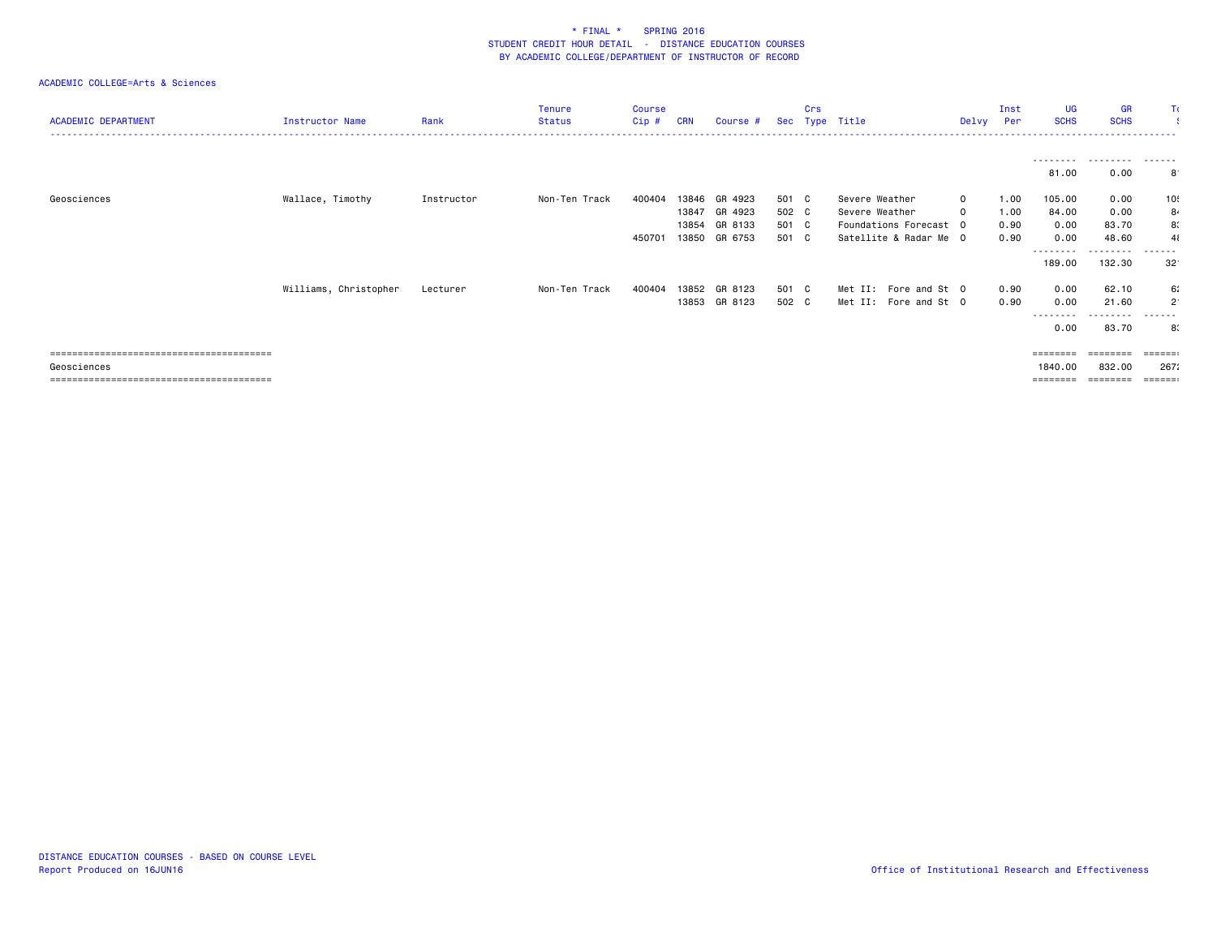| <b>ACADEMIC DEPARTMENT</b> | Instructor Name       | Rank       | Tenure<br>Status | <b>Course</b><br>Cip# | <b>CRN</b> | Course #      |       | Crs | Sec Type Title         | Delvy        | Inst<br>Per | <b>UG</b><br><b>SCHS</b> | <b>GR</b><br><b>SCHS</b> |                         |
|----------------------------|-----------------------|------------|------------------|-----------------------|------------|---------------|-------|-----|------------------------|--------------|-------------|--------------------------|--------------------------|-------------------------|
|                            |                       |            |                  |                       |            |               |       |     |                        |              |             | ---------<br>81.00       | .<br>0.00                | -------<br>8            |
| Geosciences                | Wallace, Timothy      | Instructor | Non-Ten Track    | 400404                |            | 13846 GR 4923 | 501 C |     | Severe Weather         | $\mathbf{0}$ | 1.00        | 105.00                   | 0.00                     | 10!                     |
|                            |                       |            |                  |                       | 13847      | GR 4923       | 502 C |     | Severe Weather         | 0            | 1.00        | 84.00                    | 0.00                     | 84                      |
|                            |                       |            |                  |                       | 13854      | GR 8133       | 501 C |     | Foundations Forecast 0 |              | 0.90        | 0.00                     | 83.70                    | 8.                      |
|                            |                       |            |                  | 450701                | 13850      | GR 6753       | 501 C |     | Satellite & Radar Me 0 |              | 0.90        | 0.00                     | 48.60                    | 41                      |
|                            |                       |            |                  |                       |            |               |       |     |                        |              |             | ---------<br>189.00      | --------<br>132.30       | .<br>$32^{\circ}$       |
|                            | Williams, Christopher | Lecturer   | Non-Ten Track    | 400404                | 13852      | GR 8123       | 501 C |     | Met II: Fore and St 0  |              | 0.90        | 0.00                     | 62.10                    | 6.                      |
|                            |                       |            |                  |                       | 13853      | GR 8123       | 502 C |     | Met II: Fore and St 0  |              | 0.90        | 0.00                     | 21.60                    | $\overline{2}$          |
|                            |                       |            |                  |                       |            |               |       |     |                        |              |             | --------<br>0.00         | --------<br>83.70        | -------<br>8.           |
|                            |                       |            |                  |                       |            |               |       |     |                        |              |             | $=$ = = = = = = =        | ========                 | $=$ $=$ $=$ $=$ $=$ $=$ |
| Geosciences                |                       |            |                  |                       |            |               |       |     |                        |              |             | 1840.00                  | 832.00                   | 267:                    |
|                            |                       |            |                  |                       |            |               |       |     |                        |              |             | ========                 | ========                 | $= = = = = = :$         |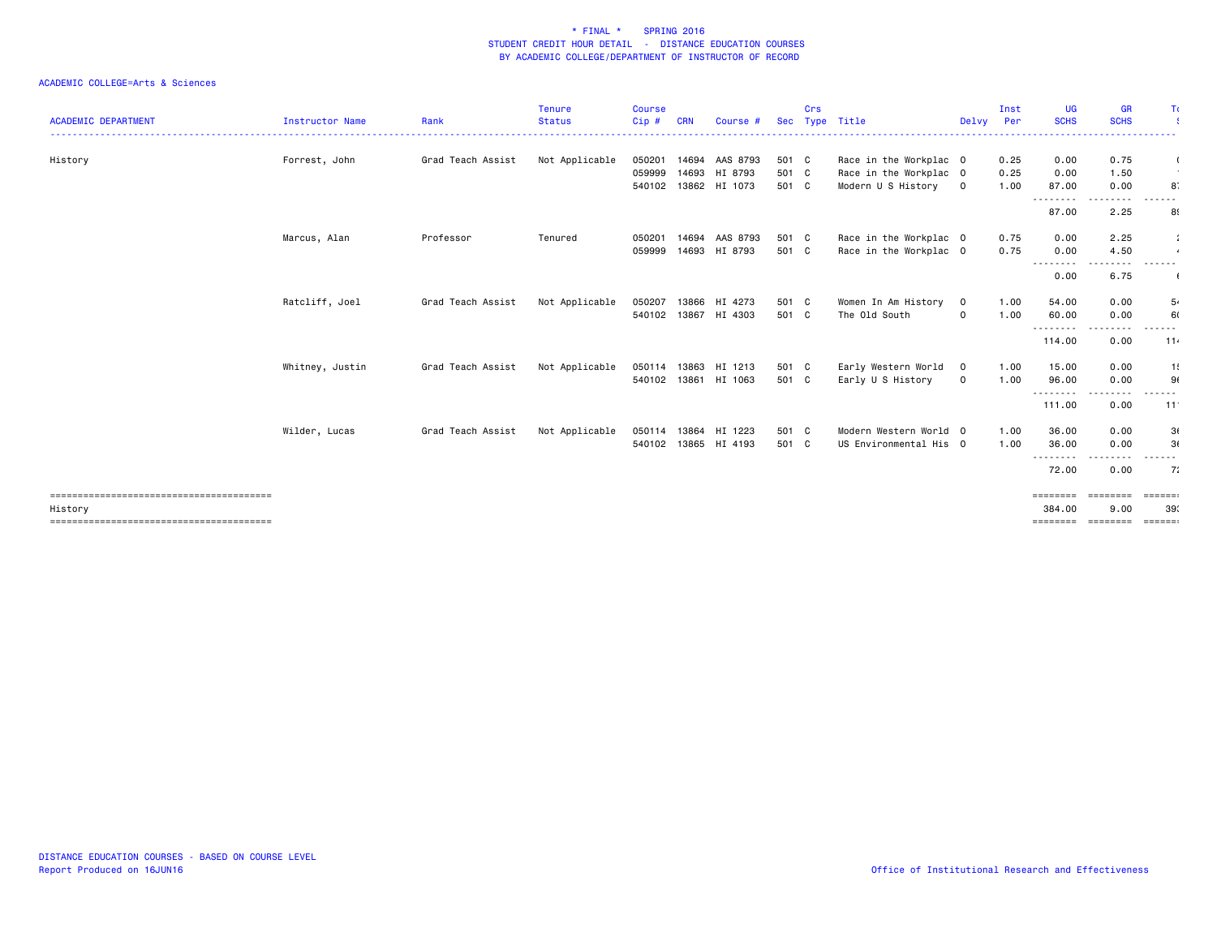|                            |                        |                   | <b>Tenure</b>  | <b>Course</b> |       |                      |       | Crs |                        |             | Inst | <b>UG</b>          | <b>GR</b>            | Τı                       |
|----------------------------|------------------------|-------------------|----------------|---------------|-------|----------------------|-------|-----|------------------------|-------------|------|--------------------|----------------------|--------------------------|
| <b>ACADEMIC DEPARTMENT</b> | <b>Instructor Name</b> | Rank              | <b>Status</b>  | Cip #         | CRN   | Course #             | Sec   |     | Type Title             | Delvy       | Per  | <b>SCHS</b>        | <b>SCHS</b>          |                          |
| History                    | Forrest, John          | Grad Teach Assist | Not Applicable | 050201        | 14694 | AAS 8793             | 501 C |     | Race in the Workplac 0 |             | 0.25 | 0.00               | 0.75                 |                          |
|                            |                        |                   |                | 059999        |       | 14693 HI 8793        | 501 C |     | Race in the Workplac 0 |             | 0.25 | 0.00               | 1.50                 |                          |
|                            |                        |                   |                | 540102        |       | 13862 HI 1073        | 501 C |     | Modern U S History 0   |             | 1.00 | 87.00<br>--------- | 0.00<br>. <b>.</b> . | 8.                       |
|                            |                        |                   |                |               |       |                      |       |     |                        |             |      | 87.00              | 2.25                 | 8                        |
|                            | Marcus, Alan           | Professor         | Tenured        | 050201        | 14694 | AAS 8793             | 501 C |     | Race in the Workplac 0 |             | 0.75 | 0.00               | 2.25                 |                          |
|                            |                        |                   |                | 059999        | 14693 | HI 8793              | 501 C |     | Race in the Workplac 0 |             | 0.75 | 0.00<br>--------   | 4.50<br>.            | $\overline{4}$<br>------ |
|                            |                        |                   |                |               |       |                      |       |     |                        |             |      | 0.00               | 6.75                 |                          |
|                            | Ratcliff, Joel         | Grad Teach Assist | Not Applicable | 050207        | 13866 | HI 4273              | 501 C |     | Women In Am History    | $\mathbf 0$ | 1.00 | 54.00              | 0.00                 | 5.                       |
|                            |                        |                   |                | 540102        |       | 13867 HI 4303        | 501 C |     | The Old South          | $\mathbf 0$ | 1.00 | 60.00<br>--------- | 0.00<br>----         | 60                       |
|                            |                        |                   |                |               |       |                      |       |     |                        |             |      | 114.00             | 0.00                 | 11.                      |
|                            | Whitney, Justin        | Grad Teach Assist | Not Applicable | 050114        | 13863 | HI 1213              | 501 C |     | Early Western World    | $\mathbf 0$ | 1.00 | 15.00              | 0.00                 | 1!                       |
|                            |                        |                   |                |               |       | 540102 13861 HI 1063 | 501 C |     | Early U S History      | $\mathbf 0$ | 1.00 | 96.00<br>--------  | 0.00<br>.            | 9(<br>------             |
|                            |                        |                   |                |               |       |                      |       |     |                        |             |      | 111.00             | 0.00                 | 11                       |
|                            | Wilder, Lucas          | Grad Teach Assist | Not Applicable | 050114 13864  |       | HI 1223              | 501 C |     | Modern Western World 0 |             | 1.00 | 36.00              | 0.00                 | 3(                       |
|                            |                        |                   |                |               |       | 540102 13865 HI 4193 | 501 C |     | US Environmental His 0 |             | 1.00 | 36.00              | 0.00                 | 3(                       |
|                            |                        |                   |                |               |       |                      |       |     |                        |             |      | ---------          |                      |                          |
|                            |                        |                   |                |               |       |                      |       |     |                        |             |      | 72.00              | 0.00                 | 7:                       |
|                            |                        |                   |                |               |       |                      |       |     |                        |             |      | ========           | <b>EEEEEEE</b>       | $=$ ======               |
| History                    |                        |                   |                |               |       |                      |       |     |                        |             |      | 384.00             | 9.00                 | 39.                      |
|                            |                        |                   |                |               |       |                      |       |     |                        |             |      | ========           | ========             | $=$ ======               |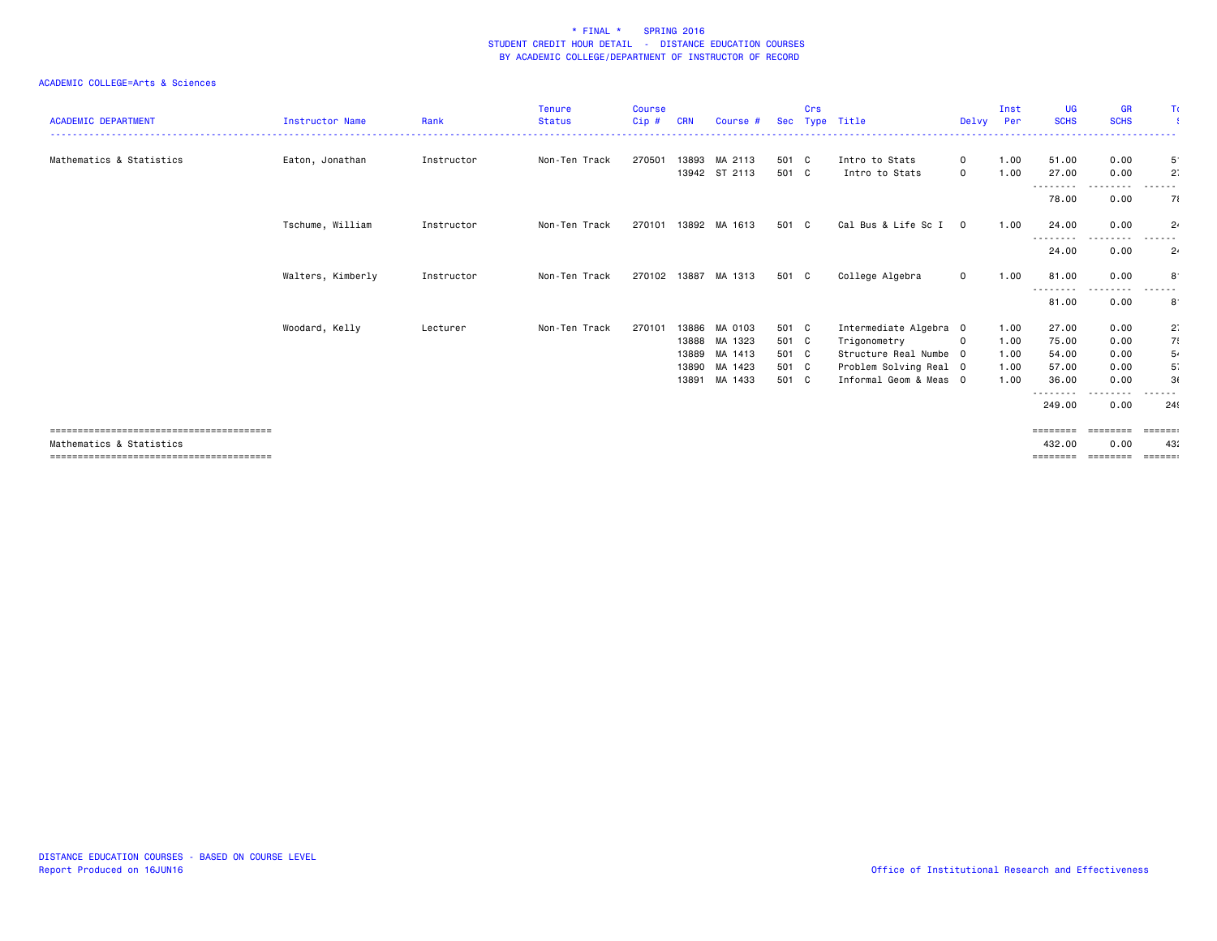| <b>ACADEMIC DEPARTMENT</b> | <b>Instructor Name</b> | Rank       | <b>Tenure</b><br><b>Status</b> | <b>Course</b><br>$Cip$ # | <b>CRN</b> | Course #                       |                | Crs | Sec Type Title                   | Delvy                       | Inst<br>Per  | <b>UG</b><br><b>SCHS</b> | <b>GR</b><br><b>SCHS</b>                                                                                                          | Tι                          |
|----------------------------|------------------------|------------|--------------------------------|--------------------------|------------|--------------------------------|----------------|-----|----------------------------------|-----------------------------|--------------|--------------------------|-----------------------------------------------------------------------------------------------------------------------------------|-----------------------------|
| Mathematics & Statistics   | Eaton, Jonathan        | Instructor | Non-Ten Track                  | 270501                   |            | 13893 MA 2113<br>13942 ST 2113 | 501 C<br>501 C |     | Intro to Stats<br>Intro to Stats | $\mathbf 0$<br>$\mathbf{O}$ | 1.00<br>1.00 | 51.00<br>27.00           | 0.00<br>0.00                                                                                                                      | $5^{\circ}$<br>$2^{\circ}$  |
|                            |                        |            |                                |                          |            |                                |                |     |                                  |                             |              | ---------<br>78.00       | - - - -<br>0.00                                                                                                                   | 71                          |
|                            | Tschume, William       | Instructor | Non-Ten Track                  | 270101                   |            | 13892 MA 1613                  | 501 C          |     | Cal Bus & Life Sc I              | $\overline{0}$              | 1.00         | 24.00<br>---------       | 0.00<br>$\frac{1}{2} \left( \frac{1}{2} \right) \left( \frac{1}{2} \right) \left( \frac{1}{2} \right) \left( \frac{1}{2} \right)$ | $2\cdot$<br>.               |
|                            |                        |            |                                |                          |            |                                |                |     |                                  |                             |              | 24.00                    | 0.00                                                                                                                              | $2\cdot$                    |
|                            | Walters, Kimberly      | Instructor | Non-Ten Track                  | 270102 13887             |            | MA 1313                        | 501 C          |     | College Algebra                  | $\mathbf 0$                 | 1.00         | 81.00<br>--------        | 0.00                                                                                                                              | 8                           |
|                            |                        |            |                                |                          |            |                                |                |     |                                  |                             |              | 81.00                    | 0.00                                                                                                                              | $8^{\cdot}$                 |
|                            | Woodard, Kelly         | Lecturer   | Non-Ten Track                  | 270101                   | 13886      | MA 0103                        | 501 C          |     | Intermediate Algebra 0           |                             | 1.00         | 27.00                    | 0.00                                                                                                                              | $2^{\cdot}$                 |
|                            |                        |            |                                |                          | 13888      | MA 1323                        | 501 C          |     | Trigonometry                     | $\mathbf 0$                 | 1.00         | 75.00                    | 0.00                                                                                                                              | 7.                          |
|                            |                        |            |                                |                          | 13889      | MA 1413                        | 501 C          |     | Structure Real Numbe 0           |                             | 1.00         | 54.00                    | 0.00                                                                                                                              | 5.                          |
|                            |                        |            |                                |                          | 13890      | MA 1423                        | 501 C          |     | Problem Solving Real 0           |                             | 1.00         | 57.00                    | 0.00                                                                                                                              | 5 <sup>°</sup>              |
|                            |                        |            |                                |                          | 13891      | MA 1433                        | 501 C          |     | Informal Geom & Meas 0           |                             | 1.00         | 36.00<br>--------        | 0.00                                                                                                                              | 3(                          |
|                            |                        |            |                                |                          |            |                                |                |     |                                  |                             |              | 249.00                   | 0.00                                                                                                                              | 24                          |
|                            |                        |            |                                |                          |            |                                |                |     |                                  |                             |              | $=$ = = = = = = =        | ========                                                                                                                          | $=$ $=$ $=$ $=$ $=$ $:$     |
| Mathematics & Statistics   |                        |            |                                |                          |            |                                |                |     |                                  |                             |              | 432.00                   | 0.00                                                                                                                              | 43:                         |
|                            |                        |            |                                |                          |            |                                |                |     |                                  |                             |              | ========                 | ========                                                                                                                          | $=$ $=$ $=$ $=$ $=$ $=$ $=$ |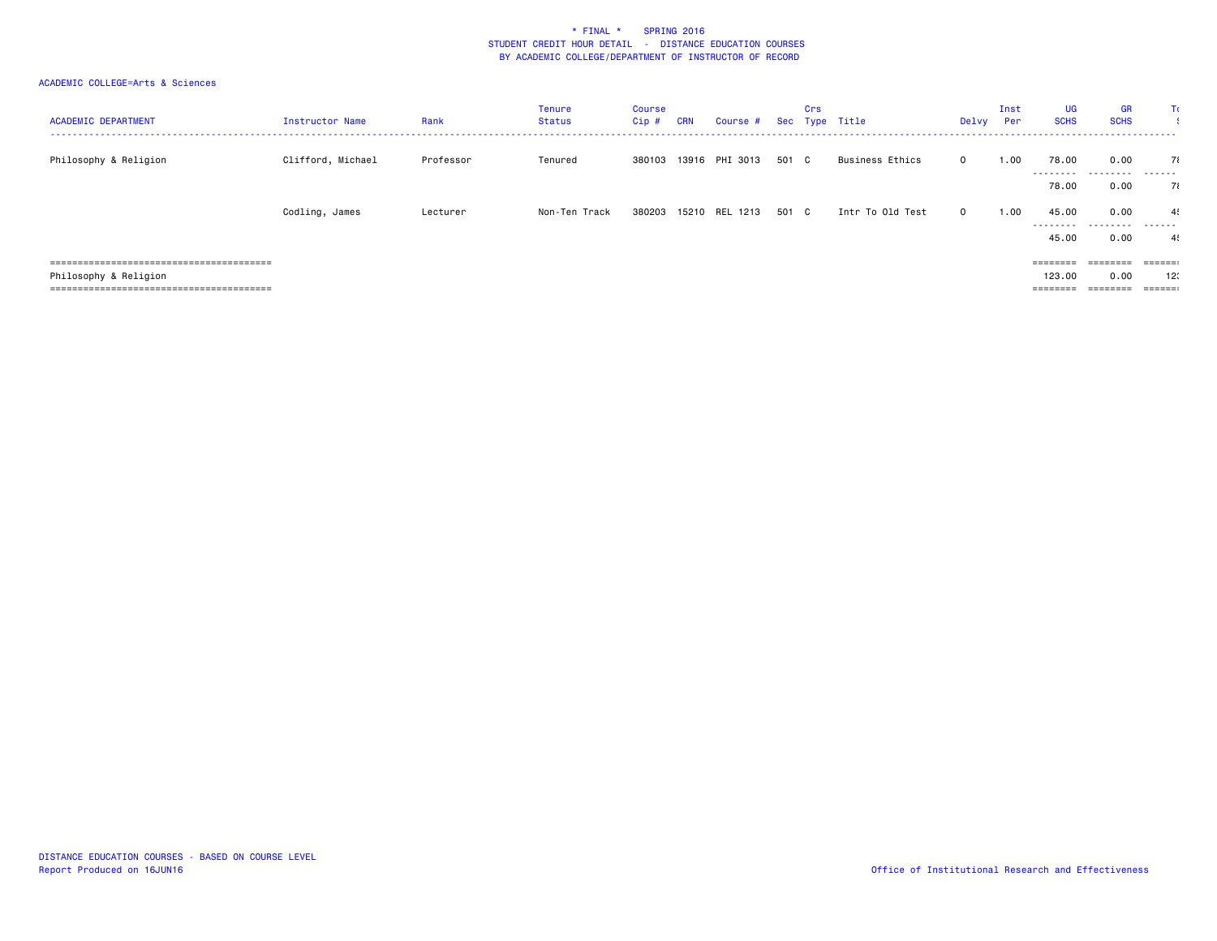| <b>ACADEMIC DEPARTMENT</b> | Instructor Name   | Rank      | Tenure<br>Status | Course<br>Cip # | <b>CRN</b> | Course # Sec Type Title |       | Crs |                  | Delvy        | Inst<br>Per | UG<br><b>SCHS</b>                                                           | <b>GR</b><br><b>SCHS</b><br>------------------- | Tα                      |
|----------------------------|-------------------|-----------|------------------|-----------------|------------|-------------------------|-------|-----|------------------|--------------|-------------|-----------------------------------------------------------------------------|-------------------------------------------------|-------------------------|
| Philosophy & Religion      | Clifford, Michael | Professor | Tenured          | 380103          | 13916      | PHI 3013                | 501 C |     | Business Ethics  | $\mathbf{0}$ | 1.00        | 78.00                                                                       | 0.00                                            | 71                      |
|                            |                   |           |                  |                 |            |                         |       |     |                  |              |             | --------<br>78.00                                                           | .<br>0.00                                       | .<br>71                 |
|                            | Codling, James    | Lecturer  | Non-Ten Track    | 380203          |            | 15210 REL 1213          | 501 C |     | Intr To Old Test | $\mathbf{0}$ | 1.00        | 45.00<br>.                                                                  | 0.00<br>.                                       | 4<br>.                  |
|                            |                   |           |                  |                 |            |                         |       |     |                  |              |             | 45.00                                                                       | 0.00                                            | 4                       |
|                            |                   |           |                  |                 |            |                         |       |     |                  |              |             | $\begin{array}{cccccccccc} = & = & = & = & = & = & = & = & = & \end{array}$ | ========                                        | $= 22222222$            |
| Philosophy & Religion      |                   |           |                  |                 |            |                         |       |     |                  |              |             | 123,00                                                                      | 0.00                                            | 12                      |
|                            |                   |           |                  |                 |            |                         |       |     |                  |              |             | ========                                                                    | ========                                        | $=$ $=$ $=$ $=$ $=$ $:$ |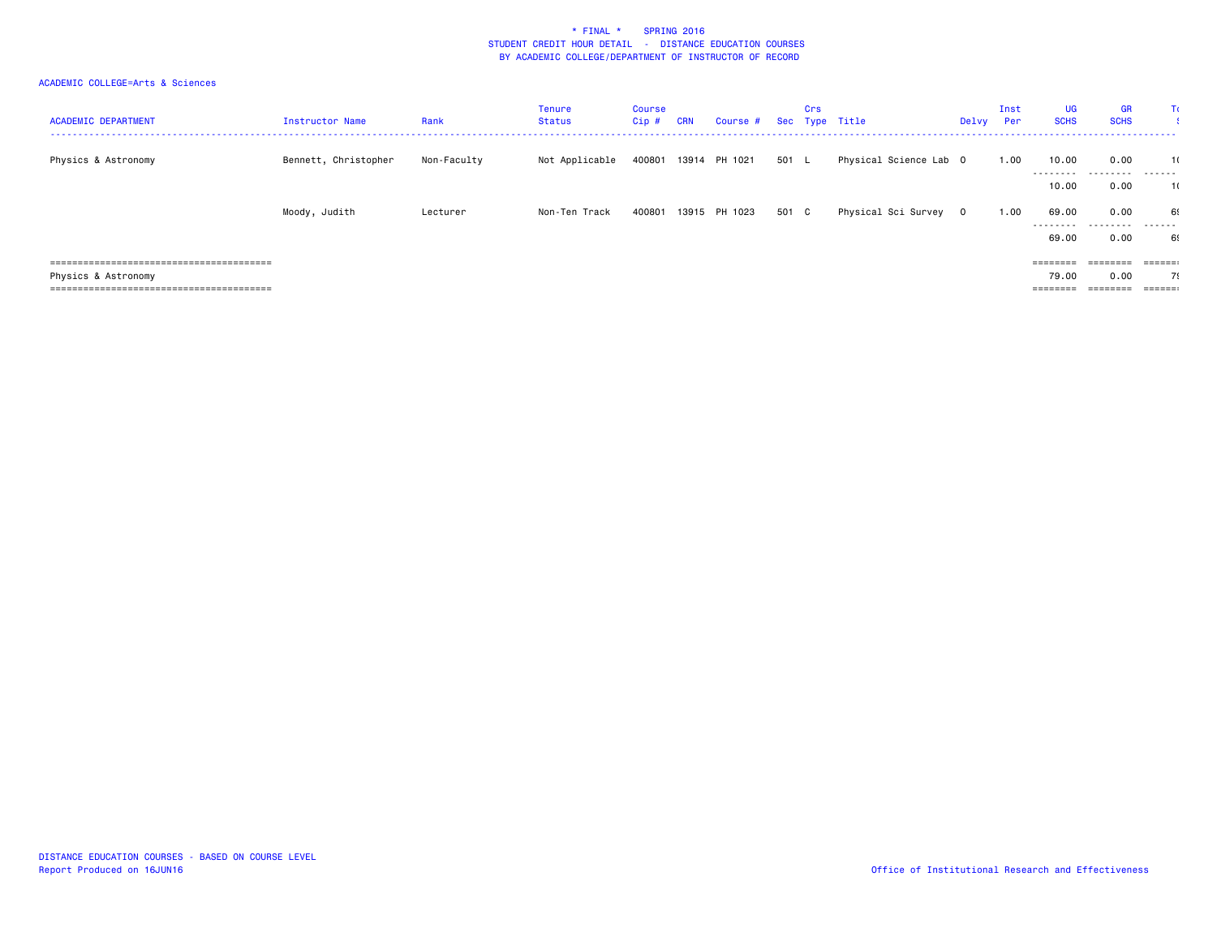| <b>ACADEMIC DEPARTMENT</b> | Instructor Name      | Rank        | Tenure<br>Status | Course<br>Cip # CRN | Course # Sec Type Title |       | Crs |                        | Delvy | Inst<br>Per | <b>UG</b><br><b>SCHS</b> | <b>GR</b><br><b>SCHS</b> | ΤC                          |
|----------------------------|----------------------|-------------|------------------|---------------------|-------------------------|-------|-----|------------------------|-------|-------------|--------------------------|--------------------------|-----------------------------|
| Physics & Astronomy        | Bennett, Christopher | Non-Faculty | Not Applicable   | 400801              | 13914 PH 1021           | 501 L |     | Physical Science Lab 0 |       | 1.00        | 10.00                    | 0.00                     | 1(                          |
|                            |                      |             |                  |                     |                         |       |     |                        |       |             | ---------<br>10.00       | .<br>0.00                | -------<br>1(               |
|                            | Moody, Judith        | Lecturer    | Non-Ten Track    | 400801              | 13915 PH 1023           | 501 C |     | Physical Sci Survey 0  |       | 1.00        | 69.00<br>---------       | 0.00<br>.                | 69<br>-------               |
|                            |                      |             |                  |                     |                         |       |     |                        |       |             | 69.00                    | 0.00                     | 69                          |
|                            |                      |             |                  |                     |                         |       |     |                        |       |             |                          | ========                 | $=$ $=$ $=$ $=$ $=$ $=$ $=$ |
| Physics & Astronomy        |                      |             |                  |                     |                         |       |     |                        |       |             | 79.00                    | 0.00                     | 79                          |
|                            |                      |             |                  |                     |                         |       |     |                        |       |             | $=$ = = = = = = =        | $=$ = = = = = = =        | $=$ $=$ $=$ $=$ $=$ $=$     |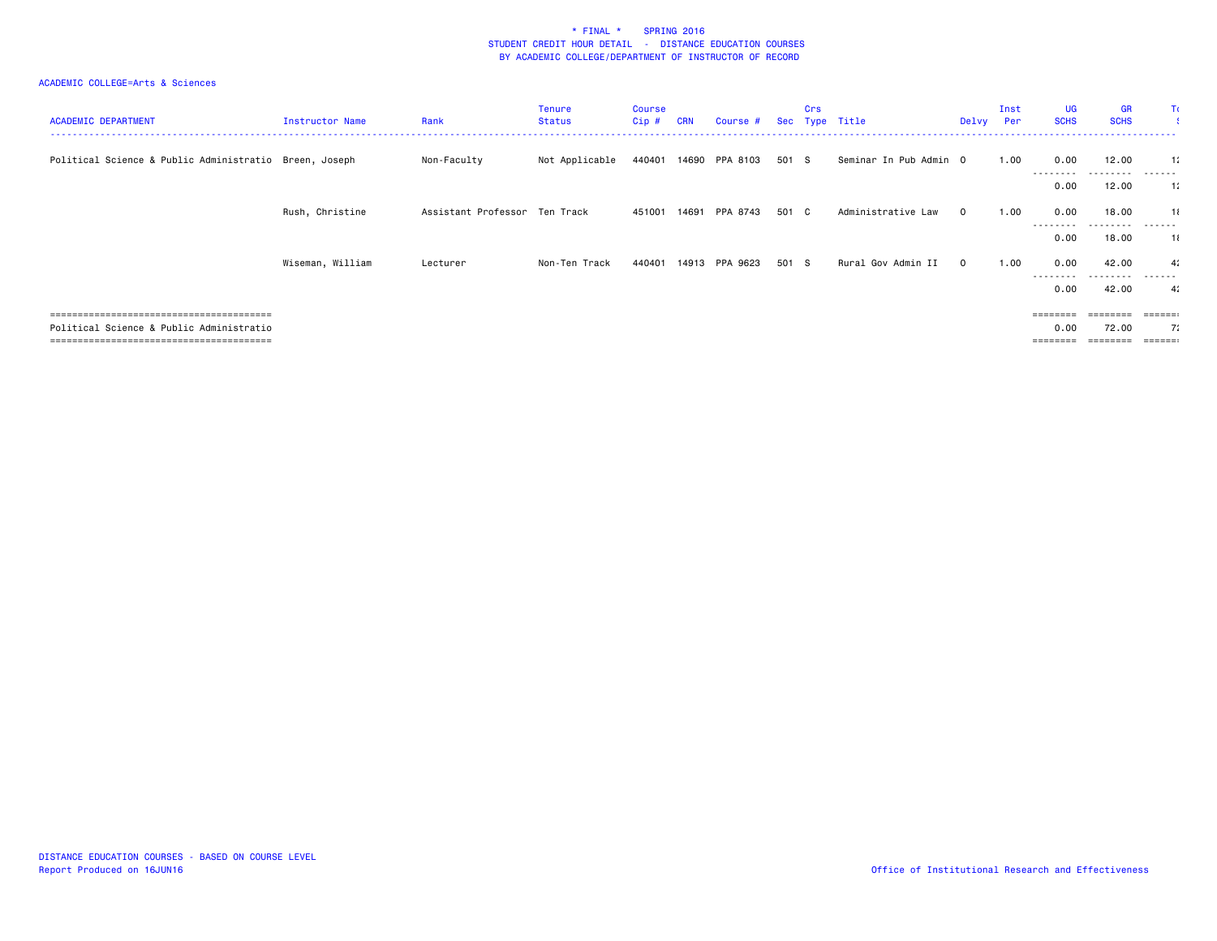| <b>ACADEMIC DEPARTMENT</b>                             | Instructor Name  | Rank                          | Tenure<br>Status | Course<br>Cip # | <b>CRN</b> | Course #       |       | Crs | Sec Type Title         | Delvy        | Inst<br>Per | UG<br><b>SCHS</b> | <b>GR</b><br><b>SCHS</b> | Π                        |
|--------------------------------------------------------|------------------|-------------------------------|------------------|-----------------|------------|----------------|-------|-----|------------------------|--------------|-------------|-------------------|--------------------------|--------------------------|
| Political Science & Public Administratio Breen, Joseph |                  | Non-Faculty                   | Not Applicable   | 440401          |            | 14690 PPA 8103 | 501 S |     | Seminar In Pub Admin 0 |              | 1.00        | 0.00<br>--------  | 12.00<br>---------       | $\mathbf{1}$ :<br>------ |
|                                                        |                  |                               |                  |                 |            |                |       |     |                        |              |             | 0.00              | 12.00                    | 11                       |
|                                                        | Rush, Christine  | Assistant Professor Ten Track |                  | 451001          | 14691      | PPA 8743       | 501 C |     | Administrative Law     | $\mathbf{0}$ | 1.00        | 0.00              | 18.00                    | 11                       |
|                                                        |                  |                               |                  |                 |            |                |       |     |                        |              |             | --------<br>0.00  | --------<br>18.00        | ------<br>11             |
|                                                        | Wiseman, William | Lecturer                      | Non-Ten Track    | 440401          | 14913      | PPA 9623       | 501 S |     | Rural Gov Admin II     | $\mathbf{0}$ | 1.00        | 0.00              | 42.00                    | 4:                       |
|                                                        |                  |                               |                  |                 |            |                |       |     |                        |              |             | ---------<br>0.00 | ---------<br>42.00       | ------<br>4 <sup>i</sup> |
|                                                        |                  |                               |                  |                 |            |                |       |     |                        |              |             | ========          |                          | ======                   |
| Political Science & Public Administratio               |                  |                               |                  |                 |            |                |       |     |                        |              |             | 0.00              | 72.00                    | 71                       |
|                                                        |                  |                               |                  |                 |            |                |       |     |                        |              |             | ========          | ========                 | $=$ $=$ $=$ $=$ $=$ $:$  |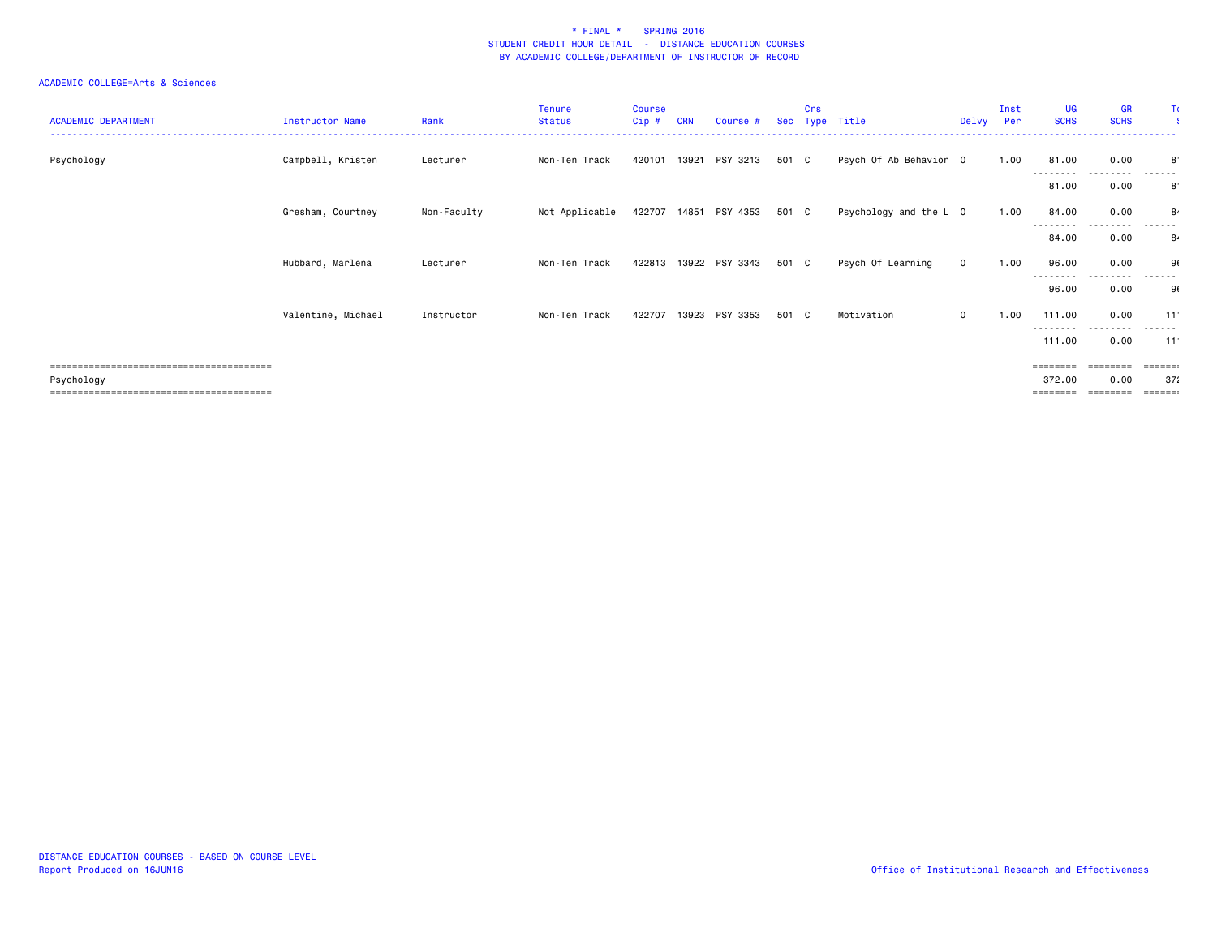| <b>ACADEMIC DEPARTMENT</b> | Instructor Name    | Rank        | <b>Tenure</b><br><b>Status</b> | <b>Course</b><br>Cip# | <b>CRN</b> | Course #              |       | Crs | Sec Type Title         | Delvy       | Inst<br>Per | <b>UG</b><br><b>SCHS</b>    | <b>GR</b><br><b>SCHS</b> | Τc                                |
|----------------------------|--------------------|-------------|--------------------------------|-----------------------|------------|-----------------------|-------|-----|------------------------|-------------|-------------|-----------------------------|--------------------------|-----------------------------------|
| Psychology                 | Campbell, Kristen  | Lecturer    | Non-Ten Track                  | 420101                |            | 13921 PSY 3213        | 501 C |     | Psych Of Ab Behavior 0 |             | 1.00        | 81.00<br>----               | 0.00                     | 8<br>------                       |
|                            |                    |             |                                |                       |            |                       |       |     |                        |             |             | 81.00                       | 0.00                     | $8^{\cdot}$                       |
|                            | Gresham, Courtney  | Non-Faculty | Not Applicable                 |                       |            | 422707 14851 PSY 4353 | 501 C |     | Psychology and the L 0 |             | 1.00        | 84.00                       | 0.00                     | 8.                                |
|                            |                    |             |                                |                       |            |                       |       |     |                        |             |             | 84.00                       | 0.00                     | 84                                |
|                            | Hubbard, Marlena   | Lecturer    | Non-Ten Track                  | 422813                |            | 13922 PSY 3343        | 501 C |     | Psych Of Learning      | $\mathbf 0$ | 1.00        | 96.00<br>--------           | 0.00<br>. <b>.</b>       | 91<br>-------                     |
|                            |                    |             |                                |                       |            |                       |       |     |                        |             |             | 96.00                       | 0.00                     | 91                                |
|                            | Valentine, Michael | Instructor  | Non-Ten Track                  | 422707                |            | 13923 PSY 3353        | 501 C |     | Motivation             | $\mathbf 0$ | 1.00        | 111.00<br>---------         | 0.00                     | 11<br>------                      |
|                            |                    |             |                                |                       |            |                       |       |     |                        |             |             | 111.00                      | 0.00                     | $-11$                             |
| Psychology                 |                    |             |                                |                       |            |                       |       |     |                        |             |             | $=$ = = = = = = =<br>372.00 | ========<br>0.00         | <b>ESSESS:</b><br>37 <sub>i</sub> |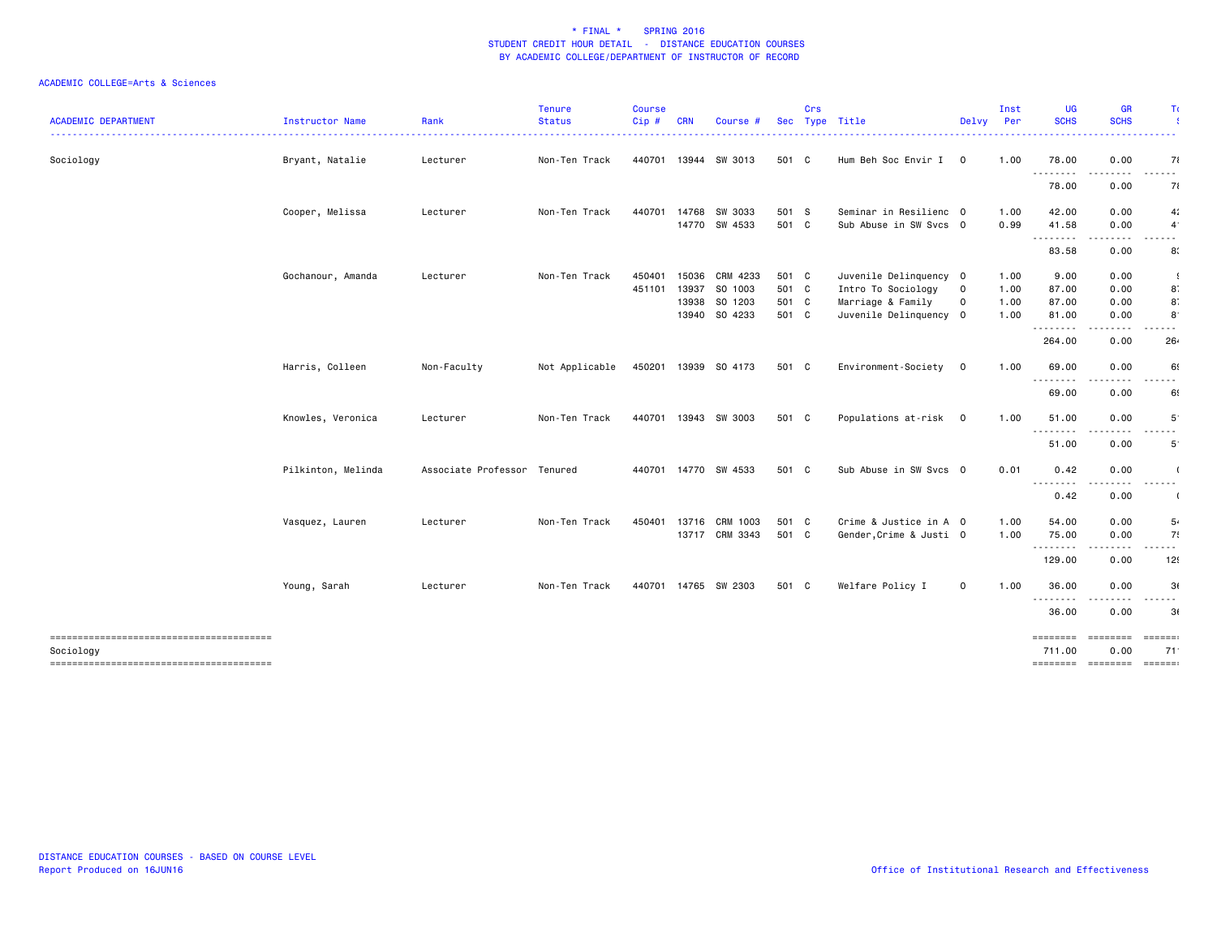| <b>ACADEMIC DEPARTMENT</b>                          | Instructor Name    | Rank                | <b>Tenure</b><br><b>Status</b> | <b>Course</b><br>Cip# | <b>CRN</b> | Course #             |       | Crs | Sec Type Title          | Delvy          | Inst<br>Per | <b>UG</b><br><b>SCHS</b> | <b>GR</b><br><b>SCHS</b> | Τı                          |
|-----------------------------------------------------|--------------------|---------------------|--------------------------------|-----------------------|------------|----------------------|-------|-----|-------------------------|----------------|-------------|--------------------------|--------------------------|-----------------------------|
|                                                     |                    |                     |                                |                       |            |                      |       |     |                         |                |             |                          |                          |                             |
| Sociology                                           | Bryant, Natalie    | Lecturer            | Non-Ten Track                  | 440701 13944          |            | SW 3013              | 501 C |     | Hum Beh Soc Envir I     | $\mathbf{0}$   | 1.00        | 78.00<br>.               | 0.00<br>----             | 71<br>.                     |
|                                                     |                    |                     |                                |                       |            |                      |       |     |                         |                |             | 78.00                    | 0.00                     | 71                          |
|                                                     | Cooper, Melissa    | Lecturer            | Non-Ten Track                  | 440701                | 14768      | SW 3033              | 501 S |     | Seminar in Resilienc 0  |                | 1.00        | 42.00                    | 0.00                     | 4:                          |
|                                                     |                    |                     |                                |                       |            | 14770 SW 4533        | 501 C |     | Sub Abuse in SW Svcs 0  |                | 0.99        | 41.58<br>.               | 0.00<br>.                | $\overline{4}$<br>.         |
|                                                     |                    |                     |                                |                       |            |                      |       |     |                         |                |             | 83.58                    | 0.00                     | 8                           |
|                                                     | Gochanour, Amanda  | Lecturer            | Non-Ten Track                  | 450401                | 15036      | CRM 4233             | 501 C |     | Juvenile Delinquency 0  |                | 1.00        | 9.00                     | 0.00                     | -9                          |
|                                                     |                    |                     |                                | 451101                | 13937      | SO 1003              | 501 C |     | Intro To Sociology      | $\mathbf 0$    | 1.00        | 87.00                    | 0.00                     | 8                           |
|                                                     |                    |                     |                                |                       | 13938      | SO 1203              | 501 C |     | Marriage & Family       | 0              | 1.00        | 87.00                    | 0.00                     | 8.                          |
|                                                     |                    |                     |                                |                       | 13940      | SO 4233              | 501 C |     | Juvenile Delinquency 0  |                | 1.00        | 81.00<br>.               | 0.00                     | $8^{\circ}$                 |
|                                                     |                    |                     |                                |                       |            |                      |       |     |                         |                |             | 264.00                   | 0.00                     | 26.                         |
|                                                     | Harris, Colleen    | Non-Faculty         | Not Applicable                 |                       |            | 450201 13939 SO 4173 | 501 C |     | Environment-Society     | $\overline{0}$ | 1.00        | 69.00                    | 0.00                     | 69                          |
|                                                     |                    |                     |                                |                       |            |                      |       |     |                         |                |             | .<br>69.00               | 0.00                     | $\sim$ $\sim$<br>69         |
|                                                     | Knowles, Veronica  | Lecturer            | Non-Ten Track                  |                       |            | 440701 13943 SW 3003 | 501 C |     | Populations at-risk 0   |                | 1.00        | 51.00                    | 0.00                     | 5                           |
|                                                     |                    |                     |                                |                       |            |                      |       |     |                         |                |             | .<br>51.00               | 0.00                     | .<br>$5^{\circ}$            |
|                                                     | Pilkinton, Melinda | Associate Professor | Tenured                        | 440701 14770          |            | SW 4533              | 501 C |     | Sub Abuse in SW Svcs 0  |                | 0.01        | 0.42                     | 0.00                     |                             |
|                                                     |                    |                     |                                |                       |            |                      |       |     |                         |                |             | .<br>0.42                | .<br>0.00                | .                           |
|                                                     |                    |                     |                                |                       |            |                      |       |     |                         |                |             |                          |                          |                             |
|                                                     | Vasquez, Lauren    | Lecturer            | Non-Ten Track                  | 450401                | 13716      | CRM 1003             | 501 C |     | Crime & Justice in A 0  |                | 1.00        | 54.00                    | 0.00                     | 5.                          |
|                                                     |                    |                     |                                |                       |            | 13717 CRM 3343       | 501 C |     | Gender, Crime & Justi 0 |                | 1.00        | 75.00<br>--------        | 0.00                     | 7!<br>$\sim$ $\sim$         |
|                                                     |                    |                     |                                |                       |            |                      |       |     |                         |                |             | 129.00                   | 0.00                     | 12!                         |
|                                                     | Young, Sarah       | Lecturer            | Non-Ten Track                  |                       |            | 440701 14765 SW 2303 | 501 C |     | Welfare Policy I        | $\mathbf 0$    | 1.00        | 36.00                    | 0.00                     | 3(                          |
|                                                     |                    |                     |                                |                       |            |                      |       |     |                         |                |             | .<br>36.00               | 0.00                     | 3(                          |
|                                                     |                    |                     |                                |                       |            |                      |       |     |                         |                |             |                          |                          |                             |
|                                                     |                    |                     |                                |                       |            |                      |       |     |                         |                |             | ========                 | ========                 | $=$ $=$ $=$ $=$ $=$ $=$ $=$ |
| Sociology<br>-------------------------------------- |                    |                     |                                |                       |            |                      |       |     |                         |                |             | 711.00                   | 0.00                     | 71<br><b>EEEEEE</b>         |
|                                                     |                    |                     |                                |                       |            |                      |       |     |                         |                |             |                          |                          |                             |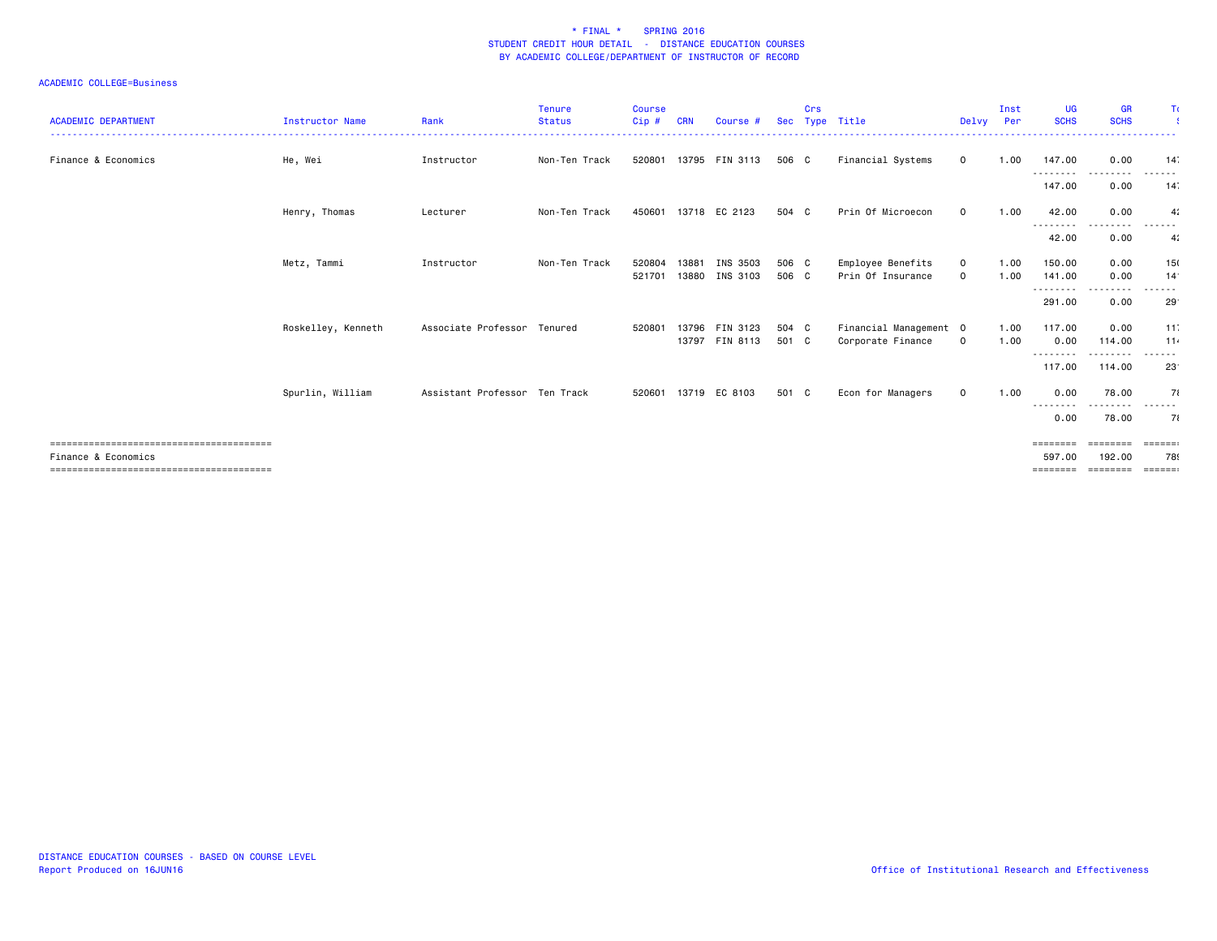| <b>ACADEMIC DEPARTMENT</b> | <b>Instructor Name</b> | Rank                          | <b>Tenure</b><br><b>Status</b> | <b>Course</b><br>Cip # | <b>CRN</b> | Course #                         |                | Crs | Sec Type Title                              | Delvy                      | Inst<br>Per  | <b>UG</b><br><b>SCHS</b> | <b>GR</b><br><b>SCHS</b>                                                                                                           | Τc                                 |
|----------------------------|------------------------|-------------------------------|--------------------------------|------------------------|------------|----------------------------------|----------------|-----|---------------------------------------------|----------------------------|--------------|--------------------------|------------------------------------------------------------------------------------------------------------------------------------|------------------------------------|
| Finance & Economics        | He, Wei                | Instructor                    | Non-Ten Track                  | 520801                 |            | 13795 FIN 3113                   | 506 C          |     | Financial Systems                           | $\mathbf 0$                | 1.00         | 147.00                   | 0.00                                                                                                                               | 14.                                |
|                            |                        |                               |                                |                        |            |                                  |                |     |                                             |                            |              | ---------<br>147.00      | -----<br>0.00                                                                                                                      | ------<br>14                       |
|                            | Henry, Thomas          | Lecturer                      | Non-Ten Track                  | 450601                 |            | 13718 EC 2123                    | 504 C          |     | Prin Of Microecon                           | $\mathbf{O}$               | 1.00         | 42.00<br>--------        | 0.00                                                                                                                               | 4:                                 |
|                            |                        |                               |                                |                        |            |                                  |                |     |                                             |                            |              | 42.00                    | 0.00                                                                                                                               | 4:                                 |
|                            | Metz, Tammi            | Instructor                    | Non-Ten Track                  | 520804<br>521701       | 13881      | INS 3503<br>13880 INS 3103       | 506 C<br>506 C |     | Employee Benefits<br>Prin Of Insurance      | $\mathbf 0$<br>$\mathbf 0$ | 1.00<br>1.00 | 150.00<br>141.00         | 0.00<br>0.00                                                                                                                       | 15<br>14 <sup>°</sup>              |
|                            |                        |                               |                                |                        |            |                                  |                |     |                                             |                            |              | ---------<br>291,00      | <u>.</u><br>0.00                                                                                                                   | ------<br>29 <sup>°</sup>          |
|                            |                        |                               |                                |                        |            |                                  |                |     |                                             |                            |              |                          |                                                                                                                                    |                                    |
|                            | Roskelley, Kenneth     | Associate Professor Tenured   |                                | 520801                 |            | 13796 FIN 3123<br>13797 FIN 8113 | 504 C<br>501 C |     | Financial Management 0<br>Corporate Finance | $\mathbf 0$                | 1.00<br>1.00 | 117,00<br>0.00           | 0.00<br>114.00                                                                                                                     | 11<br>11.                          |
|                            |                        |                               |                                |                        |            |                                  |                |     |                                             |                            |              | --------<br>117.00       | .<br>114.00                                                                                                                        | ------<br>23 <sup>°</sup>          |
|                            | Spurlin, William       | Assistant Professor Ten Track |                                | 520601                 |            | 13719 EC 8103                    | 501 C          |     | Econ for Managers                           | $\mathbf 0$                | 1.00         | 0.00                     | 78.00                                                                                                                              | 71                                 |
|                            |                        |                               |                                |                        |            |                                  |                |     |                                             |                            |              | ---------<br>0.00        | $\frac{1}{2} \left( \frac{1}{2} \right) \left( \frac{1}{2} \right) \left( \frac{1}{2} \right) \left( \frac{1}{2} \right)$<br>78.00 | -------<br>71                      |
|                            |                        |                               |                                |                        |            |                                  |                |     |                                             |                            |              | ========                 | ========                                                                                                                           | $= 22222222$                       |
| Finance & Economics        |                        |                               |                                |                        |            |                                  |                |     |                                             |                            |              | 597.00<br>========       | 192.00<br>========                                                                                                                 | 789<br>$=$ $=$ $=$ $=$ $=$ $=$ $=$ |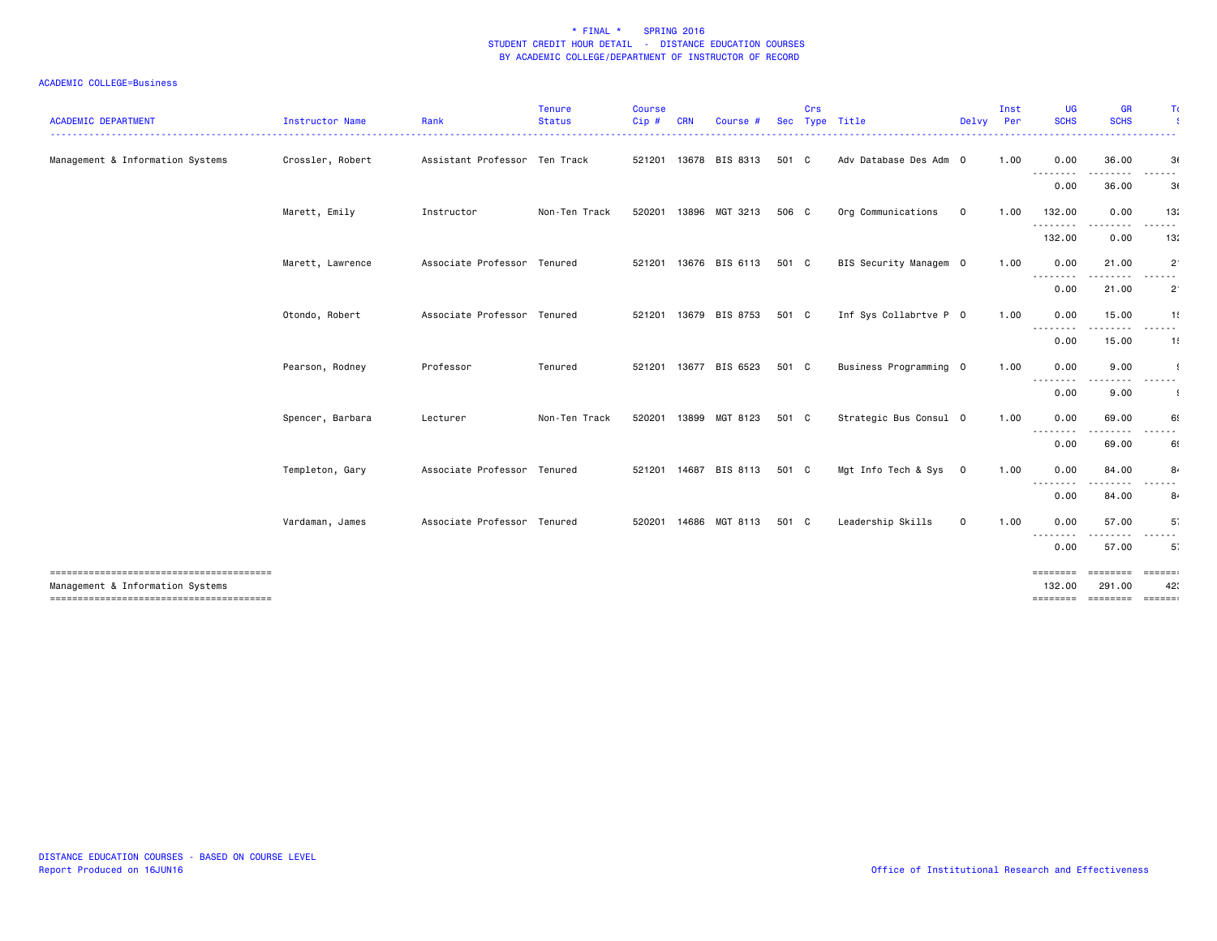| <b>ACADEMIC DEPARTMENT</b>       | Instructor Name  | Rank                          | <b>Tenure</b><br><b>Status</b> | <b>Course</b><br>Cip# | <b>CRN</b>   | Course #              | Sec   | Crs | Type Title             | Delvy                   | Inst<br>Per | <b>UG</b><br><b>SCHS</b> | <b>GR</b><br><b>SCHS</b> | T(                          |
|----------------------------------|------------------|-------------------------------|--------------------------------|-----------------------|--------------|-----------------------|-------|-----|------------------------|-------------------------|-------------|--------------------------|--------------------------|-----------------------------|
| Management & Information Systems | Crossler, Robert | Assistant Professor Ten Track |                                | 521201 13678          |              | BIS 8313              | 501 C |     | Adv Database Des Adm 0 |                         | 1.00        | 0.00                     | 36.00                    | . <u>.</u><br>3(            |
|                                  |                  |                               |                                |                       |              |                       |       |     |                        |                         |             | .<br>0.00                | . <b>.</b><br>36.00      | ------<br>3(                |
|                                  | Marett, Emily    | Instructor                    | Non-Ten Track                  | 520201                |              | 13896 MGT 3213        | 506 C |     | Org Communications     | $\mathbf 0$             | 1.00        | 132.00                   | 0.00                     | 13:                         |
|                                  |                  |                               |                                |                       |              |                       |       |     |                        |                         |             | .<br>132.00              | 0.00                     | $\sim$ $\sim$ $\sim$<br>13: |
|                                  | Marett, Lawrence | Associate Professor Tenured   |                                | 521201                |              | 13676 BIS 6113        | 501 C |     | BIS Security Managem 0 |                         | 1.00        | 0.00                     | 21.00                    | $\overline{2}$              |
|                                  |                  |                               |                                |                       |              |                       |       |     |                        |                         |             | .<br>0.00                | .<br>21.00               | .<br>$2^{\circ}$            |
|                                  | Otondo, Robert   | Associate Professor Tenured   |                                |                       | 521201 13679 | BIS 8753              | 501 C |     | Inf Sys Collabrtve P 0 |                         | 1.00        | 0.00                     | 15.00                    | 1!                          |
|                                  |                  |                               |                                |                       |              |                       |       |     |                        |                         |             | --------<br>0.00         | 15.00                    | $\frac{1}{2}$<br>1!         |
|                                  | Pearson, Rodney  | Professor                     | Tenured                        |                       |              | 521201 13677 BIS 6523 | 501 C |     | Business Programming 0 |                         | 1.00        | 0.00                     | 9.00                     |                             |
|                                  |                  |                               |                                |                       |              |                       |       |     |                        |                         |             | 0.00                     | 9.00                     |                             |
|                                  | Spencer, Barbara | Lecturer                      | Non-Ten Track                  | 520201                |              | 13899 MGT 8123        | 501 C |     | Strategic Bus Consul 0 |                         | 1.00        | 0.00                     | 69.00                    | 69                          |
|                                  |                  |                               |                                |                       |              |                       |       |     |                        |                         |             | --------<br>0.00         | .<br>69.00               | .<br>69                     |
|                                  | Templeton, Gary  | Associate Professor Tenured   |                                |                       |              | 521201 14687 BIS 8113 | 501 C |     | Mgt Info Tech & Sys    | $\overline{\mathbf{0}}$ | 1.00        | 0.00<br>--------         | 84.00                    | 8                           |
|                                  |                  |                               |                                |                       |              |                       |       |     |                        |                         |             | 0.00                     | 84.00                    | 8.                          |
|                                  | Vardaman, James  | Associate Professor Tenured   |                                | 520201                |              | 14686 MGT 8113        | 501 C |     | Leadership Skills      | $\mathbf 0$             | 1.00        | 0.00                     | 57.00<br>.               | 5 <sup>°</sup><br>.         |
|                                  |                  |                               |                                |                       |              |                       |       |     |                        |                         |             | --------<br>0.00         | 57.00                    | 5                           |
| Management & Information Systems |                  |                               |                                |                       |              |                       |       |     |                        |                         |             | ========<br>132.00       | ========<br>291.00       | $=$ = = = = = $=$<br>42     |
|                                  |                  |                               |                                |                       |              |                       |       |     |                        |                         |             |                          | ======== ======== ====== |                             |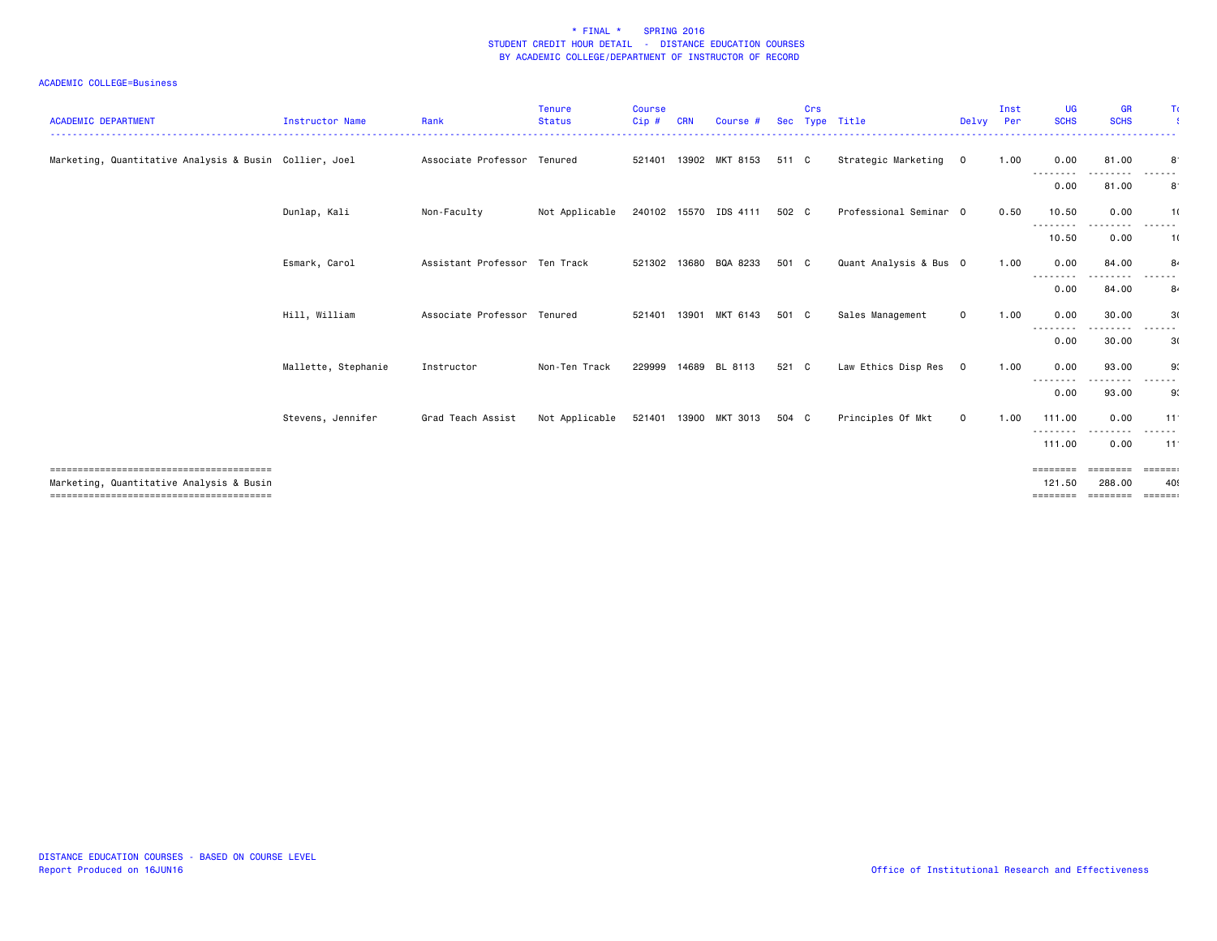| <b>ACADEMIC DEPARTMENT</b>                             | <b>Instructor Name</b> | Rank                          | <b>Tenure</b><br><b>Status</b> | <b>Course</b><br>Cip # | CRN | Course #              |       | Crs | Sec Type Title<br>---------------- | Delvy Per    | Inst | UG<br><b>SCHS</b>                                                           | <b>GR</b><br><b>SCHS</b> | Τc            |
|--------------------------------------------------------|------------------------|-------------------------------|--------------------------------|------------------------|-----|-----------------------|-------|-----|------------------------------------|--------------|------|-----------------------------------------------------------------------------|--------------------------|---------------|
| Marketing, Quantitative Analysis & Busin Collier, Joel |                        | Associate Professor           | Tenured                        |                        |     | 521401 13902 MKT 8153 | 511 C |     | Strategic Marketing                | $\mathbf{O}$ | 1.00 | 0.00<br>--------                                                            | 81.00                    | 8             |
|                                                        |                        |                               |                                |                        |     |                       |       |     |                                    |              |      | 0.00                                                                        | 81.00                    | 8             |
|                                                        | Dunlap, Kali           | Non-Faculty                   | Not Applicable                 |                        |     | 240102 15570 IDS 4111 | 502 C |     | Professional Seminar 0             |              | 0.50 | 10.50                                                                       | 0.00                     | 1(            |
|                                                        |                        |                               |                                |                        |     |                       |       |     |                                    |              |      | --------<br>10.50                                                           | --------<br>0.00         | ------<br>1(  |
|                                                        | Esmark, Carol          | Assistant Professor Ten Track |                                |                        |     | 521302 13680 BQA 8233 | 501 C |     | Quant Analysis & Bus 0             |              | 1.00 | 0.00                                                                        | 84.00                    | 8             |
|                                                        |                        |                               |                                |                        |     |                       |       |     |                                    |              |      | --------<br>0.00                                                            | 84.00                    | 8.            |
|                                                        | Hill, William          | Associate Professor           | Tenured                        | 521401 13901           |     | MKT 6143              | 501 C |     | Sales Management                   | $\mathbf 0$  | 1.00 | 0.00<br>.                                                                   | 30.00<br>----            | 3(<br>------  |
|                                                        |                        |                               |                                |                        |     |                       |       |     |                                    |              |      | 0.00                                                                        | 30.00                    | 3(            |
|                                                        | Mallette, Stephanie    | Instructor                    | Non-Ten Track                  |                        |     | 229999 14689 BL 8113  | 521 C |     | Law Ethics Disp Res                | $\mathbf 0$  | 1.00 | 0.00                                                                        | 93.00<br>$\cdots$        | 9.            |
|                                                        |                        |                               |                                |                        |     |                       |       |     |                                    |              |      | --------<br>0.00                                                            | 93.00                    | ------<br>9:  |
|                                                        | Stevens, Jennifer      | Grad Teach Assist             | Not Applicable                 | 521401 13900           |     | MKT 3013              | 504 C |     | Principles Of Mkt                  | $\mathbf 0$  | 1.00 | 111.00                                                                      | 0.00<br>--------         | 11<br>------  |
|                                                        |                        |                               |                                |                        |     |                       |       |     |                                    |              |      | ---------<br>111.00                                                         | 0.00                     | 11            |
| Marketing, Quantitative Analysis & Busin               |                        |                               |                                |                        |     |                       |       |     |                                    |              |      | ========<br>121.50                                                          | <b>EEEEEEE</b><br>288.00 | =======<br>40 |
|                                                        |                        |                               |                                |                        |     |                       |       |     |                                    |              |      | $\begin{array}{cccccccccc} = & = & = & = & = & = & = & = & = & \end{array}$ | ========                 | $= 2222222$   |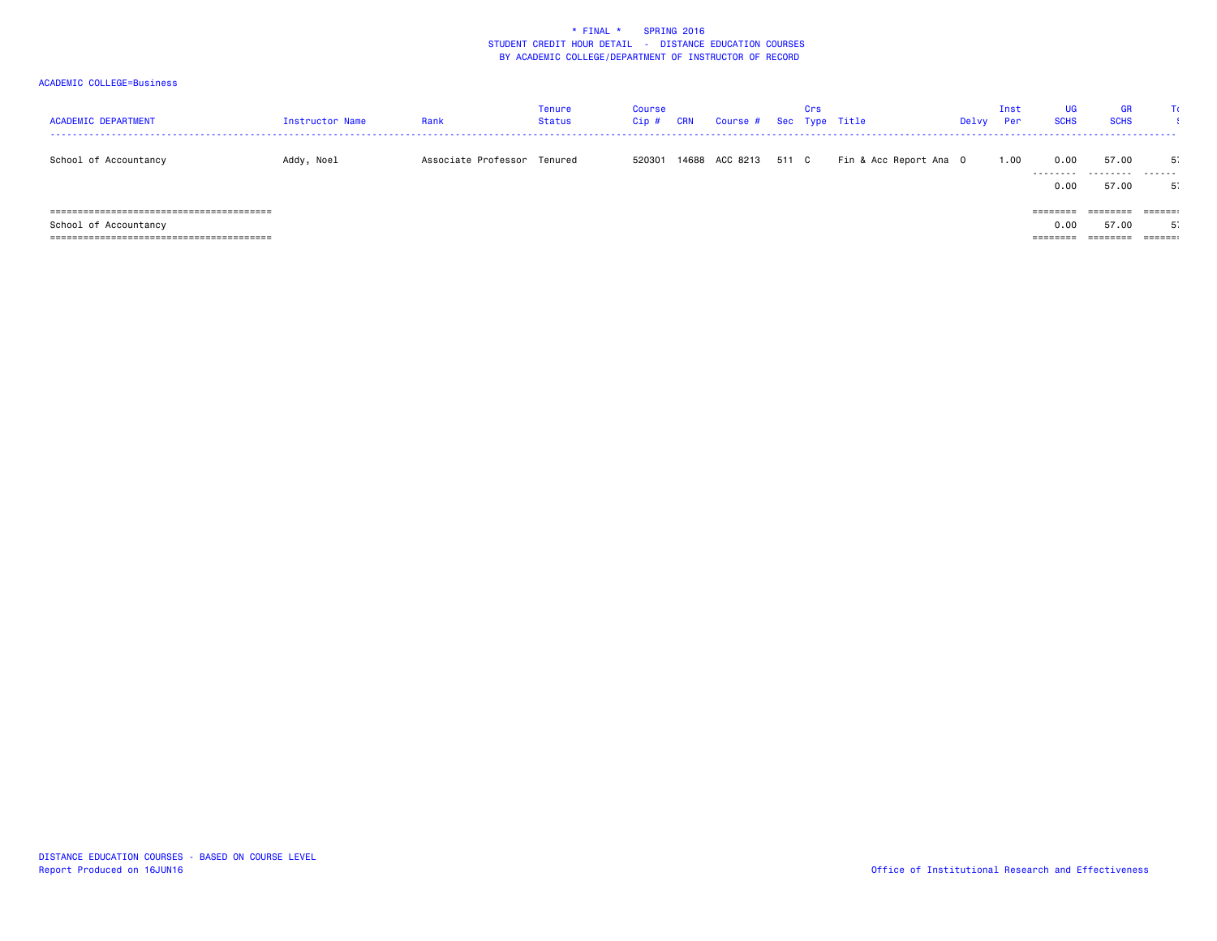| <b>ACADEMIC DEPARTMENT</b> | Instructor Name | Rank                        | Tenure<br>Status | Course<br>Cip # | <b>CRN</b> | Course # Sec Type Title |       | Crs |                        | Delvy | Inst<br>Per | UG<br><b>SCHS</b>                              | <b>GR</b><br><b>SCHS</b>      |                              |
|----------------------------|-----------------|-----------------------------|------------------|-----------------|------------|-------------------------|-------|-----|------------------------|-------|-------------|------------------------------------------------|-------------------------------|------------------------------|
| School of Accountancy      | Addy, Noel      | Associate Professor Tenured |                  | 520301          |            | 14688 ACC 8213          | 511 C |     | Fin & Acc Report Ana O |       | 1.00        | 0.00<br>---------<br>0.00                      | 57.00<br>.<br>57.00           | -51<br>.<br>5                |
| School of Accountancy      |                 |                             |                  |                 |            |                         |       |     |                        |       |             | $=$ = = = = = = =<br>0.00<br>$=$ = = = = = = = | ========<br>57.00<br>======== | $=$ $=$ $=$ $=$ $=$ $:$<br>ь |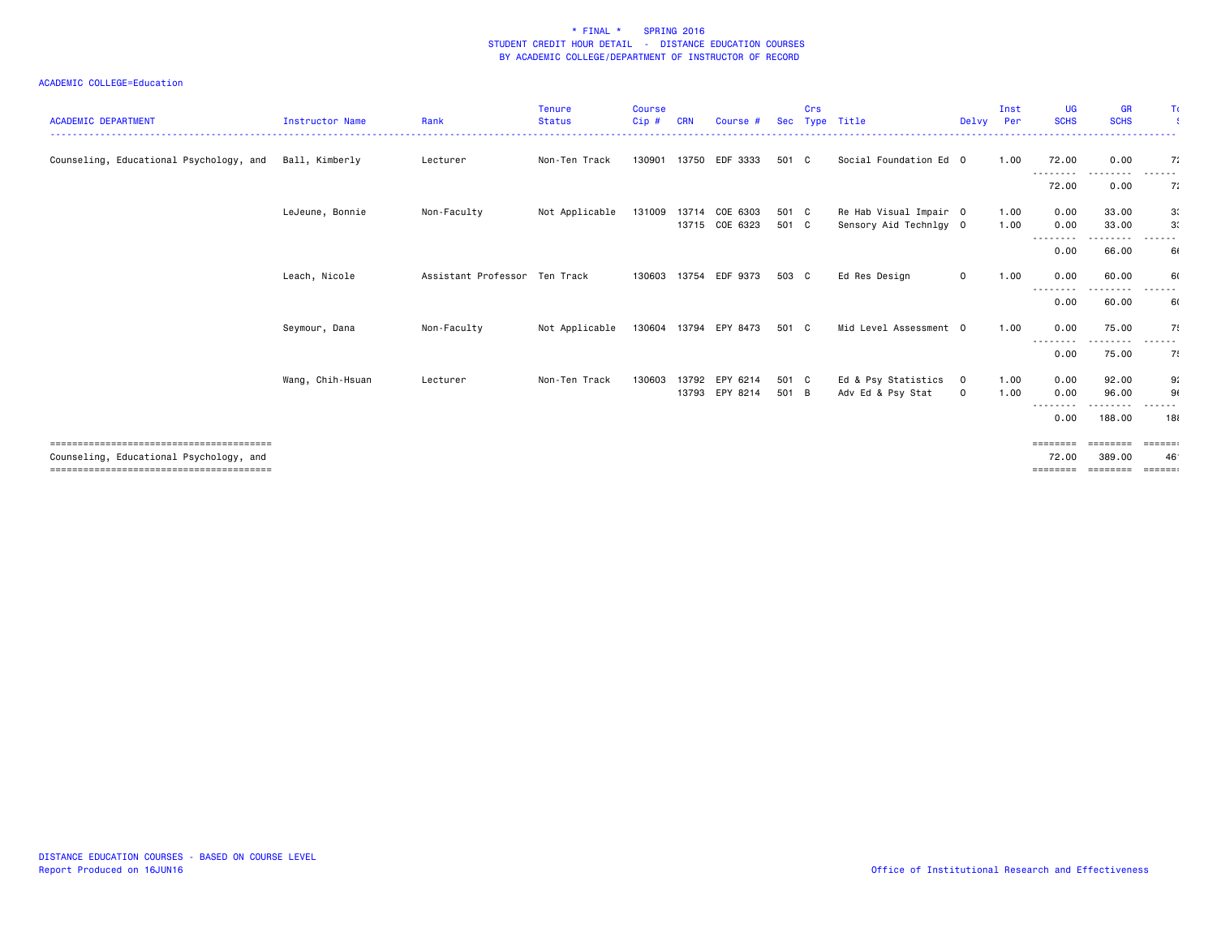| <b>ACADEMIC DEPARTMENT</b>              | Instructor Name  | Rank                          | <b>Tenure</b><br><b>Status</b> | <b>Course</b><br>Cip# | <b>CRN</b> | Course #                         |                | Crs | Sec Type Title                                   | Delvy                         | Inst<br>Per  | UG<br><b>SCHS</b>          | <b>GR</b><br><b>SCHS</b> | Τc                                             |
|-----------------------------------------|------------------|-------------------------------|--------------------------------|-----------------------|------------|----------------------------------|----------------|-----|--------------------------------------------------|-------------------------------|--------------|----------------------------|--------------------------|------------------------------------------------|
|                                         |                  |                               |                                |                       |            |                                  |                |     |                                                  |                               |              |                            |                          |                                                |
| Counseling, Educational Psychology, and | Ball, Kimberly   | Lecturer                      | Non-Ten Track                  | 130901                |            | 13750 EDF 3333                   | 501 C          |     | Social Foundation Ed 0                           |                               | 1.00         | 72.00<br>---------         | 0.00<br>$\cdots$         | 7:<br>------                                   |
|                                         |                  |                               |                                |                       |            |                                  |                |     |                                                  |                               |              | 72.00                      | 0.00                     | 7:                                             |
|                                         | LeJeune, Bonnie  | Non-Faculty                   | Not Applicable                 | 131009                | 13714      | COE 6303<br>13715 COE 6323       | 501 C<br>501 C |     | Re Hab Visual Impair 0<br>Sensory Aid Technlgy 0 |                               | 1.00<br>1.00 | 0.00<br>0.00               | 33.00<br>33.00           | 3 <sub>1</sub><br>3.                           |
|                                         |                  |                               |                                |                       |            |                                  |                |     |                                                  |                               |              | ---------<br>0.00          | -----<br>66.00           | ------<br>61                                   |
|                                         | Leach, Nicole    | Assistant Professor Ten Track |                                | 130603                |            | 13754 EDF 9373                   | 503 C          |     | Ed Res Design                                    | $\mathbf{O}$                  | 1.00         | 0.00                       | 60.00                    | 60                                             |
|                                         |                  |                               |                                |                       |            |                                  |                |     |                                                  |                               |              | --------<br>0.00           | 60.00                    | 60                                             |
|                                         | Seymour, Dana    | Non-Faculty                   | Not Applicable                 | 130604                |            | 13794 EPY 8473                   | 501 C          |     | Mid Level Assessment 0                           |                               | 1.00         | 0.00                       | 75.00                    | 75                                             |
|                                         |                  |                               |                                |                       |            |                                  |                |     |                                                  |                               |              | --------<br>0.00           | . <b>.</b> .<br>75.00    | ------<br>7.                                   |
|                                         | Wang, Chih-Hsuan | Lecturer                      | Non-Ten Track                  | 130603                |            | 13792 EPY 6214<br>13793 EPY 8214 | 501 C<br>501 B |     | Ed & Psy Statistics<br>Adv Ed & Psy Stat         | $\overline{0}$<br>$\mathbf 0$ | 1.00<br>1.00 | 0.00<br>0.00<br>$\cdots$   | 92.00<br>96.00           | 9.<br>90                                       |
|                                         |                  |                               |                                |                       |            |                                  |                |     |                                                  |                               |              | 0.00                       | 188.00                   | 18                                             |
|                                         |                  |                               |                                |                       |            |                                  |                |     |                                                  |                               |              | ========                   | <b>EEEEEEE</b>           |                                                |
| Counseling, Educational Psychology, and |                  |                               |                                |                       |            |                                  |                |     |                                                  |                               |              | 72.00<br>$=$ = = = = = = = | 389.00<br>========       | 46 <sup>°</sup><br>$=$ $=$ $=$ $=$ $=$ $=$ $=$ |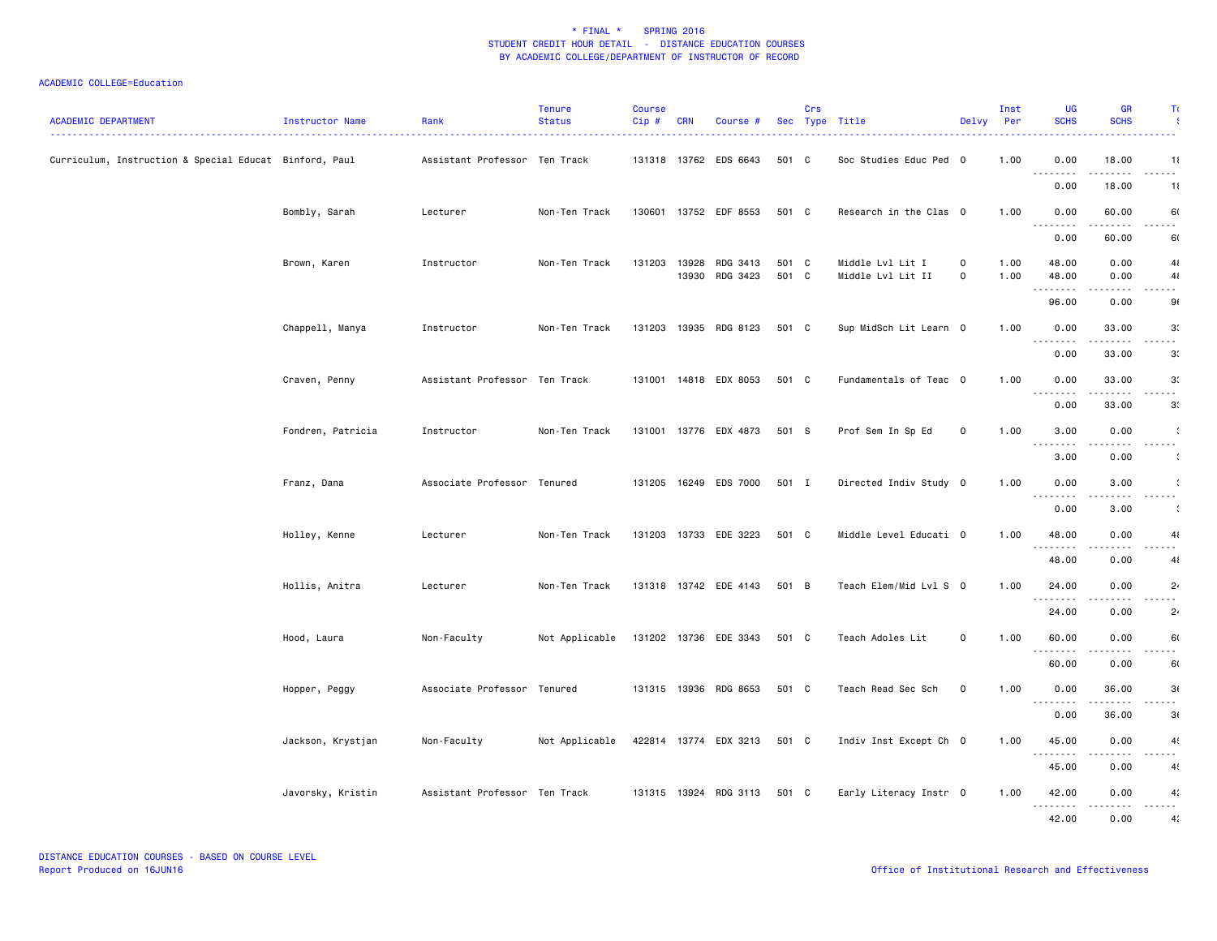| <b>ACADEMIC DEPARTMENT</b>                             | Instructor Name   | Rank                          | <b>Tenure</b><br><b>Status</b> | <b>Course</b><br>Cip# | <b>CRN</b>   | Course #                   |                | Crs | Sec Type Title                        | Delvy                      | Inst<br>Per  | <b>UG</b><br><b>SCHS</b>          | <b>GR</b><br><b>SCHS</b> | Τc                   |
|--------------------------------------------------------|-------------------|-------------------------------|--------------------------------|-----------------------|--------------|----------------------------|----------------|-----|---------------------------------------|----------------------------|--------------|-----------------------------------|--------------------------|----------------------|
| Curriculum, Instruction & Special Educat Binford, Paul |                   | Assistant Professor Ten Track |                                |                       |              | 131318 13762 EDS 6643      | 501 C          |     | Soc Studies Educ Ped 0                |                            | 1.00         | 0.00<br>$\sim$ $\sim$ $\sim$<br>. | 18.00                    | 11                   |
|                                                        |                   |                               |                                |                       |              |                            |                |     |                                       |                            |              | 0.00                              | 18.00                    | 11                   |
|                                                        | Bombly, Sarah     | Lecturer                      | Non-Ten Track                  |                       |              | 130601 13752 EDF 8553      | 501 C          |     | Research in the Clas 0                |                            | 1.00         | 0.00<br><u>.</u>                  | 60.00<br>.               | 60<br>$\sim$ $\sim$  |
|                                                        |                   |                               |                                |                       |              |                            |                |     |                                       |                            |              | 0.00                              | 60.00                    | 60                   |
|                                                        | Brown, Karen      | Instructor                    | Non-Ten Track                  | 131203                | 13928        | RDG 3413<br>13930 RDG 3423 | 501 C<br>501 C |     | Middle Lvl Lit I<br>Middle Lvl Lit II | $\mathbf 0$<br>$\mathbf 0$ | 1.00<br>1.00 | 48.00<br>48.00<br>.               | 0.00<br>0.00<br>.        | 41<br>41<br>.        |
|                                                        |                   |                               |                                |                       |              |                            |                |     |                                       |                            |              | 96.00                             | 0.00                     | 9(                   |
|                                                        | Chappell, Manya   | Instructor                    | Non-Ten Track                  |                       | 131203 13935 | RDG 8123                   | 501 C          |     | Sup MidSch Lit Learn 0                |                            | 1.00         | 0.00<br><u>.</u>                  | 33,00<br>.               | 3.<br>.              |
|                                                        |                   |                               |                                |                       |              |                            |                |     |                                       |                            |              | 0.00                              | 33.00                    | 3.                   |
|                                                        | Craven, Penny     | Assistant Professor Ten Track |                                |                       |              | 131001 14818 EDX 8053      | 501 C          |     | Fundamentals of Teac 0                |                            | 1.00         | 0.00<br>.                         | 33.00                    | 3 <sub>1</sub><br>.  |
|                                                        |                   |                               |                                |                       |              |                            |                |     |                                       |                            |              | 0.00                              | 33.00                    | 3 <sub>1</sub>       |
|                                                        | Fondren, Patricia | Instructor                    | Non-Ten Track                  |                       |              | 131001 13776 EDX 4873      | 501 S          |     | Prof Sem In Sp Ed                     | $\mathbf 0$                | 1.00         | 3.00<br><u>.</u>                  | 0.00                     | $\sim$ $\sim$ $\sim$ |
|                                                        |                   |                               |                                |                       |              |                            |                |     |                                       |                            |              | 3.00                              | 0.00                     | $\ddot{\cdot}$       |
|                                                        | Franz, Dana       | Associate Professor Tenured   |                                |                       |              | 131205 16249 EDS 7000      | 501 I          |     | Directed Indiv Study 0                |                            | 1.00         | 0.00<br><u>.</u>                  | 3.00<br>. <b>.</b>       | ----                 |
|                                                        |                   |                               |                                |                       |              |                            |                |     |                                       |                            |              | 0.00                              | 3.00                     | ÷                    |
|                                                        | Holley, Kenne     | Lecturer                      | Non-Ten Track                  |                       |              | 131203 13733 EDE 3223      | 501 C          |     | Middle Level Educati 0                |                            | 1.00         | 48.00<br>.                        | 0.00                     | 41<br>.              |
|                                                        |                   |                               |                                |                       |              |                            |                |     |                                       |                            |              | 48.00                             | 0.00                     | 41                   |
|                                                        | Hollis, Anitra    | Lecturer                      | Non-Ten Track                  |                       |              | 131318 13742 EDE 4143      | 501 B          |     | Teach Elem/Mid Lvl S 0                |                            | 1.00         | 24.00<br><u>.</u>                 | 0.00                     | 2 <sub>4</sub><br>.  |
|                                                        |                   |                               |                                |                       |              |                            |                |     |                                       |                            |              | 24.00                             | 0.00                     | 2 <sub>4</sub>       |
|                                                        | Hood, Laura       | Non-Faculty                   | Not Applicable                 |                       |              | 131202 13736 EDE 3343      | 501 C          |     | Teach Adoles Lit                      | $\mathbf 0$                | 1.00         | 60.00<br>.                        | 0.00<br>.                | 60<br>.              |
|                                                        |                   |                               |                                |                       |              |                            |                |     |                                       |                            |              | 60.00                             | 0.00                     | 60                   |
|                                                        | Hopper, Peggy     | Associate Professor Tenured   |                                |                       |              | 131315 13936 RDG 8653      | 501 C          |     | Teach Read Sec Sch                    | $\mathbf 0$                | 1.00         | 0.00<br>.                         | 36.00                    | 3(                   |
|                                                        |                   |                               |                                |                       |              |                            |                |     |                                       |                            |              | 0.00                              | 36.00                    | 3(                   |
|                                                        | Jackson, Krystjan | Non-Faculty                   | Not Applicable                 |                       |              | 422814 13774 EDX 3213      | 501 C          |     | Indiv Inst Except Ch 0                |                            | 1.00         | 45.00<br>.                        | 0.00                     | 4 <sub>1</sub><br>.  |
|                                                        |                   |                               |                                |                       |              |                            |                |     |                                       |                            |              | 45.00                             | 0.00                     | 4                    |
|                                                        | Javorsky, Kristin | Assistant Professor Ten Track |                                |                       |              | 131315 13924 RDG 3113      | 501 C          |     | Early Literacy Instr 0                |                            | 1.00         | 42.00<br>.                        | 0.00<br>.                | 4:<br>$  -$          |
|                                                        |                   |                               |                                |                       |              |                            |                |     |                                       |                            |              | 42.00                             | 0.00                     | 4:                   |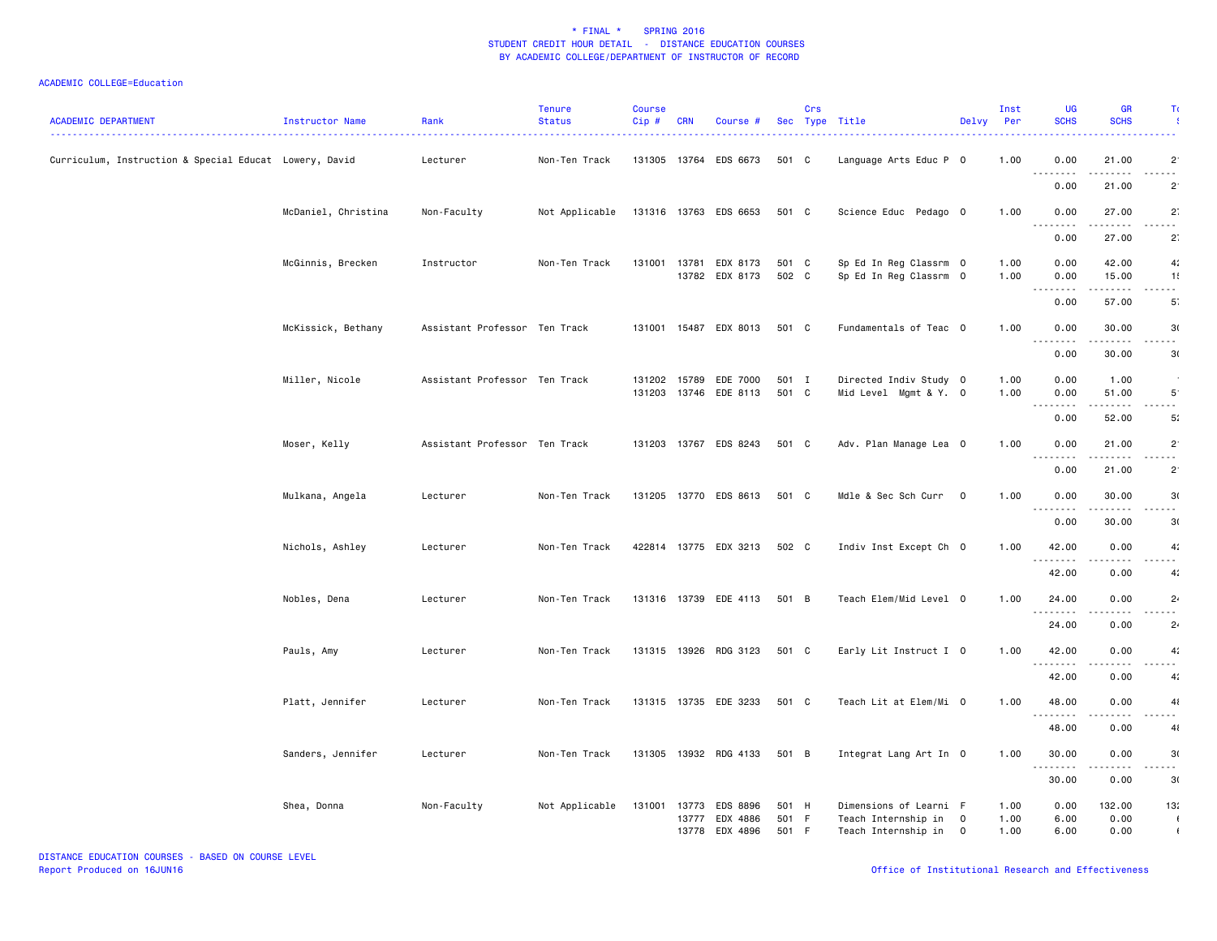| <b>ACADEMIC DEPARTMENT</b>                             | Instructor Name     | Rank                          | <b>Tenure</b><br><b>Status</b> | <b>Course</b><br>Cip# | <b>CRN</b> | Course #                          |                | Crs | Sec Type Title                                   | Delvy          | Inst<br><b>Per</b> | <b>UG</b><br><b>SCHS</b>                             | <b>GR</b><br><b>SCHS</b> | Τı                  |
|--------------------------------------------------------|---------------------|-------------------------------|--------------------------------|-----------------------|------------|-----------------------------------|----------------|-----|--------------------------------------------------|----------------|--------------------|------------------------------------------------------|--------------------------|---------------------|
| Curriculum, Instruction & Special Educat Lowery, David |                     | Lecturer                      | Non-Ten Track                  |                       |            | 131305 13764 EDS 6673             | 501 C          |     | Language Arts Educ P 0                           |                | 1.00               | 0.00<br>$\sim$ $\sim$ $\sim$<br>$\sim$ $\sim$ $\sim$ | 21.00                    | $\overline{2}$      |
|                                                        |                     |                               |                                |                       |            |                                   |                |     |                                                  |                |                    | 0.00                                                 | 21.00                    | $2^{\circ}$         |
|                                                        | McDaniel, Christina | Non-Faculty                   | Not Applicable                 |                       |            | 131316 13763 EDS 6653             | 501 C          |     | Science Educ Pedago O                            |                | 1.00               | 0.00<br>.                                            | 27.00<br>.               | $2^{\circ}$         |
|                                                        |                     |                               |                                |                       |            |                                   |                |     |                                                  |                |                    | 0.00                                                 | 27.00                    | $2^{\cdot}$         |
|                                                        | McGinnis, Brecken   | Instructor                    | Non-Ten Track                  | 131001                | 13781      | EDX 8173<br>13782 EDX 8173        | 501 C<br>502 C |     | Sp Ed In Reg Classrm 0<br>Sp Ed In Reg Classrm 0 |                | 1.00<br>1.00       | 0.00<br>0.00                                         | 42.00<br>15.00           | 4:<br>1!            |
|                                                        |                     |                               |                                |                       |            |                                   |                |     |                                                  |                |                    | .<br>0.00                                            | 57.00                    | - - -<br>5.         |
|                                                        | McKissick, Bethany  | Assistant Professor Ten Track |                                |                       |            | 131001 15487 EDX 8013             | 501 C          |     | Fundamentals of Teac 0                           |                | 1.00               | 0.00                                                 | 30.00                    | 3(                  |
|                                                        |                     |                               |                                |                       |            |                                   |                |     |                                                  |                |                    | 0.00                                                 | 30.00                    | 30                  |
|                                                        | Miller, Nicole      | Assistant Professor Ten Track |                                | 131202                |            | 15789 EDE 7000                    | 501 I          |     | Directed Indiv Study 0                           |                | 1.00               | 0.00                                                 | 1.00                     |                     |
|                                                        |                     |                               |                                | 131203                |            | 13746 EDE 8113                    | 501 C          |     | Mid Level Mgmt & Y. O                            |                | 1.00               | 0.00                                                 | 51.00                    | $5^{\circ}$         |
|                                                        | Moser, Kelly        | Assistant Professor Ten Track |                                |                       |            | 131203 13767 EDS 8243             | 501 C          |     | Adv. Plan Manage Lea 0                           |                | 1.00               | 0.00<br>0.00                                         | 52.00<br>21.00           | 5:<br>$2^{\circ}$   |
|                                                        |                     |                               |                                |                       |            |                                   |                |     |                                                  |                |                    | $\sim$ $\sim$ $\sim$<br>-----<br>0.00                | 21.00                    | .<br>$2^{\circ}$    |
|                                                        | Mulkana, Angela     | Lecturer                      | Non-Ten Track                  |                       |            | 131205 13770 EDS 8613             | 501 C          |     | Mdle & Sec Sch Curr                              | $\overline{0}$ | 1.00               | 0.00                                                 | 30.00                    | 3(                  |
|                                                        |                     |                               |                                |                       |            |                                   |                |     |                                                  |                |                    | <u>.</u><br>0.00                                     | 30.00                    | - - -<br>3(         |
|                                                        | Nichols, Ashley     | Lecturer                      | Non-Ten Track                  |                       |            | 422814 13775 EDX 3213             | 502 C          |     | Indiv Inst Except Ch 0                           |                | 1.00               | 42.00                                                | 0.00                     | 4 <sub>i</sub>      |
|                                                        |                     |                               |                                |                       |            |                                   |                |     |                                                  |                |                    | .<br>42.00                                           | 0.00                     | 4:                  |
|                                                        | Nobles, Dena        | Lecturer                      | Non-Ten Track                  |                       |            | 131316 13739 EDE 4113             | 501 B          |     | Teach Elem/Mid Level 0                           |                | 1.00               | 24.00                                                | 0.00                     | $2\cdot$            |
|                                                        |                     |                               |                                |                       |            |                                   |                |     |                                                  |                |                    | .<br>24.00                                           | الماليات المالي<br>0.00  | الداماء<br>$2\cdot$ |
|                                                        | Pauls, Amy          | Lecturer                      | Non-Ten Track                  |                       |            | 131315 13926 RDG 3123             | 501 C          |     | Early Lit Instruct I 0                           |                | 1.00               | 42.00                                                | 0.00                     | 4 <sub>i</sub>      |
|                                                        |                     |                               |                                |                       |            |                                   |                |     |                                                  |                |                    | .<br>42.00                                           | 0.00                     | 4:                  |
|                                                        | Platt, Jennifer     | Lecturer                      | Non-Ten Track                  |                       |            | 131315 13735 EDE 3233             | 501 C          |     | Teach Lit at Elem/Mi 0                           |                | 1.00               | 48.00                                                | 0.00                     | 41                  |
|                                                        |                     |                               |                                |                       |            |                                   |                |     |                                                  |                |                    | .<br>48.00                                           | 0.00                     | 41                  |
|                                                        | Sanders, Jennifer   | Lecturer                      | Non-Ten Track                  |                       |            | 131305 13932 RDG 4133             | 501 B          |     | Integrat Lang Art In 0                           |                | 1.00               | 30.00<br>$\sim$ $\sim$ $\sim$<br>-----               | 0.00                     | 3(<br>$\sim$ $\sim$ |
|                                                        |                     |                               |                                |                       |            |                                   |                |     |                                                  |                |                    | 30.00                                                | 0.00                     | 3(                  |
|                                                        | Shea, Donna         | Non-Faculty                   | Not Applicable                 |                       | 13777      | 131001 13773 EDS 8896<br>EDX 4886 | 501 H<br>501 F |     | Dimensions of Learni F<br>Teach Internship in    | $\mathbf 0$    | 1.00<br>1.00       | 0.00<br>6.00                                         | 132.00<br>0.00           | 13:<br>$\sqrt{2}$   |
|                                                        |                     |                               |                                |                       |            | 13778 EDX 4896                    | 501 F          |     | Teach Internship in                              | $\overline{0}$ | 1.00               | 6.00                                                 | 0.00                     | $\mathbf{I}$        |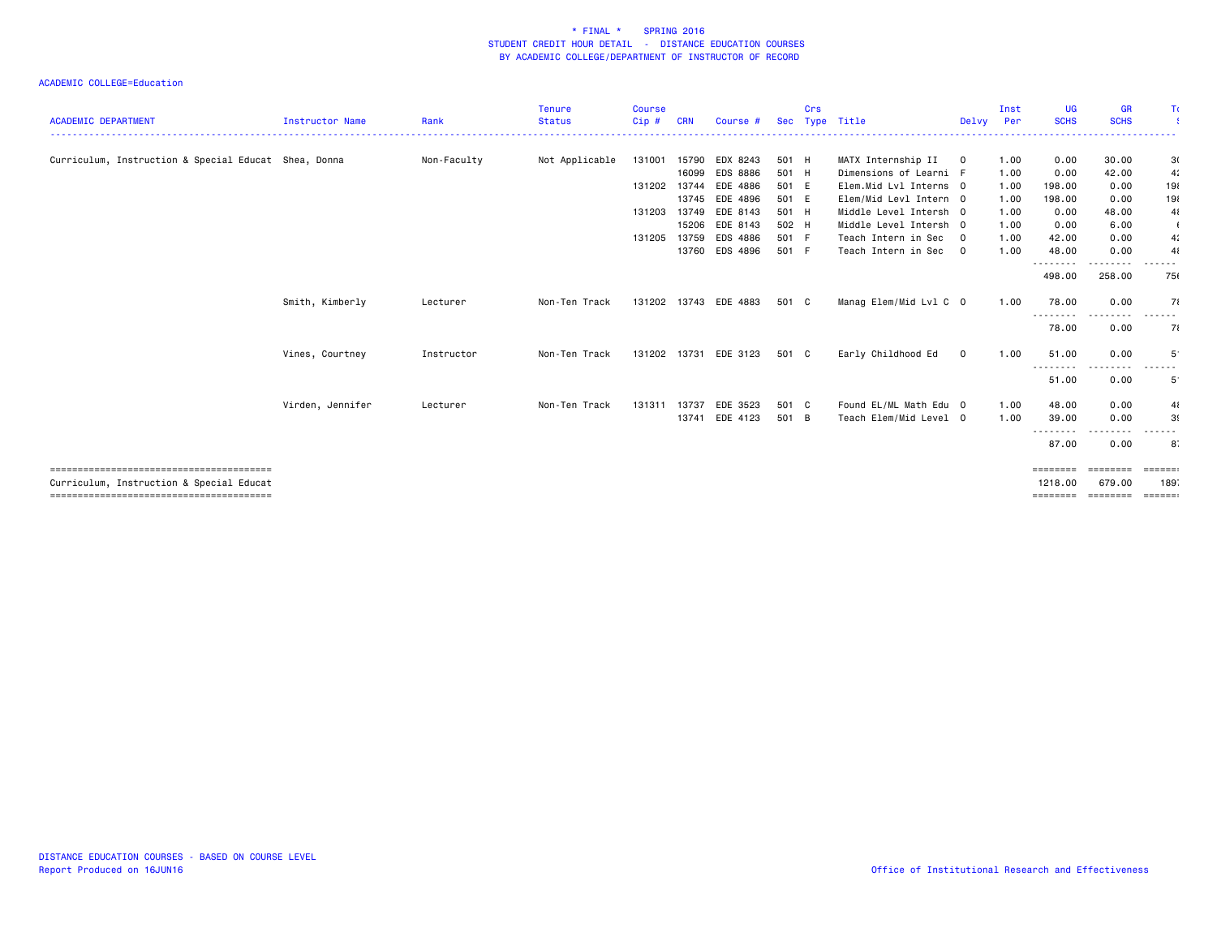| <b>ACADEMIC DEPARTMENT</b>                           | <b>Instructor Name</b> | Rank        | <b>Tenure</b><br><b>Status</b> | <b>Course</b><br>$Cip$ # | <b>CRN</b>     | Course #              | Sec            | Crs | Type Title                                       | Delvy Per               | Inst         | <b>UG</b><br><b>SCHS</b> | GR<br><b>SCHS</b>  | Tα                      |
|------------------------------------------------------|------------------------|-------------|--------------------------------|--------------------------|----------------|-----------------------|----------------|-----|--------------------------------------------------|-------------------------|--------------|--------------------------|--------------------|-------------------------|
| Curriculum, Instruction & Special Educat Shea, Donna |                        | Non-Faculty | Not Applicable                 | 131001                   | 15790          | EDX 8243              | 501 H          |     | MATX Internship II                               | $\circ$                 | 1.00         | 0.00                     | 30.00              | 3(                      |
|                                                      |                        |             |                                |                          | 16099          | EDS 8886              | 501 H          |     | Dimensions of Learni F                           |                         | 1.00         | 0.00                     | 42.00              | 4:                      |
|                                                      |                        |             |                                | 131202                   | 13744<br>13745 | EDE 4886<br>EDE 4896  | 501 E<br>501 E |     | Elem.Mid Lvl Interns 0<br>Elem/Mid Levl Intern 0 |                         | 1.00<br>1.00 | 198,00<br>198.00         | 0.00<br>0.00       | 191<br>198              |
|                                                      |                        |             |                                | 131203                   | 13749          | EDE 8143              | 501 H          |     | Middle Level Intersh 0                           |                         | 1.00         | 0.00                     | 48.00              | 41                      |
|                                                      |                        |             |                                |                          | 15206          | EDE 8143              | 502 H          |     | Middle Level Intersh 0                           |                         | 1.00         | 0.00                     | 6.00               | $\epsilon$              |
|                                                      |                        |             |                                | 131205                   | 13759          | EDS 4886              | 501 F          |     | Teach Intern in Sec                              | $\overline{\mathbf{0}}$ | 1.00         | 42.00                    | 0.00               | 4:                      |
|                                                      |                        |             |                                |                          |                | 13760 EDS 4896        | 501 F          |     | Teach Intern in Sec 0                            |                         | 1.00         | 48.00                    | 0.00               | 41                      |
|                                                      |                        |             |                                |                          |                |                       |                |     |                                                  |                         |              | ---------<br>498.00      | .<br>258.00        | 75                      |
|                                                      | Smith, Kimberly        | Lecturer    | Non-Ten Track                  | 131202                   |                | 13743 EDE 4883        | 501 C          |     | Manag Elem/Mid Lvl C 0                           |                         | 1.00         | 78.00<br>---------       | 0.00               | 71<br>------            |
|                                                      |                        |             |                                |                          |                |                       |                |     |                                                  |                         |              | 78.00                    | 0.00               | 71                      |
|                                                      | Vines, Courtney        | Instructor  | Non-Ten Track                  |                          |                | 131202 13731 EDE 3123 | 501 C          |     | Early Childhood Ed                               | $\mathbf 0$             | 1.00         | 51.00<br>--------        | 0.00<br>.          | 5                       |
|                                                      |                        |             |                                |                          |                |                       |                |     |                                                  |                         |              | 51.00                    | 0.00               | $5^{\circ}$             |
|                                                      | Virden, Jennifer       | Lecturer    | Non-Ten Track                  | 131311                   | 13737          | EDE 3523              | 501 C          |     | Found EL/ML Math Edu 0                           |                         | 1.00         | 48.00                    | 0.00               | 41                      |
|                                                      |                        |             |                                |                          |                | 13741 EDE 4123        | 501 B          |     | Teach Elem/Mid Level 0                           |                         | 1.00         | 39.00                    | 0.00               | 39                      |
|                                                      |                        |             |                                |                          |                |                       |                |     |                                                  |                         |              | ---------                |                    |                         |
|                                                      |                        |             |                                |                          |                |                       |                |     |                                                  |                         |              | 87.00                    | 0.00               | 8.                      |
|                                                      |                        |             |                                |                          |                |                       |                |     |                                                  |                         |              |                          |                    |                         |
| Curriculum, Instruction & Special Educat             |                        |             |                                |                          |                |                       |                |     |                                                  |                         |              | ========<br>1218.00      | ========<br>679.00 | 189                     |
|                                                      |                        |             |                                |                          |                |                       |                |     |                                                  |                         |              | ========                 | ========           | $=$ $=$ $=$ $=$ $=$ $=$ |
|                                                      |                        |             |                                |                          |                |                       |                |     |                                                  |                         |              |                          |                    |                         |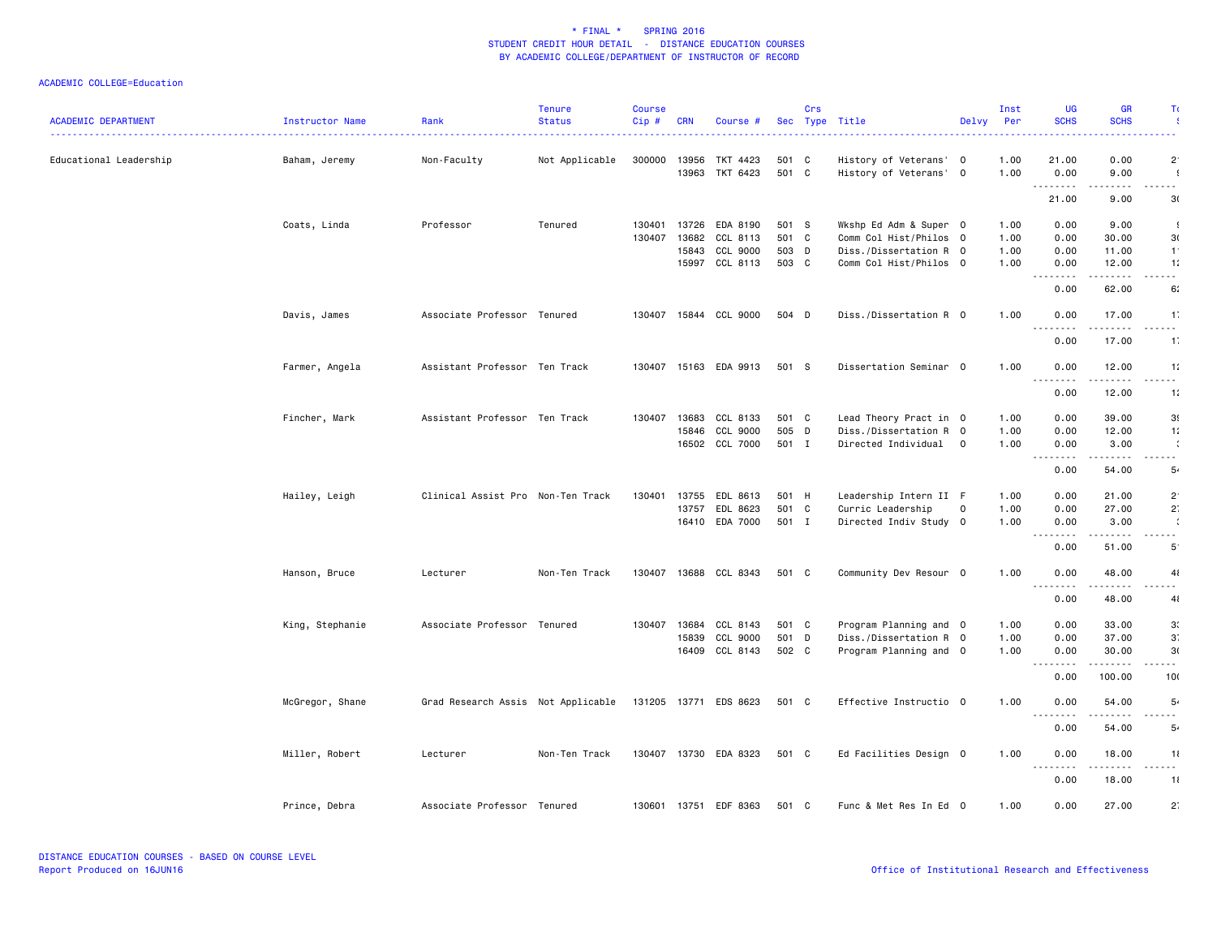| <b>ACADEMIC DEPARTMENT</b> | Instructor Name | Rank                               | <b>Tenure</b><br><b>Status</b> | <b>Course</b><br>Cip# | <b>CRN</b>   | Course #                 |       | Crs | Sec Type Title         | Delvy | Inst<br>Per | <b>UG</b><br><b>SCHS</b> | <b>GR</b><br><b>SCHS</b>                                                                                                                                     | Tα                        |
|----------------------------|-----------------|------------------------------------|--------------------------------|-----------------------|--------------|--------------------------|-------|-----|------------------------|-------|-------------|--------------------------|--------------------------------------------------------------------------------------------------------------------------------------------------------------|---------------------------|
|                            | . <u>.</u> .    |                                    |                                |                       |              |                          |       |     |                        |       |             |                          |                                                                                                                                                              |                           |
| Educational Leadership     | Baham, Jeremy   | Non-Faculty                        | Not Applicable                 | 300000                | 13956        | TKT 4423                 | 501 C |     | History of Veterans' 0 |       | 1.00        | 21.00                    | 0.00                                                                                                                                                         | $\overline{2}$            |
|                            |                 |                                    |                                |                       | 13963        | TKT 6423                 | 501 C |     | History of Veterans' 0 |       | 1.00        | 0.00<br>.                | 9.00<br>.                                                                                                                                                    | $\cdot$<br>- - -          |
|                            |                 |                                    |                                |                       |              |                          |       |     |                        |       |             | 21.00                    | 9.00                                                                                                                                                         | 3(                        |
|                            | Coats, Linda    | Professor                          | Tenured                        | 130401                | 13726        | EDA 8190                 | 501 S |     | Wkshp Ed Adm & Super 0 |       | 1.00        | 0.00                     | 9.00                                                                                                                                                         | $\cdot$                   |
|                            |                 |                                    |                                | 130407                | 13682        | CCL 8113                 | 501 C |     | Comm Col Hist/Philos 0 |       | 1.00        | 0.00                     | 30.00                                                                                                                                                        | 3(                        |
|                            |                 |                                    |                                |                       | 15843        | CCL 9000                 | 503 D |     | Diss./Dissertation R 0 |       | 1.00        | 0.00                     | 11.00                                                                                                                                                        | $-1$                      |
|                            |                 |                                    |                                |                       |              | 15997 CCL 8113           | 503 C |     | Comm Col Hist/Philos 0 |       | 1.00        | 0.00<br>.                | 12.00<br>.                                                                                                                                                   | 11<br>.                   |
|                            |                 |                                    |                                |                       |              |                          |       |     |                        |       |             | 0.00                     | 62.00                                                                                                                                                        | 6.                        |
|                            | Davis, James    | Associate Professor Tenured        |                                |                       |              | 130407  15844  CCL  9000 | 504 D |     | Diss./Dissertation R 0 |       | 1.00        | 0.00<br><u>.</u>         | 17.00<br>.                                                                                                                                                   | $\mathbf{1}$<br>.         |
|                            |                 |                                    |                                |                       |              |                          |       |     |                        |       |             | 0.00                     | 17.00                                                                                                                                                        | $1^{\circ}$               |
|                            | Farmer, Angela  | Assistant Professor Ten Track      |                                |                       |              | 130407 15163 EDA 9913    | 501 S |     | Dissertation Seminar 0 |       | 1.00        | 0.00                     | 12.00                                                                                                                                                        | 11                        |
|                            |                 |                                    |                                |                       |              |                          |       |     |                        |       |             | .<br>0.00                | 12.00                                                                                                                                                        | $\sim$ $-$<br>1:          |
|                            | Fincher, Mark   | Assistant Professor Ten Track      |                                | 130407                | 13683        | CCL 8133                 | 501 C |     | Lead Theory Pract in 0 |       | 1.00        | 0.00                     | 39.00                                                                                                                                                        | 3 <sub>1</sub>            |
|                            |                 |                                    |                                |                       | 15846        | CCL 9000                 | 505 D |     | Diss./Dissertation R 0 |       | 1.00        | 0.00                     | 12.00                                                                                                                                                        | 11                        |
|                            |                 |                                    |                                |                       |              | 16502 CCL 7000           | 501 I |     | Directed Individual 0  |       | 1.00        | 0.00<br><u>.</u>         | 3.00                                                                                                                                                         | $\ddot{\phantom{a}}$<br>. |
|                            |                 |                                    |                                |                       |              |                          |       |     |                        |       |             | 0.00                     | 54.00                                                                                                                                                        | 5.                        |
|                            | Hailey, Leigh   | Clinical Assist Pro Non-Ten Track  |                                |                       | 130401 13755 | EDL 8613                 | 501 H |     | Leadership Intern II F |       | 1.00        | 0.00                     | 21.00                                                                                                                                                        | $2^{\circ}$               |
|                            |                 |                                    |                                |                       | 13757        | EDL 8623                 | 501 C |     | Curric Leadership      | 0     | 1.00        | 0.00                     | 27.00                                                                                                                                                        | $2^{\cdot}$               |
|                            |                 |                                    |                                |                       |              | 16410 EDA 7000           | 501 I |     | Directed Indiv Study 0 |       | 1.00        | 0.00<br>.                | 3.00<br>$\frac{1}{2} \left( \frac{1}{2} \right) \left( \frac{1}{2} \right) \left( \frac{1}{2} \right) \left( \frac{1}{2} \right) \left( \frac{1}{2} \right)$ | $\cdot$<br>.              |
|                            |                 |                                    |                                |                       |              |                          |       |     |                        |       |             | 0.00                     | 51.00                                                                                                                                                        | $5^{\circ}$               |
|                            | Hanson, Bruce   | Lecturer                           | Non-Ten Track                  |                       |              | 130407 13688 CCL 8343    | 501 C |     | Community Dev Resour 0 |       | 1.00        | 0.00                     | 48.00                                                                                                                                                        | 41                        |
|                            |                 |                                    |                                |                       |              |                          |       |     |                        |       |             | <u>.</u><br>0.00         | $- - - - -$<br>48.00                                                                                                                                         | .<br>41                   |
|                            | King, Stephanie | Associate Professor Tenured        |                                | 130407                | 13684        | CCL 8143                 | 501 C |     | Program Planning and 0 |       | 1.00        | 0.00                     | 33.00                                                                                                                                                        | 3 <sup>′</sup>            |
|                            |                 |                                    |                                |                       | 15839        | CCL 9000                 | 501 D |     | Diss./Dissertation R 0 |       | 1.00        | 0.00                     | 37.00                                                                                                                                                        | 3                         |
|                            |                 |                                    |                                |                       |              | 16409 CCL 8143           | 502 C |     | Program Planning and 0 |       | 1.00        | 0.00                     | 30.00                                                                                                                                                        | 3(                        |
|                            |                 |                                    |                                |                       |              |                          |       |     |                        |       |             | .<br>0.00                | $\begin{array}{cccccccccc} \bullet & \bullet & \bullet & \bullet & \bullet & \bullet & \bullet & \bullet \end{array}$<br>100.00                              | .<br>10(                  |
|                            | McGregor, Shane | Grad Research Assis Not Applicable |                                |                       |              | 131205 13771 EDS 8623    | 501 C |     | Effective Instructio 0 |       | 1.00        | 0.00                     | 54.00                                                                                                                                                        | 5.                        |
|                            |                 |                                    |                                |                       |              |                          |       |     |                        |       |             | <u>.</u><br>0.00         | 54.00                                                                                                                                                        | $\frac{1}{2}$<br>5.       |
|                            | Miller, Robert  | Lecturer                           | Non-Ten Track                  |                       |              | 130407 13730 EDA 8323    | 501 C |     | Ed Facilities Design 0 |       | 1.00        | 0.00                     | 18.00                                                                                                                                                        | 11                        |
|                            |                 |                                    |                                |                       |              |                          |       |     |                        |       |             | .<br>0.00                | 18.00                                                                                                                                                        | $\sim$ $\sim$<br>11       |
|                            | Prince, Debra   | Associate Professor Tenured        |                                |                       |              | 130601 13751 EDF 8363    | 501 C |     | Func & Met Res In Ed 0 |       | 1.00        | 0.00                     | 27.00                                                                                                                                                        | $2$ :                     |
|                            |                 |                                    |                                |                       |              |                          |       |     |                        |       |             |                          |                                                                                                                                                              |                           |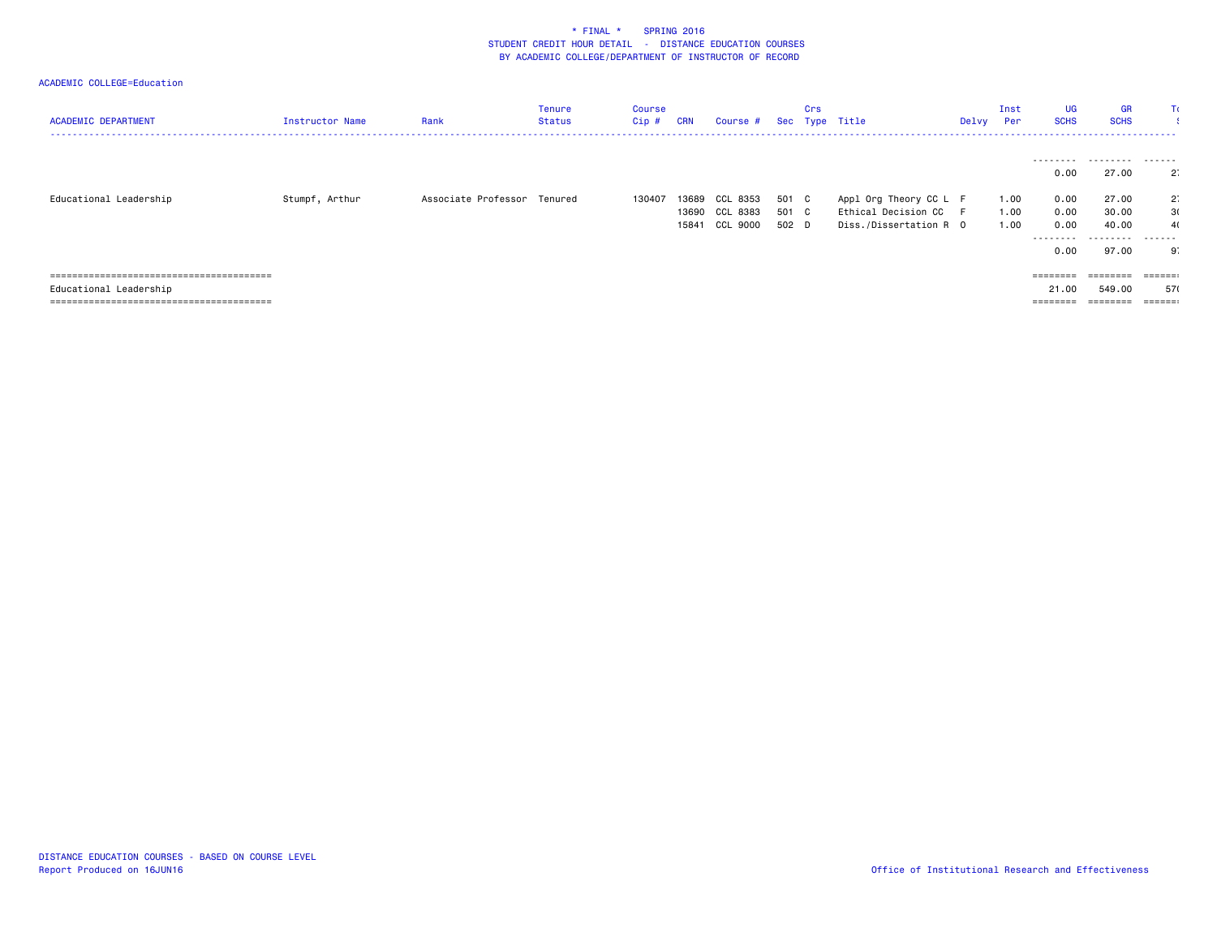| <b>ACADEMIC DEPARTMENT</b> | Instructor Name | Rank                        | Tenure<br>Status | Course<br>Cip# | <b>CRN</b> | Course #       |       | Crs | Sec Type Title         | Delvy | Inst<br>Per | <b>UG</b><br><b>SCHS</b> | <b>GR</b><br><b>SCHS</b><br>------------------- | Tα                      |
|----------------------------|-----------------|-----------------------------|------------------|----------------|------------|----------------|-------|-----|------------------------|-------|-------------|--------------------------|-------------------------------------------------|-------------------------|
|                            |                 |                             |                  |                |            |                |       |     |                        |       |             | .                        | .                                               | .                       |
|                            |                 |                             |                  |                |            |                |       |     |                        |       |             | 0.00                     | 27.00                                           | $2^{\circ}$             |
| Educational Leadership     | Stumpf, Arthur  | Associate Professor Tenured |                  | 130407         |            | 13689 CCL 8353 | 501 C |     | Appl Org Theory CC L F |       | 1.00        | 0.00                     | 27.00                                           | $2^{\circ}$             |
|                            |                 |                             |                  |                |            | 13690 CCL 8383 | 501 C |     | Ethical Decision CC F  |       | 1.00        | 0.00                     | 30.00                                           | 3(                      |
|                            |                 |                             |                  |                |            | 15841 CCL 9000 | 502 D |     | Diss./Dissertation R 0 |       | 1.00        | 0.00                     | 40.00                                           | 4(                      |
|                            |                 |                             |                  |                |            |                |       |     |                        |       |             | ---------                | .                                               | -------                 |
|                            |                 |                             |                  |                |            |                |       |     |                        |       |             | 0.00                     | 97.00                                           | .9.                     |
|                            |                 |                             |                  |                |            |                |       |     |                        |       |             | ========                 | ========                                        | $= 22222222$            |
| Educational Leadership     |                 |                             |                  |                |            |                |       |     |                        |       |             | 21,00                    | 549.00                                          | 570                     |
|                            |                 |                             |                  |                |            |                |       |     |                        |       |             | ========                 | ========                                        | $=$ $=$ $=$ $=$ $=$ $:$ |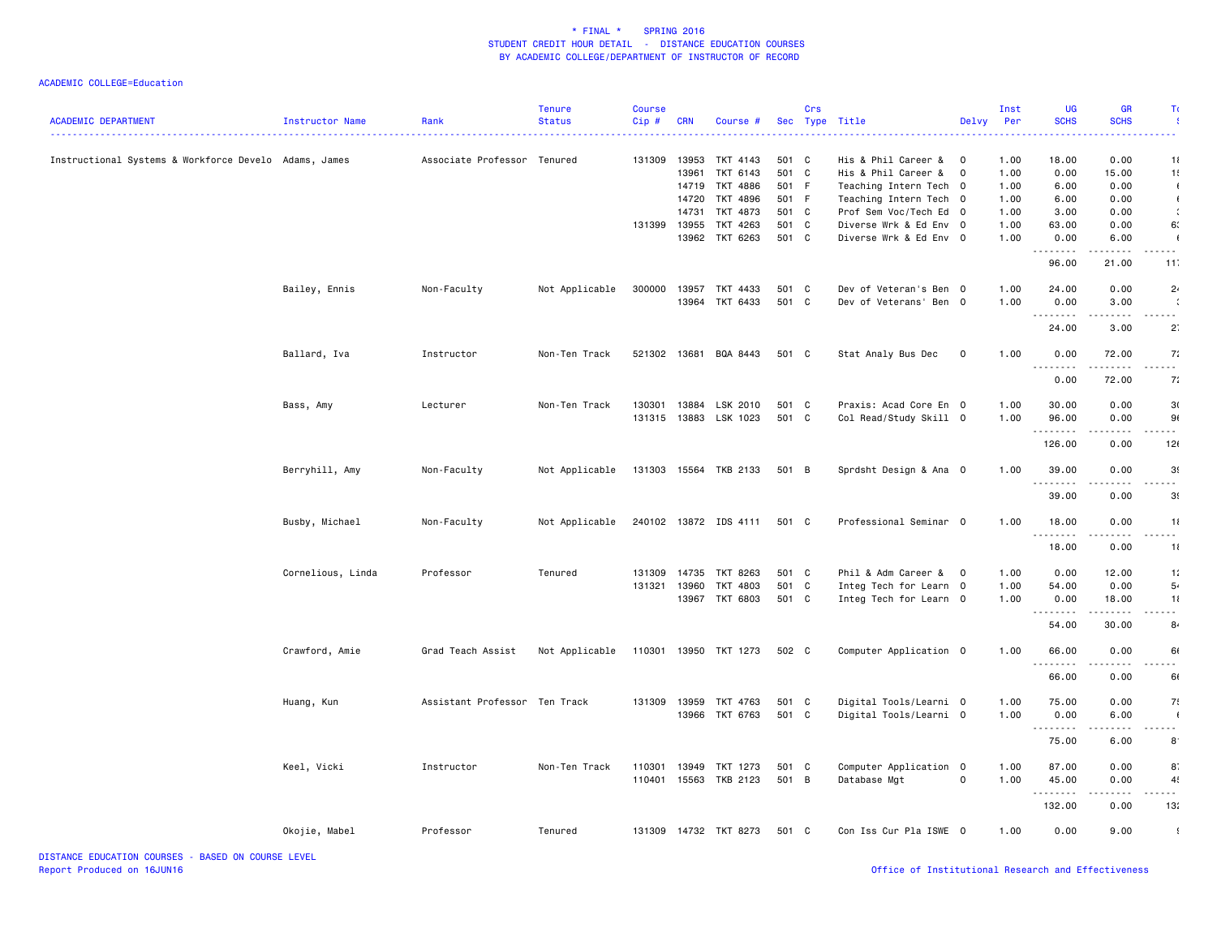| <b>ACADEMIC DEPARTMENT</b>                            | Instructor Name   | Rank                          | <b>Tenure</b><br><b>Status</b> | Course<br>Cip# | <b>CRN</b> | Course #              |       | Crs | Sec Type Title         | Delvy          | Inst<br>Per | UG<br><b>SCHS</b>  | <b>GR</b><br><b>SCHS</b> |                |
|-------------------------------------------------------|-------------------|-------------------------------|--------------------------------|----------------|------------|-----------------------|-------|-----|------------------------|----------------|-------------|--------------------|--------------------------|----------------|
| Instructional Systems & Workforce Develo Adams, James |                   | Associate Professor Tenured   |                                | 131309         | 13953      | TKT 4143              | 501 C |     | His & Phil Career &    | - 0            | 1.00        | 18.00              | 0.00                     | 11             |
|                                                       |                   |                               |                                |                | 13961      | TKT 6143              | 501 C |     | His & Phil Career &    | $\overline{0}$ | 1.00        | 0.00               | 15.00                    | 1!             |
|                                                       |                   |                               |                                |                | 14719      | TKT 4886              | 501 F |     | Teaching Intern Tech 0 |                | 1.00        | 6.00               | 0.00                     | $\blacksquare$ |
|                                                       |                   |                               |                                |                | 14720      | TKT 4896              | 501 F |     | Teaching Intern Tech 0 |                | 1.00        | 6.00               | 0.00                     | $\sqrt{ }$     |
|                                                       |                   |                               |                                |                | 14731      | TKT 4873              | 501 C |     | Prof Sem Voc/Tech Ed 0 |                | 1.00        | 3.00               | 0.00                     | $\ddot{\cdot}$ |
|                                                       |                   |                               |                                | 131399         | 13955      | TKT 4263              | 501 C |     | Diverse Wrk & Ed Env 0 |                | 1.00        | 63.00              | 0.00                     | 6.             |
|                                                       |                   |                               |                                |                | 13962      | TKT 6263              | 501 C |     | Diverse Wrk & Ed Env 0 |                | 1.00        | 0.00<br>.          | 6.00                     | $\sqrt{2}$     |
|                                                       |                   |                               |                                |                |            |                       |       |     |                        |                |             | 96.00              | 21.00                    | 11             |
|                                                       | Bailey, Ennis     | Non-Faculty                   | Not Applicable                 | 300000         | 13957      | TKT 4433              | 501 C |     | Dev of Veteran's Ben 0 |                | 1.00        | 24.00              | 0.00                     | 2 <sub>1</sub> |
|                                                       |                   |                               |                                |                | 13964      | TKT 6433              | 501 C |     | Dev of Veterans' Ben 0 |                | 1.00        | 0.00               | 3.00                     |                |
|                                                       |                   |                               |                                |                |            |                       |       |     |                        |                |             | .                  |                          | .              |
|                                                       |                   |                               |                                |                |            |                       |       |     |                        |                |             | 24.00              | 3.00                     | $2^{\circ}$    |
|                                                       | Ballard, Iva      | Instructor                    | Non-Ten Track                  |                |            | 521302 13681 BQA 8443 | 501 C |     | Stat Analy Bus Dec     | $\mathbf 0$    | 1.00        | 0.00<br>$  -$<br>. | 72.00<br>.               | 7:             |
|                                                       |                   |                               |                                |                |            |                       |       |     |                        |                |             | 0.00               | 72.00                    | 7:             |
|                                                       | Bass, Amy         | Lecturer                      | Non-Ten Track                  | 130301         | 13884      | LSK 2010              | 501 C |     | Praxis: Acad Core En 0 |                | 1.00        | 30.00              | 0.00                     | 30             |
|                                                       |                   |                               |                                | 131315         | 13883      | LSK 1023              | 501 C |     | Col Read/Study Skill 0 |                | 1.00        | 96.00              | 0.00                     | 91             |
|                                                       |                   |                               |                                |                |            |                       |       |     |                        |                |             | .<br>126.00        | 0.00                     | 12(            |
|                                                       |                   |                               |                                | 131303 15564   |            |                       |       |     |                        |                |             |                    | 0.00                     | 3 <sub>1</sub> |
|                                                       | Berryhill, Amy    | Non-Faculty                   | Not Applicable                 |                |            | TKB 2133              | 501 B |     | Sprdsht Design & Ana 0 |                | 1.00        | 39.00<br>.         |                          |                |
|                                                       |                   |                               |                                |                |            |                       |       |     |                        |                |             | 39.00              | 0.00                     | 3 <sub>1</sub> |
|                                                       | Busby, Michael    | Non-Faculty                   | Not Applicable                 |                |            | 240102 13872 IDS 4111 | 501 C |     | Professional Seminar 0 |                | 1.00        | 18.00<br>.         | 0.00<br>$\frac{1}{2}$    | 11<br>.        |
|                                                       |                   |                               |                                |                |            |                       |       |     |                        |                |             | 18.00              | 0.00                     | 11             |
|                                                       | Cornelious, Linda | Professor                     | Tenured                        | 131309         | 14735      | TKT 8263              | 501 C |     | Phil & Adm Career &    | $\overline{0}$ | 1.00        | 0.00               | 12.00                    | 1:             |
|                                                       |                   |                               |                                | 131321         | 13960      | TKT 4803              | 501 C |     | Integ Tech for Learn 0 |                | 1.00        | 54.00              | 0.00                     | 5.             |
|                                                       |                   |                               |                                |                | 13967      | TKT 6803              | 501 C |     | Integ Tech for Learn 0 |                | 1.00        | 0.00               | 18.00                    | 11             |
|                                                       |                   |                               |                                |                |            |                       |       |     |                        |                |             | .                  |                          |                |
|                                                       |                   |                               |                                |                |            |                       |       |     |                        |                |             | 54.00              | 30.00                    | 8              |
|                                                       | Crawford, Amie    | Grad Teach Assist             | Not Applicable                 | 110301 13950   |            | TKT 1273              | 502 C |     | Computer Application 0 |                | 1.00        | 66.00<br>.         | 0.00                     | 6              |
|                                                       |                   |                               |                                |                |            |                       |       |     |                        |                |             | 66.00              | 0.00                     | 61             |
|                                                       | Huang, Kun        | Assistant Professor Ten Track |                                | 131309         | 13959      | TKT 4763              | 501 C |     | Digital Tools/Learni 0 |                | 1.00        | 75.00              | 0.00                     | 7!             |
|                                                       |                   |                               |                                |                | 13966      | TKT 6763              | 501 C |     | Digital Tools/Learni 0 |                | 1.00        | 0.00               | 6.00                     | $\sqrt{ }$     |
|                                                       |                   |                               |                                |                |            |                       |       |     |                        |                |             | .                  | .                        | .              |
|                                                       |                   |                               |                                |                |            |                       |       |     |                        |                |             | 75.00              | 6.00                     | 8              |
|                                                       | Keel, Vicki       | Instructor                    | Non-Ten Track                  | 110301         | 13949      | TKT 1273              | 501 C |     | Computer Application 0 |                | 1.00        | 87.00              | 0.00                     | 8.             |
|                                                       |                   |                               |                                | 110401         | 15563      | TKB 2123              | 501 B |     | Database Mgt           | $\mathsf{o}$   | 1.00        | 45.00<br>.         | 0.00                     | 4!<br>.        |
|                                                       |                   |                               |                                |                |            |                       |       |     |                        |                |             | 132.00             | 0.00                     | 13:            |
|                                                       | Okojie, Mabel     | Professor                     | Tenured                        | 131309         |            | 14732 TKT 8273        | 501 C |     | Con Iss Cur Pla ISWE 0 |                | 1.00        | 0.00               | 9.00                     | $\cdot$        |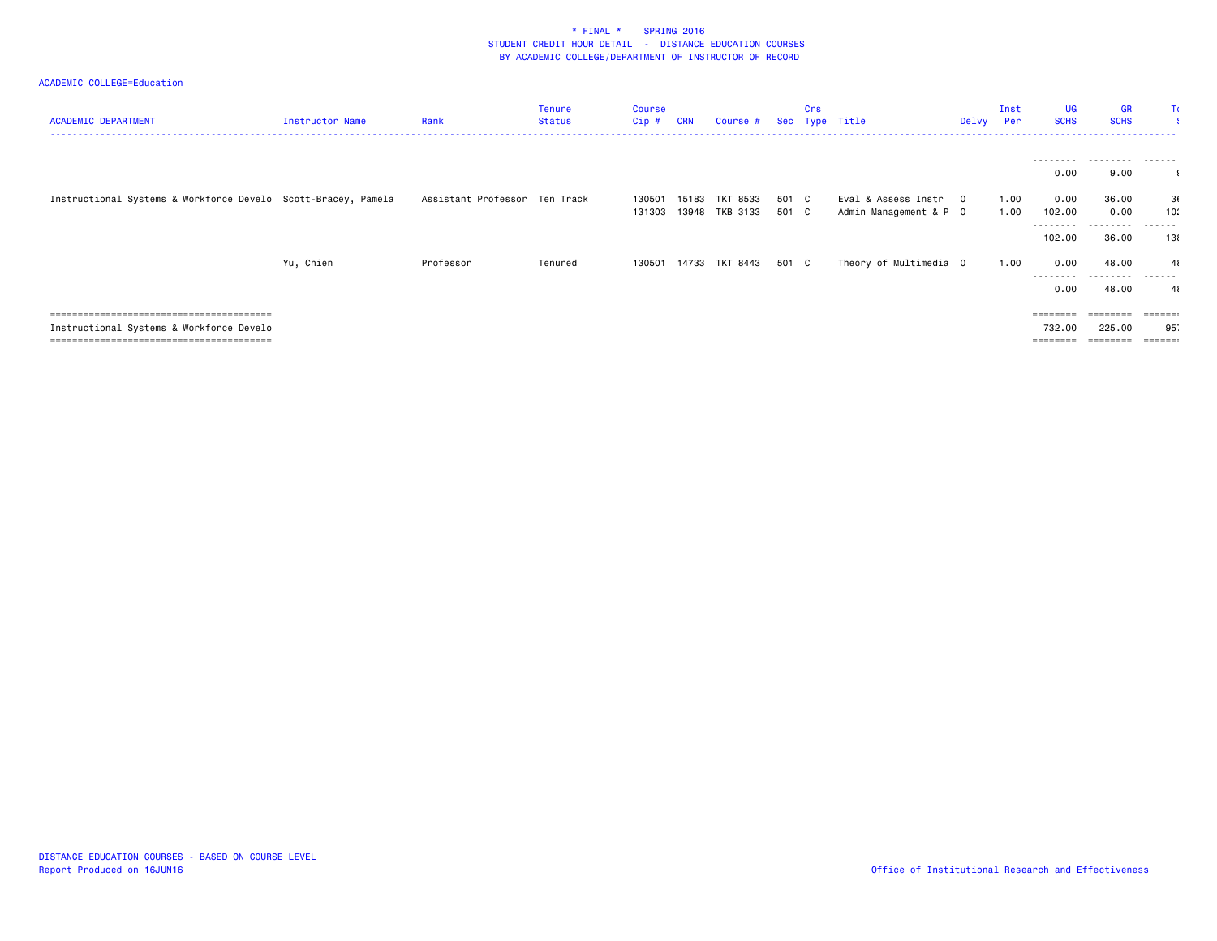| <b>ACADEMIC DEPARTMENT</b>                                    | Instructor Name | Rank                          | Tenure<br>Status | Course<br>Cip #  | <b>CRN</b> | Course #                   |                | Crs | Sec Type Title                                | Delvy Per                | Inst         | <b>UG</b><br><b>SCHS</b>                | <b>GR</b><br><b>SCHS</b>       | Π                             |
|---------------------------------------------------------------|-----------------|-------------------------------|------------------|------------------|------------|----------------------------|----------------|-----|-----------------------------------------------|--------------------------|--------------|-----------------------------------------|--------------------------------|-------------------------------|
|                                                               |                 |                               |                  |                  |            |                            |                |     |                                               |                          |              | ---------<br>0.00                       | .<br>9.00                      | -------                       |
| Instructional Systems & Workforce Develo Scott-Bracey, Pamela |                 | Assistant Professor Ten Track |                  | 130501<br>131303 | 15183      | TKT 8533<br>13948 TKB 3133 | 501 C<br>501 C |     | Eval & Assess Instr<br>Admin Management & P 0 | $\overline{\phantom{0}}$ | 1.00<br>1.00 | 0.00<br>102.00<br>---------<br>102.00   | 36.00<br>0.00<br>.<br>36.00    | 3(<br>10:<br>------<br>131    |
|                                                               | Yu, Chien       | Professor                     | Tenured          | 130501           |            | 14733 TKT 8443             | 501 C          |     | Theory of Multimedia 0                        |                          | 1.00         | 0.00<br>---------<br>0.00               | 48.00<br>---------<br>48.00    | $\mathbf{A}$<br>-------<br>41 |
| Instructional Systems & Workforce Develo                      |                 |                               |                  |                  |            |                            |                |     |                                               |                          |              | $=$ = = = = = = =<br>732.00<br>======== | ========<br>225.00<br>======== | 95.<br><b>ESSESS</b>          |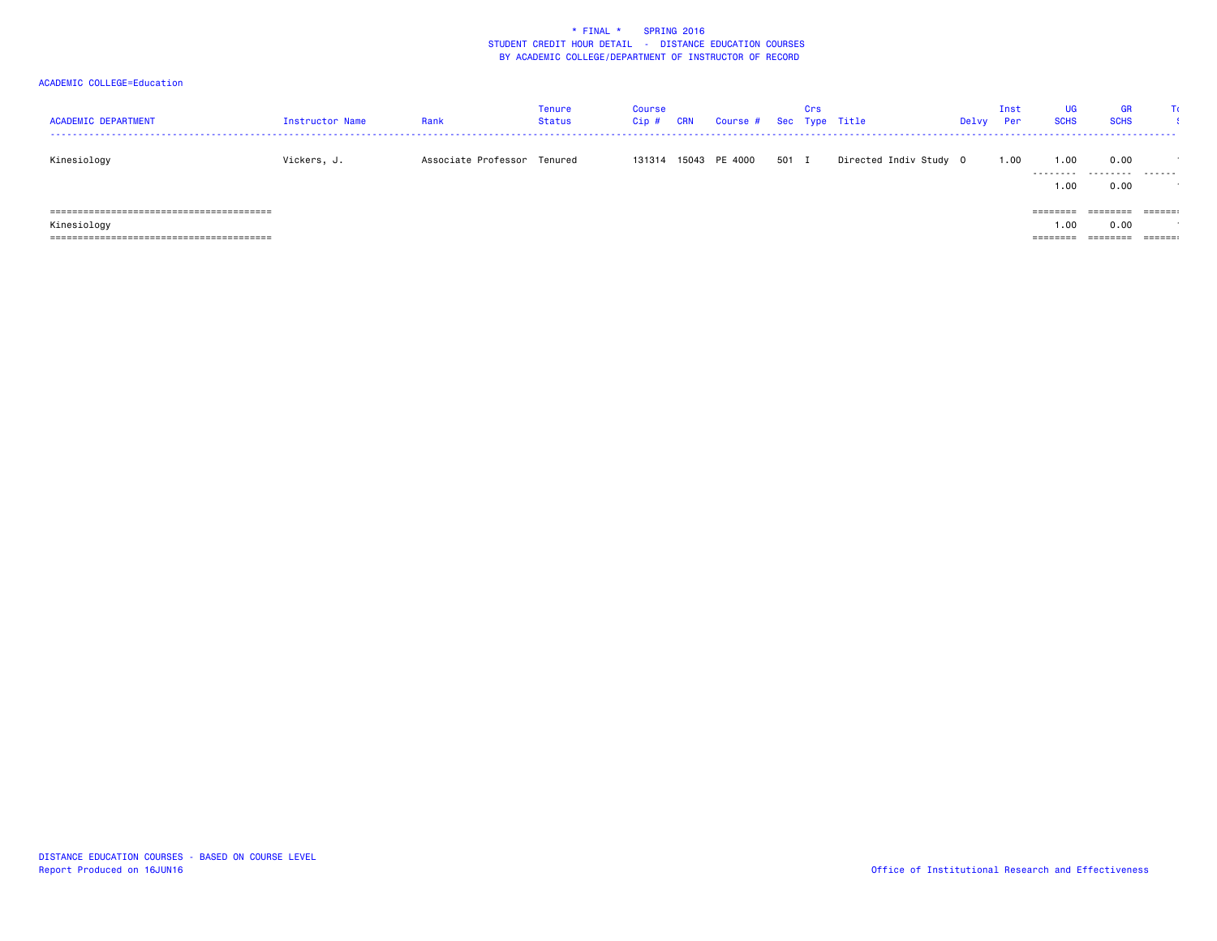| <b>ACADEMIC DEPARTMENT</b> | Instructor Name | Rank                        | Tenure<br>Status | Course<br>Cip # | <b>CRN</b> | Course # Sec Type Title |       | Crs |                        | Delvy | Inst<br>Per | UG<br><b>SCHS</b> | <b>GR</b><br><b>SCHS</b> | TC.                     |
|----------------------------|-----------------|-----------------------------|------------------|-----------------|------------|-------------------------|-------|-----|------------------------|-------|-------------|-------------------|--------------------------|-------------------------|
| Kinesiology                | Vickers, J.     | Associate Professor Tenured |                  |                 |            | 131314 15043 PE 4000    | 501 I |     | Directed Indiv Study 0 |       | 1.00        | 1.00<br>.         | 0.00<br>.                | .                       |
|                            |                 |                             |                  |                 |            |                         |       |     |                        |       |             | 1.00              | 0.00                     |                         |
|                            |                 |                             |                  |                 |            |                         |       |     |                        |       |             | $=$ = = = = = = = | ========                 | $=$ $=$ $=$ $=$ $=$ $:$ |
| Kinesiology                |                 |                             |                  |                 |            |                         |       |     |                        |       |             | .00               | 0.00                     |                         |
|                            |                 |                             |                  |                 |            |                         |       |     |                        |       |             | $=$ = = = = = = = | ========                 | $=$ $=$ $=$ $=$ $=$ $:$ |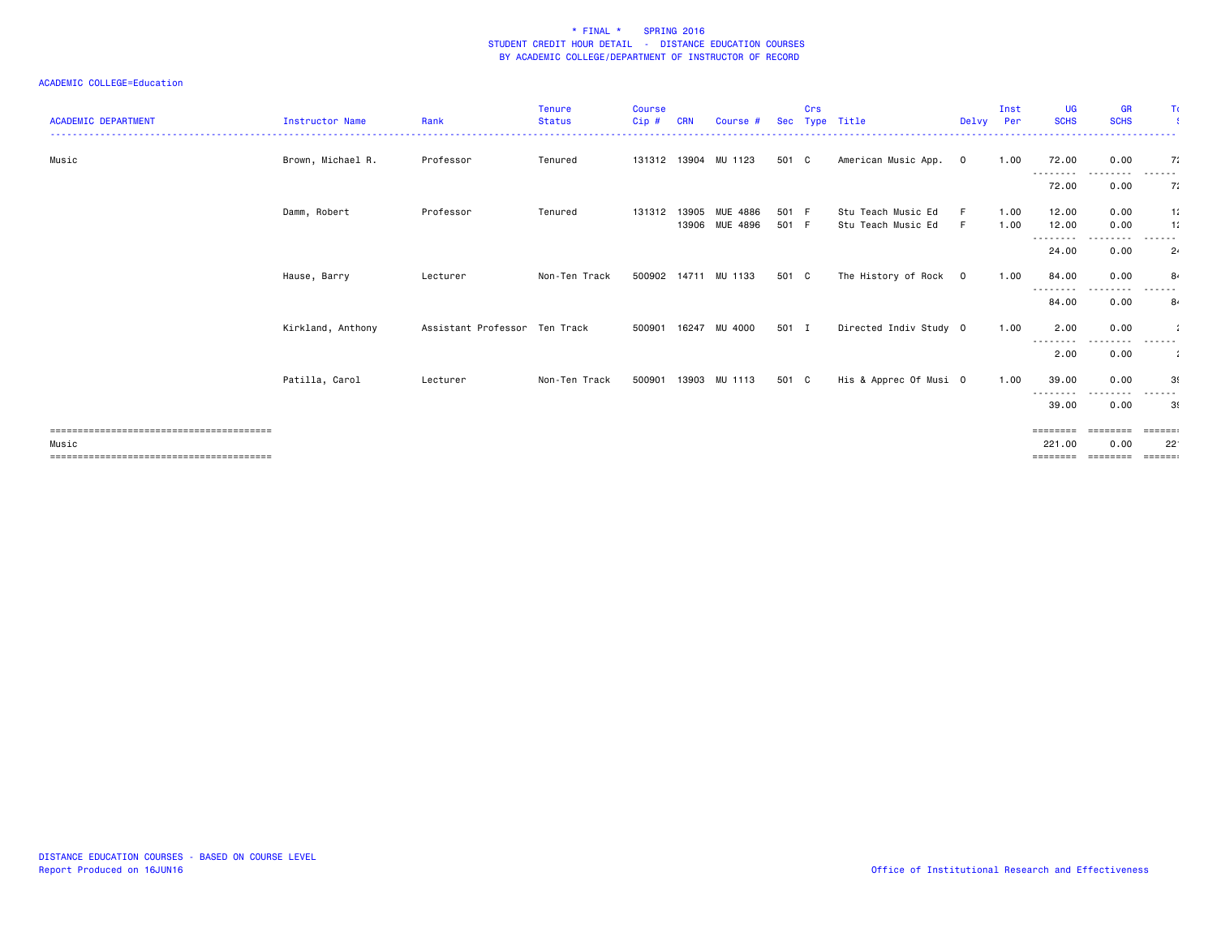| <b>ACADEMIC DEPARTMENT</b> | <b>Instructor Name</b> | Rank                          | Tenure<br><b>Status</b> | <b>Course</b><br>Cip # | <b>CRN</b> | Course #                         |                | Crs | Sec Type Title                           | Delvy          | Inst<br>Per  | UG<br><b>SCHS</b>  | <b>GR</b><br><b>SCHS</b> | Τc                              |
|----------------------------|------------------------|-------------------------------|-------------------------|------------------------|------------|----------------------------------|----------------|-----|------------------------------------------|----------------|--------------|--------------------|--------------------------|---------------------------------|
| Music                      | Brown, Michael R.      | Professor                     | Tenured                 |                        |            | 131312 13904 MU 1123             | 501 C          |     | American Music App.                      | $\overline{0}$ | 1.00         | 72.00              | 0.00                     | 7:                              |
|                            |                        |                               |                         |                        |            |                                  |                |     |                                          |                |              | ---------<br>72.00 | . <sub>.</sub><br>0.00   | -------<br>7:                   |
|                            | Damm, Robert           | Professor                     | Tenured                 | 131312                 |            | 13905 MUE 4886<br>13906 MUE 4896 | 501 F<br>501 F |     | Stu Teach Music Ed<br>Stu Teach Music Ed | E<br>F         | 1.00<br>1.00 | 12.00<br>12.00     | 0.00<br>0.00             | 1:<br>11                        |
|                            |                        |                               |                         |                        |            |                                  |                |     |                                          |                |              | ---------<br>24.00 | 0.00                     | -------<br>2 <sub>1</sub>       |
|                            | Hause, Barry           | Lecturer                      | Non-Ten Track           |                        |            | 500902 14711 MU 1133             | 501 C          |     | The History of Rock 0                    |                | 1.00         | 84.00              | 0.00                     | 8.                              |
|                            |                        |                               |                         |                        |            |                                  |                |     |                                          |                |              | --------<br>84.00  | 0.00                     | ------<br>84                    |
|                            | Kirkland, Anthony      | Assistant Professor Ten Track |                         | 500901                 |            | 16247 MU 4000                    | 501 I          |     | Directed Indiv Study 0                   |                | 1.00         | 2.00               | 0.00                     |                                 |
|                            |                        |                               |                         |                        |            |                                  |                |     |                                          |                |              | --------<br>2.00   | 0.00                     | ------<br>-11                   |
|                            | Patilla, Carol         | Lecturer                      | Non-Ten Track           | 500901                 |            | 13903 MU 1113                    | 501 C          |     | His & Apprec Of Musi 0                   |                | 1.00         | 39.00              | 0.00                     | 3(                              |
|                            |                        |                               |                         |                        |            |                                  |                |     |                                          |                |              | ---------<br>39.00 | ----<br>0.00             | ------<br>39                    |
|                            |                        |                               |                         |                        |            |                                  |                |     |                                          |                |              | ========           | ========                 | $=$ $=$ $=$ $=$ $=$ $:$         |
| Music                      |                        |                               |                         |                        |            |                                  |                |     |                                          |                |              | 221.00<br>======== | 0.00<br>--------         | $22^{\circ}$<br>$= = = = = = :$ |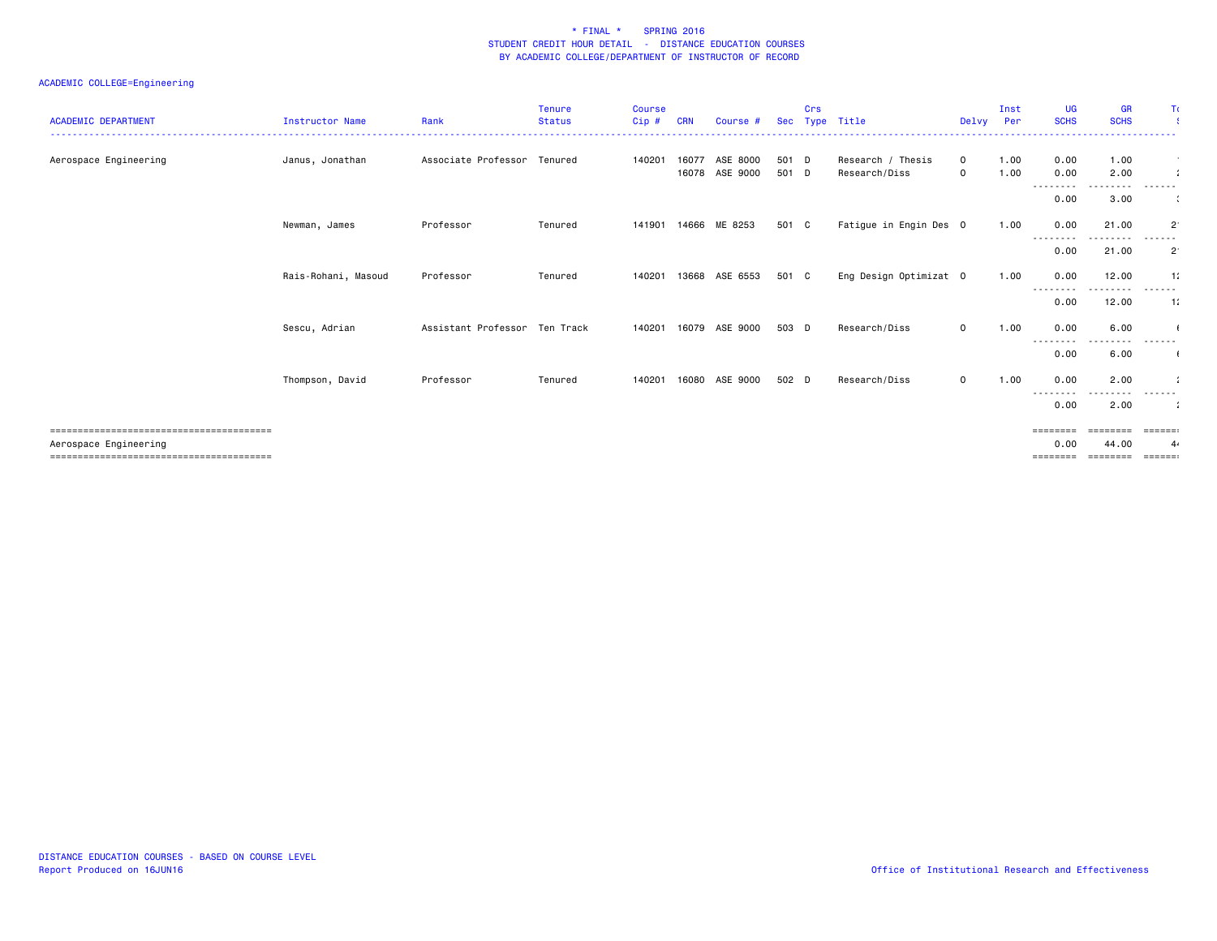### ACADEMIC COLLEGE=Engineering

| <b>ACADEMIC DEPARTMENT</b> | Instructor Name     | Rank                          | <b>Tenure</b><br><b>Status</b> | <b>Course</b><br>Cip # | CRN   | Course #                   | <b>Sec</b>     | Crs | Type Title                         | Delvy                       | Inst<br>Per  | <b>UG</b><br><b>SCHS</b>  | <b>GR</b><br><b>SCHS</b> | Τc                            |
|----------------------------|---------------------|-------------------------------|--------------------------------|------------------------|-------|----------------------------|----------------|-----|------------------------------------|-----------------------------|--------------|---------------------------|--------------------------|-------------------------------|
|                            |                     |                               |                                |                        |       |                            |                |     |                                    |                             |              |                           |                          |                               |
| Aerospace Engineering      | Janus, Jonathan     | Associate Professor Tenured   |                                | 140201                 | 16077 | ASE 8000<br>16078 ASE 9000 | 501 D<br>501 D |     | Research / Thesis<br>Research/Diss | $\mathbf{O}$<br>$\mathbf 0$ | 1.00<br>1.00 | 0.00<br>0.00              | 1.00<br>2.00             |                               |
|                            |                     |                               |                                |                        |       |                            |                |     |                                    |                             |              | ---------<br>0.00         | .<br>3.00                | .<br>$\ddot{\phantom{a}}$     |
|                            | Newman, James       | Professor                     | Tenured                        |                        |       | 141901 14666 ME 8253       | 501 C          |     | Fatigue in Engin Des 0             |                             | 1.00         | 0.00<br>--------          | 21.00                    | $2^{\cdot}$                   |
|                            |                     |                               |                                |                        |       |                            |                |     |                                    |                             |              | 0.00                      | 21.00                    | $2^{\cdot}$                   |
|                            | Rais-Rohani, Masoud | Professor                     | Tenured                        | 140201                 | 13668 | ASE 6553                   | 501 C          |     | Eng Design Optimizat 0             |                             | 1.00         | 0.00<br>--------          | 12.00                    | 11<br>------                  |
|                            |                     |                               |                                |                        |       |                            |                |     |                                    |                             |              | 0.00                      | 12.00                    | $-11$                         |
|                            | Sescu, Adrian       | Assistant Professor Ten Track |                                | 140201                 |       | 16079 ASE 9000             | 503 D          |     | Research/Diss                      | $\mathbf 0$                 | 1.00         | 0.00<br>---------         | 6.00<br>. <b>.</b> .     | . <b>.</b>                    |
|                            |                     |                               |                                |                        |       |                            |                |     |                                    |                             |              | 0.00                      | 6.00                     |                               |
|                            | Thompson, David     | Professor                     | Tenured                        | 140201                 | 16080 | ASE 9000                   | 502 D          |     | Research/Diss                      | $\mathbf 0$                 | 1.00         | 0.00<br>--------          | 2.00                     | - - - - - -                   |
|                            |                     |                               |                                |                        |       |                            |                |     |                                    |                             |              | 0.00<br>========          | 2.00<br>========         | $\cdot$ :<br>$= 22222222$     |
| Aerospace Engineering      |                     |                               |                                |                        |       |                            |                |     |                                    |                             |              | 0.00<br>$=$ = = = = = = = | 44.00<br>========        | 4.<br>$=$ $=$ $=$ $=$ $=$ $:$ |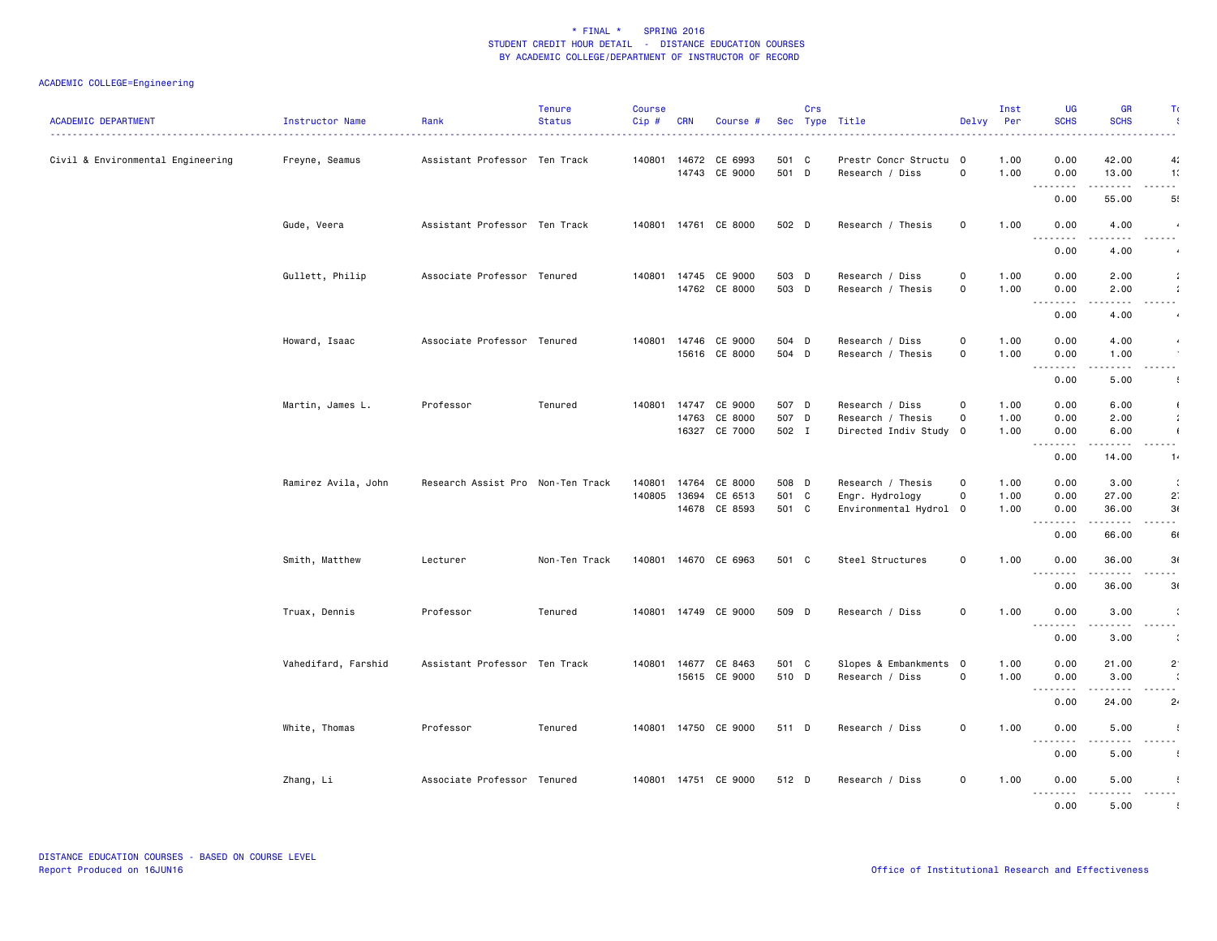### ACADEMIC COLLEGE=Engineering

| <b>ACADEMIC DEPARTMENT</b>        | Instructor Name     | Rank                              | <b>Tenure</b><br>Status | <b>Course</b><br>$Cip$ # | <b>CRN</b> | Course #                              |                | Crs | Sec Type Title                            | Delvy          | Inst<br>Per  | <b>UG</b><br><b>SCHS</b>                                    | <b>GR</b><br><b>SCHS</b>                                                                                                          | Τc                                                                                                                        |
|-----------------------------------|---------------------|-----------------------------------|-------------------------|--------------------------|------------|---------------------------------------|----------------|-----|-------------------------------------------|----------------|--------------|-------------------------------------------------------------|-----------------------------------------------------------------------------------------------------------------------------------|---------------------------------------------------------------------------------------------------------------------------|
| Civil & Environmental Engineering | Freyne, Seamus      | Assistant Professor Ten Track     |                         |                          |            | 140801 14672 CE 6993<br>14743 CE 9000 | 501 C<br>501 D |     | Prestr Concr Structu 0<br>Research / Diss | 0              | 1.00<br>1.00 | 0.00<br>0.00<br>.                                           | 42.00<br>13.00                                                                                                                    | 4 <sub>i</sub><br>1:                                                                                                      |
|                                   |                     |                                   |                         |                          |            |                                       |                |     |                                           |                |              | 0.00                                                        | 55.00                                                                                                                             | 5!                                                                                                                        |
|                                   | Gude, Veera         | Assistant Professor Ten Track     |                         |                          |            | 140801 14761 CE 8000                  | 502 D          |     | Research / Thesis                         | $\mathsf{o}$   | 1.00         | 0.00<br>$  -$<br>----                                       | 4.00                                                                                                                              | $\frac{1}{2} \left( \frac{1}{2} \right) \left( \frac{1}{2} \right) \left( \frac{1}{2} \right) \left( \frac{1}{2} \right)$ |
|                                   |                     |                                   |                         |                          |            |                                       |                |     |                                           |                |              | 0.00                                                        | 4.00                                                                                                                              |                                                                                                                           |
|                                   | Gullett, Philip     | Associate Professor Tenured       |                         | 140801                   |            | 14745 CE 9000<br>14762 CE 8000        | 503 D<br>503 D |     | Research / Diss<br>Research / Thesis      | 0<br>0         | 1.00<br>1.00 | 0.00<br>0.00                                                | 2.00<br>2.00                                                                                                                      | $\cdot$                                                                                                                   |
|                                   |                     |                                   |                         |                          |            |                                       |                |     |                                           |                |              | .<br>0.00                                                   | $\frac{1}{2} \left( \frac{1}{2} \right) \left( \frac{1}{2} \right) \left( \frac{1}{2} \right) \left( \frac{1}{2} \right)$<br>4.00 | -----                                                                                                                     |
|                                   | Howard, Isaac       | Associate Professor Tenured       |                         |                          |            | 140801 14746 CE 9000                  | 504 D          |     | Research / Diss                           | $\mathsf{o}$   | 1.00         | 0.00                                                        | 4.00                                                                                                                              |                                                                                                                           |
|                                   |                     |                                   |                         |                          |            | 15616 CE 8000                         | 504 D          |     | Research / Thesis                         | $\mathsf{o}$   | 1.00         | 0.00                                                        | 1.00                                                                                                                              |                                                                                                                           |
|                                   |                     |                                   |                         |                          |            |                                       |                |     |                                           |                |              | 0.00                                                        | 5.00                                                                                                                              | 4                                                                                                                         |
|                                   | Martin, James L.    | Professor                         | Tenured                 |                          |            | 140801 14747 CE 9000                  | 507 D          |     | Research / Diss                           | $\mathsf{o}$   | 1.00         | 0.00                                                        | 6.00                                                                                                                              | $\left($                                                                                                                  |
|                                   |                     |                                   |                         |                          |            | 14763 CE 8000                         | 507 D          |     | Research / Thesis                         | $\mathbf 0$    | 1.00         | 0.00                                                        | 2.00                                                                                                                              | $\mathcal{L}$                                                                                                             |
|                                   |                     |                                   |                         |                          |            | 16327 CE 7000                         | 502 I          |     | Directed Indiv Study 0                    |                | 1.00         | 0.00<br>-----<br>$\sim$ $\sim$ $\sim$                       | 6.00<br>$\frac{1}{2}$                                                                                                             | $\sqrt{2}$<br>الداعات ب                                                                                                   |
|                                   |                     |                                   |                         |                          |            |                                       |                |     |                                           |                |              | 0.00                                                        | 14.00                                                                                                                             | 1.                                                                                                                        |
|                                   | Ramirez Avila, John | Research Assist Pro Non-Ten Track |                         | 140801                   | 14764      | CE 8000                               | 508 D          |     | Research / Thesis                         | $\mathsf{o}$   | 1.00         | 0.00                                                        | 3.00                                                                                                                              | $\ddot{\cdot}$                                                                                                            |
|                                   |                     |                                   |                         | 140805                   |            | 13694 CE 6513                         | 501 C          |     | Engr. Hydrology                           | $\mathsf{o}$   | 1.00         | 0.00                                                        | 27.00                                                                                                                             | 2                                                                                                                         |
|                                   |                     |                                   |                         |                          |            | 14678 CE 8593                         | 501 C          |     | Environmental Hydrol 0                    |                | 1.00         | 0.00                                                        | 36.00                                                                                                                             | 3(                                                                                                                        |
|                                   |                     |                                   |                         |                          |            |                                       |                |     |                                           |                |              | --------                                                    | .                                                                                                                                 | $\omega_{\rm{eff}}$ and $\omega_{\rm{eff}}$                                                                               |
|                                   |                     | Lecturer                          | Non-Ten Track           |                          |            | 140801 14670 CE 6963                  | 501 C          |     | Steel Structures                          | $\mathsf{o}\,$ | 1.00         | 0.00<br>0.00                                                | 66.00<br>36.00                                                                                                                    | 61<br>3(                                                                                                                  |
|                                   | Smith, Matthew      |                                   |                         |                          |            |                                       |                |     |                                           |                |              | .                                                           | .                                                                                                                                 | .                                                                                                                         |
|                                   |                     |                                   |                         |                          |            |                                       |                |     |                                           |                |              | 0.00                                                        | 36.00                                                                                                                             | 3(                                                                                                                        |
|                                   | Truax, Dennis       | Professor                         | Tenured                 |                          |            | 140801 14749 CE 9000                  | 509 D          |     | Research / Diss                           | $\mathbf 0$    | 1.00         | 0.00<br><u>.</u>                                            | 3.00                                                                                                                              | .                                                                                                                         |
|                                   |                     |                                   |                         |                          |            |                                       |                |     |                                           |                |              | 0.00                                                        | 3.00                                                                                                                              | $\ddot{\phantom{a}}$                                                                                                      |
|                                   | Vahedifard, Farshid | Assistant Professor Ten Track     |                         |                          |            | 140801 14677 CE 8463                  | 501 C          |     | Slopes & Embankments 0                    |                | 1.00         | 0.00                                                        | 21.00                                                                                                                             | $2^{\circ}$                                                                                                               |
|                                   |                     |                                   |                         |                          |            | 15615 CE 9000                         | 510 D          |     | Research / Diss                           | $\mathsf{o}$   | 1.00         | 0.00                                                        | 3.00                                                                                                                              | $\cdot$                                                                                                                   |
|                                   |                     |                                   |                         |                          |            |                                       |                |     |                                           |                |              | $\sim$ $\sim$ $\sim$ $\sim$<br>$\sim$ $\sim$ $\sim$<br>0.00 | .<br>24.00                                                                                                                        | . <b>.</b><br>$2\cdot$                                                                                                    |
|                                   |                     |                                   |                         |                          |            |                                       |                |     |                                           |                |              |                                                             |                                                                                                                                   |                                                                                                                           |
|                                   | White, Thomas       | Professor                         | Tenured                 |                          |            | 140801 14750 CE 9000                  | 511 D          |     | Research / Diss                           | $\mathsf{o}$   | 1.00         | 0.00<br><u>.</u>                                            | 5.00                                                                                                                              | $\cdot$<br>.                                                                                                              |
|                                   |                     |                                   |                         |                          |            |                                       |                |     |                                           |                |              | 0.00                                                        | 5.00                                                                                                                              |                                                                                                                           |
|                                   | Zhang, Li           | Associate Professor Tenured       |                         |                          |            | 140801 14751 CE 9000                  | 512 D          |     | Research / Diss                           | $\mathsf{o}$   | 1.00         | 0.00                                                        | 5.00<br>.                                                                                                                         | .                                                                                                                         |
|                                   |                     |                                   |                         |                          |            |                                       |                |     |                                           |                |              | 0.00                                                        | 5.00                                                                                                                              |                                                                                                                           |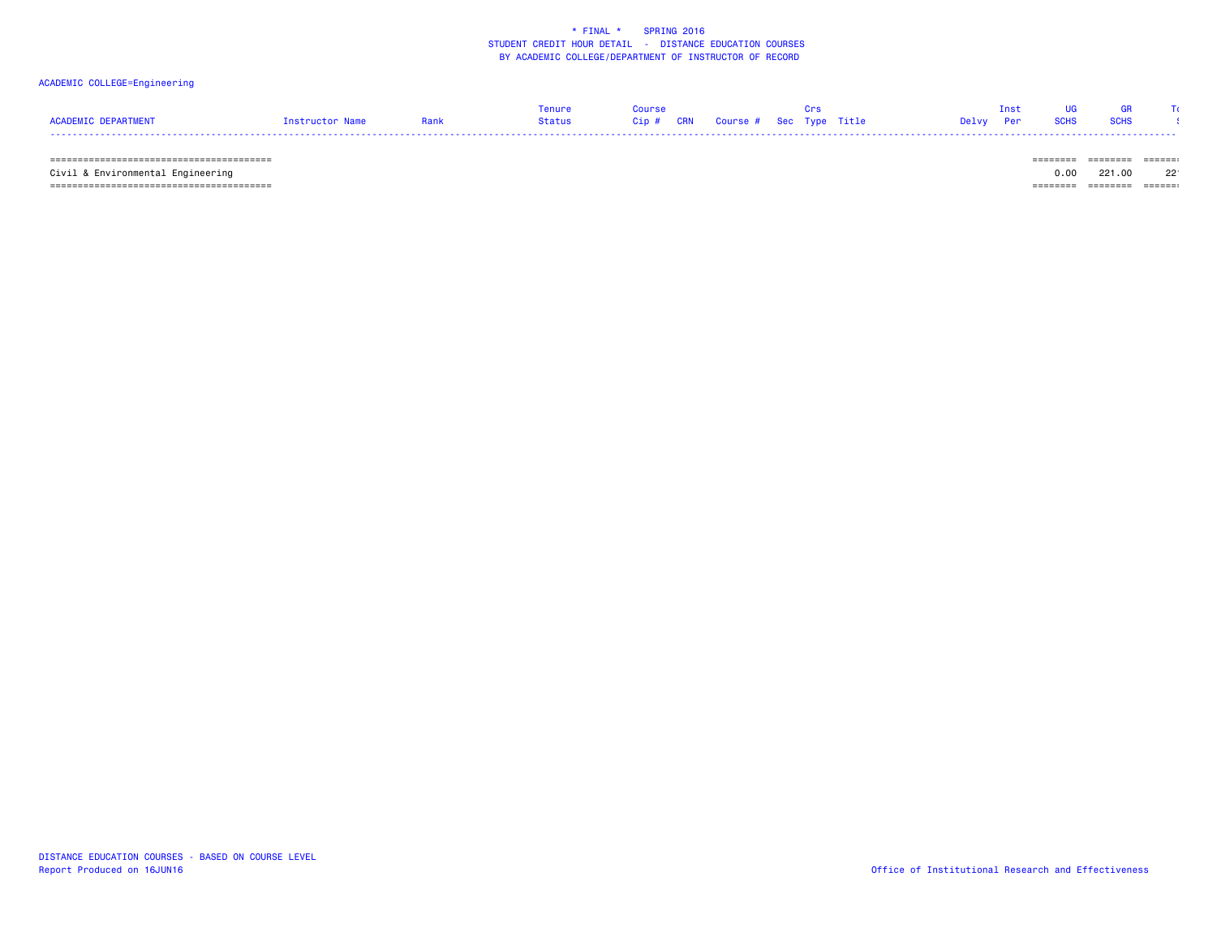### ACADEMIC COLLEGE=Engineering

|                     |                 | Tenure |                                   |  |           | Inst |           |  |
|---------------------|-----------------|--------|-----------------------------------|--|-----------|------|-----------|--|
| ACADEMIC DEPARTMENT | Instructor Name | Status | Cip # CRN Course # Sec Type Title |  | Delvy Per |      | SCHS SCHS |  |
|                     |                 |        |                                   |  |           |      |           |  |

======================================== ======== ======== =======

Civil & Environmental Engineering

======================================== ======== ======== =======

 $0.00$  221.00 22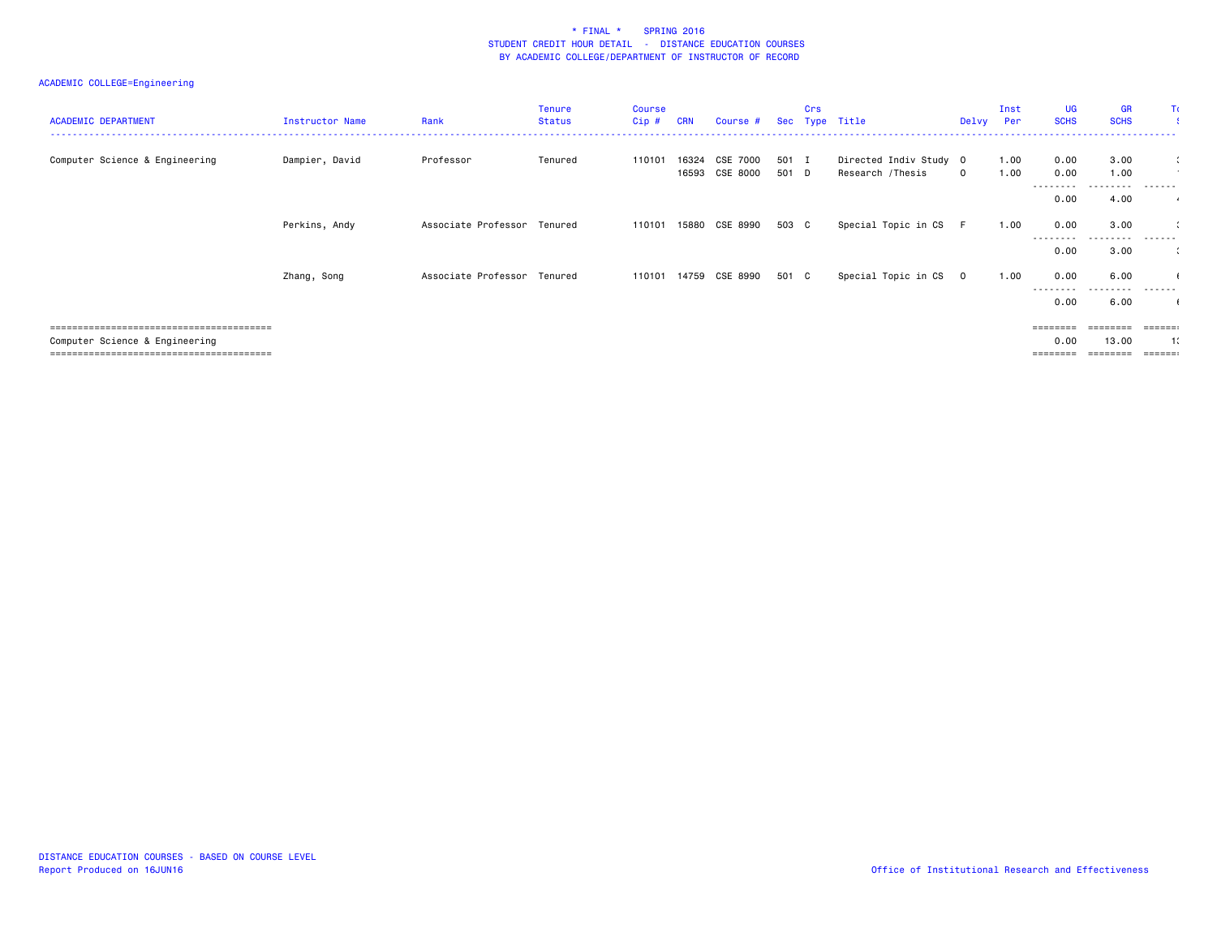### ACADEMIC COLLEGE=Engineering

| <b>ACADEMIC DEPARTMENT</b>     | Instructor Name | Rank                        | <b>Tenure</b><br><b>Status</b> | <b>Course</b><br>Cip# | <b>CRN</b> | Course #                   |                | Crs | Sec Type Title                             | Delvy       | Inst<br>Per  | <b>UG</b><br><b>SCHS</b> | <b>GR</b><br><b>SCHS</b> | Tα                   |
|--------------------------------|-----------------|-----------------------------|--------------------------------|-----------------------|------------|----------------------------|----------------|-----|--------------------------------------------|-------------|--------------|--------------------------|--------------------------|----------------------|
| Computer Science & Engineering | Dampier, David  | Professor                   | Tenured                        | 110101                | 16324      | CSE 7000<br>16593 CSE 8000 | 501 I<br>501 D |     | Directed Indiv Study 0<br>Research /Thesis | $\mathbf 0$ | 1.00<br>1.00 | 0.00<br>0.00             | 3.00<br>1.00             | $\ddot{\phantom{1}}$ |
|                                |                 |                             |                                |                       |            |                            |                |     |                                            |             |              | --------<br>0.00         | 4.00                     | $\overline{a}$       |
|                                | Perkins, Andy   | Associate Professor Tenured |                                | 110101                |            | 15880 CSE 8990             | 503 C          |     | Special Topic in CS                        | -F          | 1.00         | 0.00<br>--------         | 3.00<br>.                | .                    |
|                                |                 |                             |                                |                       |            |                            |                |     |                                            |             |              | 0.00                     | 3.00                     | $\ddot{\phantom{a}}$ |
|                                | Zhang, Song     | Associate Professor Tenured |                                | 110101                |            | 14759 CSE 8990             | 501 C          |     | Special Topic in CS 0                      |             | 1.00         | 0.00                     | 6.00                     |                      |
|                                |                 |                             |                                |                       |            |                            |                |     |                                            |             |              | ---------<br>0.00        | ------<br>6.00           | -------              |
|                                |                 |                             |                                |                       |            |                            |                |     |                                            |             |              |                          | ========                 | $= = = = = = :$      |
| Computer Science & Engineering |                 |                             |                                |                       |            |                            |                |     |                                            |             |              | 0.00<br>========         | 13.00                    | 1:<br>======         |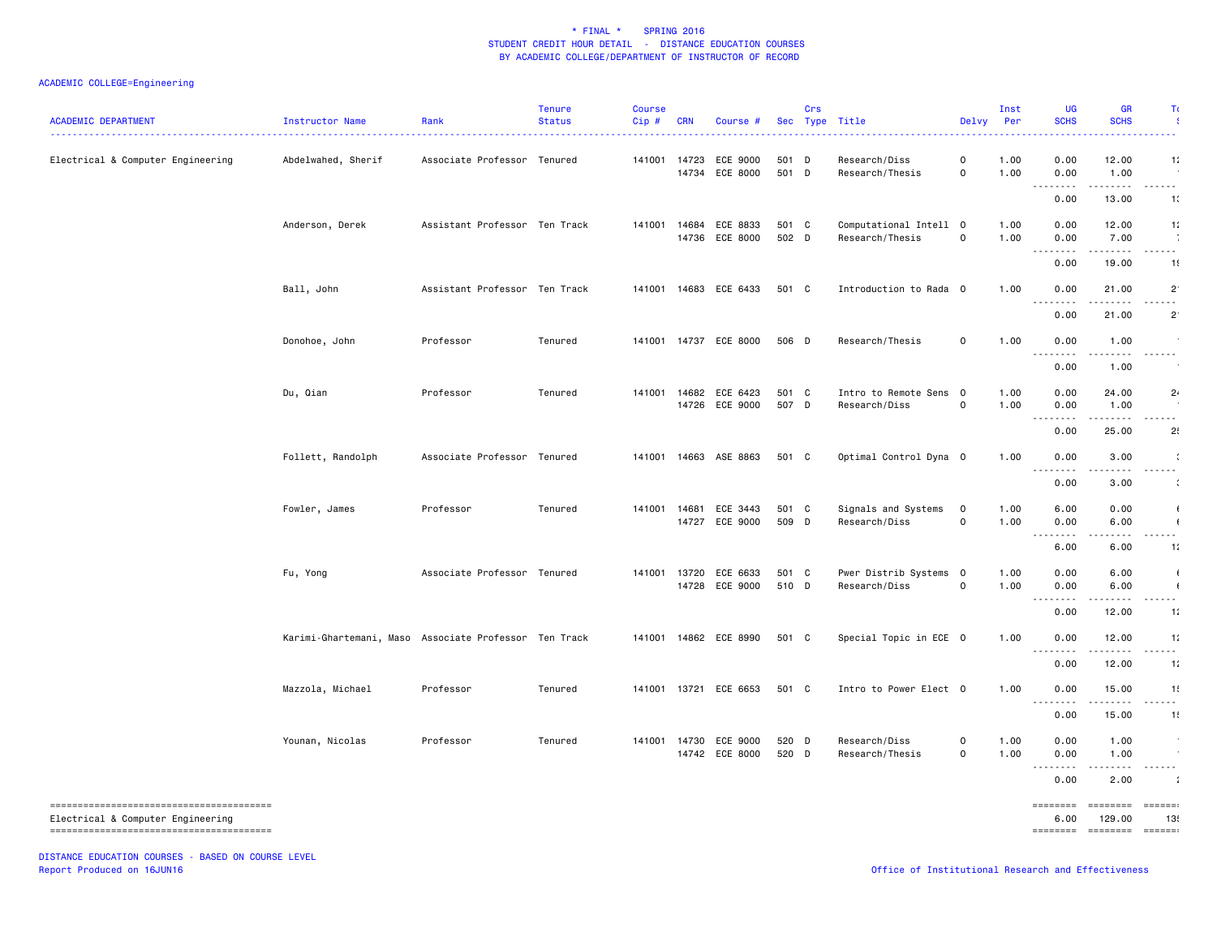### ACADEMIC COLLEGE=Engineering

| <b>ACADEMIC DEPARTMENT</b>        | Instructor Name<br>.                                  | Rank                          | <b>Tenure</b><br><b>Status</b> | Course<br>Cip# | <b>CRN</b> | Course #                                |                | Crs | Sec Type Title                            | Delvy                               | Inst<br>Per  | UG<br><b>SCHS</b>                                                                                                                                                                                                                                                                                                                                                                                                                                                                                       | <b>GR</b><br><b>SCHS</b>                                                                                                                                              | T.                      |
|-----------------------------------|-------------------------------------------------------|-------------------------------|--------------------------------|----------------|------------|-----------------------------------------|----------------|-----|-------------------------------------------|-------------------------------------|--------------|---------------------------------------------------------------------------------------------------------------------------------------------------------------------------------------------------------------------------------------------------------------------------------------------------------------------------------------------------------------------------------------------------------------------------------------------------------------------------------------------------------|-----------------------------------------------------------------------------------------------------------------------------------------------------------------------|-------------------------|
| Electrical & Computer Engineering | Abdelwahed, Sherif                                    | Associate Professor Tenured   |                                | 141001 14723   |            | ECE 9000<br>14734 ECE 8000              | 501 D<br>501 D |     | Research/Diss<br>Research/Thesis          | $\mathbf 0$<br>$\mathbf 0$          | 1.00<br>1.00 | 0.00<br>0.00<br>.                                                                                                                                                                                                                                                                                                                                                                                                                                                                                       | 12.00<br>1.00<br>$\frac{1}{2} \left( \frac{1}{2} \right) \left( \frac{1}{2} \right) \left( \frac{1}{2} \right) \left( \frac{1}{2} \right) \left( \frac{1}{2} \right)$ | 11<br>$  -$             |
|                                   | Anderson, Derek                                       | Assistant Professor Ten Track |                                | 141001         | 14684      | ECE 8833<br>14736 ECE 8000              | 501 C<br>502 D |     | Computational Intell 0<br>Research/Thesis | $\mathsf{o}$                        | 1.00<br>1.00 | 0.00<br>0.00<br>0.00                                                                                                                                                                                                                                                                                                                                                                                                                                                                                    | 13.00<br>12.00<br>7.00                                                                                                                                                | 10<br>11<br>.           |
|                                   | Ball, John                                            | Assistant Professor Ten Track |                                |                |            | 141001 14683 ECE 6433                   | 501 C          |     | Introduction to Rada 0                    |                                     | 1.00         | .<br>0.00<br>0.00<br>$\sim$ $\sim$ $\sim$                                                                                                                                                                                                                                                                                                                                                                                                                                                               | .<br>19.00<br>21.00                                                                                                                                                   | 1!<br>$2^{\circ}$<br>.  |
|                                   | Donohoe, John                                         | Professor                     | Tenured                        |                |            | 141001 14737 ECE 8000                   | 506 D          |     | Research/Thesis                           | $\mathbf 0$                         | 1.00         | 0.00<br>0.00<br>$\sim$ $\sim$ $\sim$<br>.                                                                                                                                                                                                                                                                                                                                                                                                                                                               | 21.00<br>1.00<br>----                                                                                                                                                 | $2^{\circ}$<br>.        |
|                                   | Du, Qian                                              | Professor                     | Tenured                        |                |            | 141001 14682 ECE 6423<br>14726 ECE 9000 | 501 C<br>507 D |     | Intro to Remote Sens 0<br>Research/Diss   | $\mathsf{o}$                        | 1.00<br>1.00 | 0.00<br>0.00<br>0.00                                                                                                                                                                                                                                                                                                                                                                                                                                                                                    | 1.00<br>24.00<br>1.00                                                                                                                                                 | 2 <sub>1</sub>          |
|                                   | Follett, Randolph                                     | Associate Professor Tenured   |                                |                |            | 141001 14663 ASE 8863                   | 501 C          |     | Optimal Control Dyna 0                    |                                     | 1.00         | <u>.</u><br>0.00<br>0.00                                                                                                                                                                                                                                                                                                                                                                                                                                                                                | .<br>25.00<br>3.00                                                                                                                                                    | - - -<br>2!             |
|                                   |                                                       |                               | Tenured                        |                |            |                                         | 501 C          |     |                                           | $\overline{0}$                      |              | .<br>.<br>0.00                                                                                                                                                                                                                                                                                                                                                                                                                                                                                          | 3.00                                                                                                                                                                  |                         |
|                                   | Fowler, James                                         | Professor                     |                                |                |            | 141001 14681 ECE 3443<br>14727 ECE 9000 | 509 D          |     | Signals and Systems<br>Research/Diss      | 0                                   | 1.00<br>1.00 | 6.00<br>0.00<br>$\sim$ $\sim$ $\sim$ $\sim$<br>6.00                                                                                                                                                                                                                                                                                                                                                                                                                                                     | 0.00<br>6.00<br>6.00                                                                                                                                                  | 1:                      |
|                                   | Fu, Yong                                              | Associate Professor Tenured   |                                |                |            | 141001 13720 ECE 6633<br>14728 ECE 9000 | 501 C<br>510 D |     | Pwer Distrib Systems 0<br>Research/Diss   | $\mathsf{O}\xspace$                 | 1.00<br>1.00 | 0.00<br>0.00<br>.<br>$\sim$ $\sim$ $\sim$                                                                                                                                                                                                                                                                                                                                                                                                                                                               | 6.00<br>6.00<br>$- - - -$                                                                                                                                             | $\mathbf{I}$            |
|                                   | Karimi-Ghartemani, Maso Associate Professor Ten Track |                               |                                |                |            | 141001 14862 ECE 8990                   | 501 C          |     | Special Topic in ECE 0                    |                                     | 1.00         | 0.00<br>0.00<br>.                                                                                                                                                                                                                                                                                                                                                                                                                                                                                       | 12.00<br>12.00                                                                                                                                                        | 11<br>11<br>$- - - - -$ |
|                                   | Mazzola, Michael                                      | Professor                     | Tenured                        |                |            | 141001 13721 ECE 6653                   | 501 C          |     | Intro to Power Elect 0                    |                                     | 1.00         | 0.00<br>0.00                                                                                                                                                                                                                                                                                                                                                                                                                                                                                            | 12.00<br>15.00                                                                                                                                                        | 1:<br>11<br>.           |
|                                   | Younan, Nicolas                                       | Professor                     | Tenured                        |                |            | 141001 14730 ECE 9000<br>14742 ECE 8000 | 520 D<br>520 D |     | Research/Diss<br>Research/Thesis          | $\mathsf{O}\xspace$<br>$\mathsf{o}$ | 1.00<br>1.00 | 0.00<br>0.00<br>0.00                                                                                                                                                                                                                                                                                                                                                                                                                                                                                    | 15.00<br>1.00<br>1.00                                                                                                                                                 | 1!                      |
|                                   |                                                       |                               |                                |                |            |                                         |                |     |                                           |                                     |              | 22222<br>0.00<br>$\begin{array}{cccccccccc} \multicolumn{2}{c}{} & \multicolumn{2}{c}{} & \multicolumn{2}{c}{} & \multicolumn{2}{c}{} & \multicolumn{2}{c}{} & \multicolumn{2}{c}{} & \multicolumn{2}{c}{} & \multicolumn{2}{c}{} & \multicolumn{2}{c}{} & \multicolumn{2}{c}{} & \multicolumn{2}{c}{} & \multicolumn{2}{c}{} & \multicolumn{2}{c}{} & \multicolumn{2}{c}{} & \multicolumn{2}{c}{} & \multicolumn{2}{c}{} & \multicolumn{2}{c}{} & \multicolumn{2}{c}{} & \multicolumn{2}{c}{} & \mult$ | 22222<br>2.00<br>========                                                                                                                                             | eesse:                  |
| Electrical & Computer Engineering |                                                       |                               |                                |                |            |                                         |                |     |                                           |                                     |              | 6.00                                                                                                                                                                                                                                                                                                                                                                                                                                                                                                    | 129.00<br>======== ======== ======                                                                                                                                    | 13!                     |

DISTANCE EDUCATION COURSES - BASED ON COURSE LEVEL Report Produced on 16JUN16 Office of Institutional Research and Effectiveness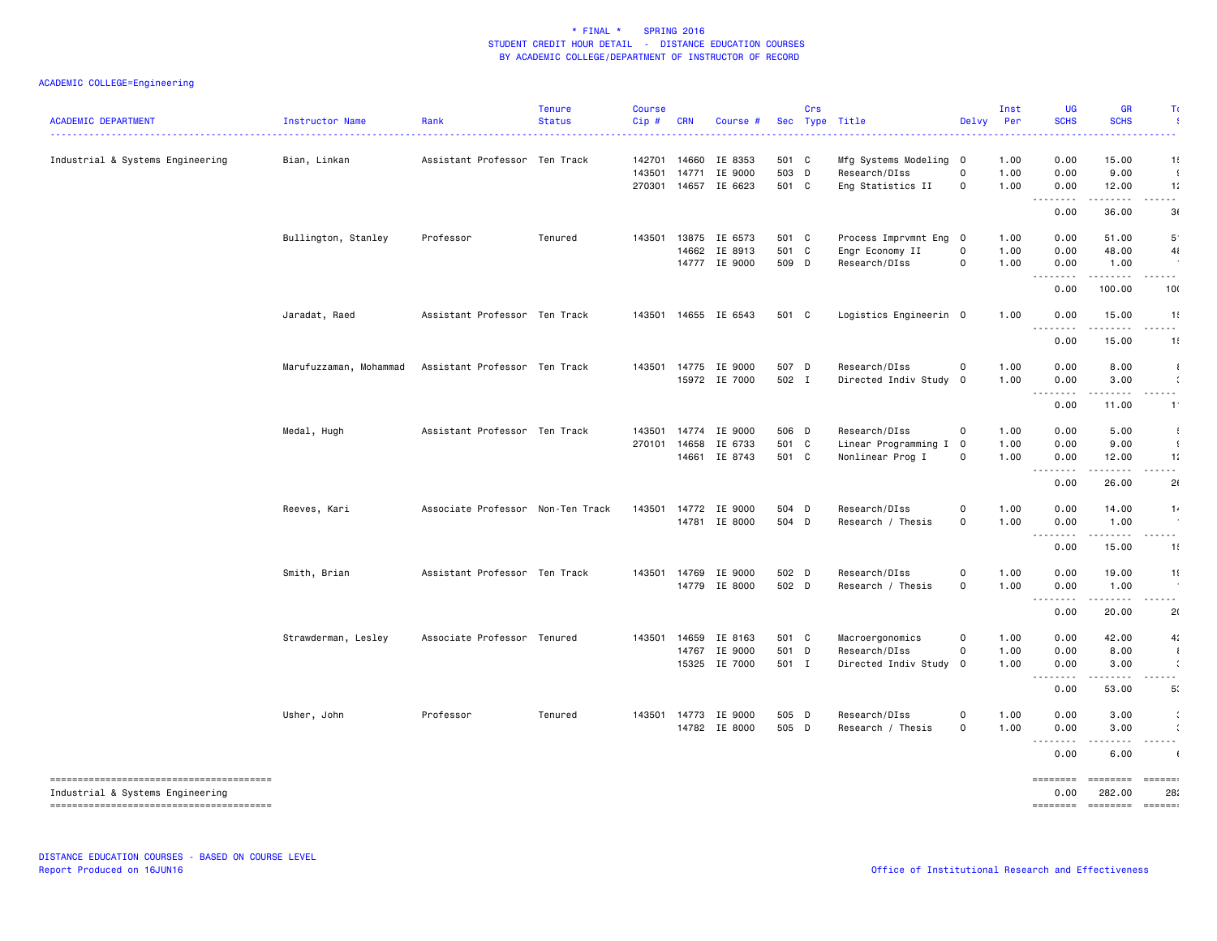### ACADEMIC COLLEGE=Engineering

| <b>ACADEMIC DEPARTMENT</b>       | Instructor Name        | Rank                              | <b>Tenure</b><br><b>Status</b> | <b>Course</b><br>Cip# | <b>CRN</b>     | Course #             |                | Crs | Sec Type Title                           | Delvy                      | Inst<br>Per  | UG<br><b>SCHS</b>                                                                                                                 | <b>GR</b><br><b>SCHS</b>                                                                                                                                      | Τ                                                                                                                                                    |
|----------------------------------|------------------------|-----------------------------------|--------------------------------|-----------------------|----------------|----------------------|----------------|-----|------------------------------------------|----------------------------|--------------|-----------------------------------------------------------------------------------------------------------------------------------|---------------------------------------------------------------------------------------------------------------------------------------------------------------|------------------------------------------------------------------------------------------------------------------------------------------------------|
| Industrial & Systems Engineering | Bian, Linkan           | Assistant Professor Ten Track     |                                | 142701                | 14660          | IE 8353              | 501 C          |     | Mfg Systems Modeling 0                   |                            | 1.00         | 0.00                                                                                                                              | 15.00                                                                                                                                                         | 1!                                                                                                                                                   |
|                                  |                        |                                   |                                | 143501                | 14771          | IE 9000              | 503 D          |     | Research/DIss                            | $\mathbf 0$                | 1.00         | 0.00                                                                                                                              | 9.00                                                                                                                                                          | $\cdot$                                                                                                                                              |
|                                  |                        |                                   |                                |                       |                | 270301 14657 IE 6623 | 501 C          |     | Eng Statistics II                        | 0                          | 1.00         | 0.00<br>.                                                                                                                         | 12.00<br>$\frac{1}{2} \left( \frac{1}{2} \right) \left( \frac{1}{2} \right) \left( \frac{1}{2} \right) \left( \frac{1}{2} \right) \left( \frac{1}{2} \right)$ | 11<br>- - -                                                                                                                                          |
|                                  |                        |                                   |                                |                       |                |                      |                |     |                                          |                            |              | 0.00                                                                                                                              | 36.00                                                                                                                                                         | 3(                                                                                                                                                   |
|                                  | Bullington, Stanley    | Professor                         | Tenured                        | 143501                | 13875          | IE 6573              | 501 C          |     | Process Imprvmnt Eng 0                   |                            | 1.00         | 0.00                                                                                                                              | 51.00                                                                                                                                                         | $5^{\cdot}$                                                                                                                                          |
|                                  |                        |                                   |                                |                       | 14662          | IE 8913              | 501 C          |     | Engr Economy II                          | $\mathsf 0$                | 1.00         | 0.00                                                                                                                              | 48.00                                                                                                                                                         | 41                                                                                                                                                   |
|                                  |                        |                                   |                                |                       |                | 14777 IE 9000        | 509 D          |     | Research/DIss                            | $\mathbf 0$                | 1.00         | 0.00<br>$\sim$ $\sim$ $\sim$<br>.                                                                                                 | 1.00<br>$- - - -$                                                                                                                                             | $\frac{1}{2} \left( \frac{1}{2} \right) \left( \frac{1}{2} \right) \left( \frac{1}{2} \right) \left( \frac{1}{2} \right) \left( \frac{1}{2} \right)$ |
|                                  |                        |                                   |                                |                       |                |                      |                |     |                                          |                            |              | 0.00                                                                                                                              | 100.00                                                                                                                                                        | 10(                                                                                                                                                  |
|                                  | Jaradat, Raed          | Assistant Professor Ten Track     |                                |                       |                | 143501 14655 IE 6543 | 501 C          |     | Logistics Engineerin 0                   |                            | 1.00         | 0.00                                                                                                                              | 15.00                                                                                                                                                         | 1!                                                                                                                                                   |
|                                  |                        |                                   |                                |                       |                |                      |                |     |                                          |                            |              | .<br>0.00                                                                                                                         | $\frac{1}{2} \left( \frac{1}{2} \right) \left( \frac{1}{2} \right) \left( \frac{1}{2} \right) \left( \frac{1}{2} \right) \left( \frac{1}{2} \right)$<br>15.00 | .<br>1!                                                                                                                                              |
|                                  | Marufuzzaman, Mohammad | Assistant Professor Ten Track     |                                |                       | 143501 14775   | IE 9000              | 507 D          |     | Research/DIss                            | 0                          | 1.00         | 0.00                                                                                                                              | 8.00                                                                                                                                                          | $\mathbf{I}$                                                                                                                                         |
|                                  |                        |                                   |                                |                       |                | 15972 IE 7000        | 502 I          |     | Directed Indiv Study                     | $\mathbf 0$                | 1.00         | 0.00                                                                                                                              | 3.00                                                                                                                                                          | $\mathcal{L}$                                                                                                                                        |
|                                  |                        |                                   |                                |                       |                |                      |                |     |                                          |                            |              | $\frac{1}{2} \left( \frac{1}{2} \right) \left( \frac{1}{2} \right) \left( \frac{1}{2} \right) \left( \frac{1}{2} \right)$<br>0.00 | $\frac{1}{2}$<br>11.00                                                                                                                                        | .<br>$-1$ <sup>-</sup>                                                                                                                               |
|                                  |                        |                                   |                                |                       |                |                      |                |     |                                          |                            |              |                                                                                                                                   |                                                                                                                                                               |                                                                                                                                                      |
|                                  | Medal, Hugh            | Assistant Professor Ten Track     |                                | 143501                | 14774          | IE 9000              | 506 D          |     | Research/DIss                            | $\mathbf 0$                | 1.00         | 0.00                                                                                                                              | 5.00                                                                                                                                                          | 4                                                                                                                                                    |
|                                  |                        |                                   |                                | 270101                | 14658<br>14661 | IE 6733<br>IE 8743   | 501 C<br>501 C |     | Linear Programming I<br>Nonlinear Prog I | $\mathbf 0$<br>$\mathsf 0$ | 1.00<br>1.00 | 0.00<br>0.00                                                                                                                      | 9.00                                                                                                                                                          | $\cdot$<br>1:                                                                                                                                        |
|                                  |                        |                                   |                                |                       |                |                      |                |     |                                          |                            |              | $\sim$ $\sim$ $\sim$<br>د د د د                                                                                                   | 12.00<br>.                                                                                                                                                    | .                                                                                                                                                    |
|                                  |                        |                                   |                                |                       |                |                      |                |     |                                          |                            |              | 0.00                                                                                                                              | 26.00                                                                                                                                                         | 2(                                                                                                                                                   |
|                                  | Reeves, Kari           | Associate Professor Non-Ten Track |                                | 143501                |                | 14772 IE 9000        | 504 D          |     | Research/DIss                            | $\mathsf 0$                | 1.00         | 0.00                                                                                                                              | 14.00                                                                                                                                                         | 1.                                                                                                                                                   |
|                                  |                        |                                   |                                |                       |                | 14781 IE 8000        | 504 D          |     | Research / Thesis                        | $\mathsf{O}\xspace$        | 1.00         | 0.00<br>.                                                                                                                         | 1.00<br>.                                                                                                                                                     |                                                                                                                                                      |
|                                  |                        |                                   |                                |                       |                |                      |                |     |                                          |                            |              | 0.00                                                                                                                              | 15.00                                                                                                                                                         | .<br>1!                                                                                                                                              |
|                                  | Smith, Brian           | Assistant Professor Ten Track     |                                |                       | 143501 14769   | IE 9000              | 502 D          |     | Research/DIss                            | $\mathsf 0$                | 1.00         | 0.00                                                                                                                              | 19.00                                                                                                                                                         | 1!                                                                                                                                                   |
|                                  |                        |                                   |                                |                       | 14779          | IE 8000              | 502 D          |     | Research / Thesis                        | $\mathbf 0$                | 1.00         | 0.00                                                                                                                              | 1.00                                                                                                                                                          |                                                                                                                                                      |
|                                  |                        |                                   |                                |                       |                |                      |                |     |                                          |                            |              | .<br>0.00                                                                                                                         | .<br>20.00                                                                                                                                                    | .<br>2(                                                                                                                                              |
|                                  |                        |                                   |                                |                       |                |                      |                |     |                                          |                            |              |                                                                                                                                   |                                                                                                                                                               |                                                                                                                                                      |
|                                  | Strawderman, Lesley    | Associate Professor Tenured       |                                | 143501                | 14659<br>14767 | IE 8163<br>IE 9000   | 501 C<br>501 D |     | Macroergonomics<br>Research/DIss         | $\mathbf 0$<br>$\mathbf 0$ | 1.00<br>1.00 | 0.00<br>0.00                                                                                                                      | 42.00<br>8.00                                                                                                                                                 | 4:<br>$\cdot$                                                                                                                                        |
|                                  |                        |                                   |                                |                       | 15325          | IE 7000              | 501 I          |     | Directed Indiv Study                     | $\mathbf 0$                | 1.00         | 0.00                                                                                                                              | 3.00                                                                                                                                                          | $\mathcal{L}$                                                                                                                                        |
|                                  |                        |                                   |                                |                       |                |                      |                |     |                                          |                            |              | $\frac{1}{2}$                                                                                                                     | ----                                                                                                                                                          | $\sim$ $\sim$                                                                                                                                        |
|                                  |                        |                                   |                                |                       |                |                      |                |     |                                          |                            |              | 0.00                                                                                                                              | 53.00                                                                                                                                                         | 5 <sup>′</sup>                                                                                                                                       |
|                                  | Usher, John            | Professor                         | Tenured                        | 143501                | 14773          | IE 9000              | 505 D          |     | Research/DIss                            | 0                          | 1.00         | 0.00                                                                                                                              | 3.00                                                                                                                                                          | $\ddot{\phantom{a}}$                                                                                                                                 |
|                                  |                        |                                   |                                |                       |                | 14782 IE 8000        | 505 D          |     | Research / Thesis                        | $\mathbf 0$                | 1.00         | 0.00                                                                                                                              | 3.00                                                                                                                                                          | $\ddot{\phantom{a}}$                                                                                                                                 |
|                                  |                        |                                   |                                |                       |                |                      |                |     |                                          |                            |              | .<br>0.00                                                                                                                         | .<br>6.00                                                                                                                                                     | .                                                                                                                                                    |
|                                  |                        |                                   |                                |                       |                |                      |                |     |                                          |                            |              | $=$ = = = = = = =                                                                                                                 | ========                                                                                                                                                      | $=$ $=$ $=$ $=$ $=$                                                                                                                                  |
| Industrial & Systems Engineering |                        |                                   |                                |                       |                |                      |                |     |                                          |                            |              | 0.00                                                                                                                              | 282.00                                                                                                                                                        | 28:                                                                                                                                                  |
|                                  |                        |                                   |                                |                       |                |                      |                |     |                                          |                            |              |                                                                                                                                   | ======== ======== ======                                                                                                                                      |                                                                                                                                                      |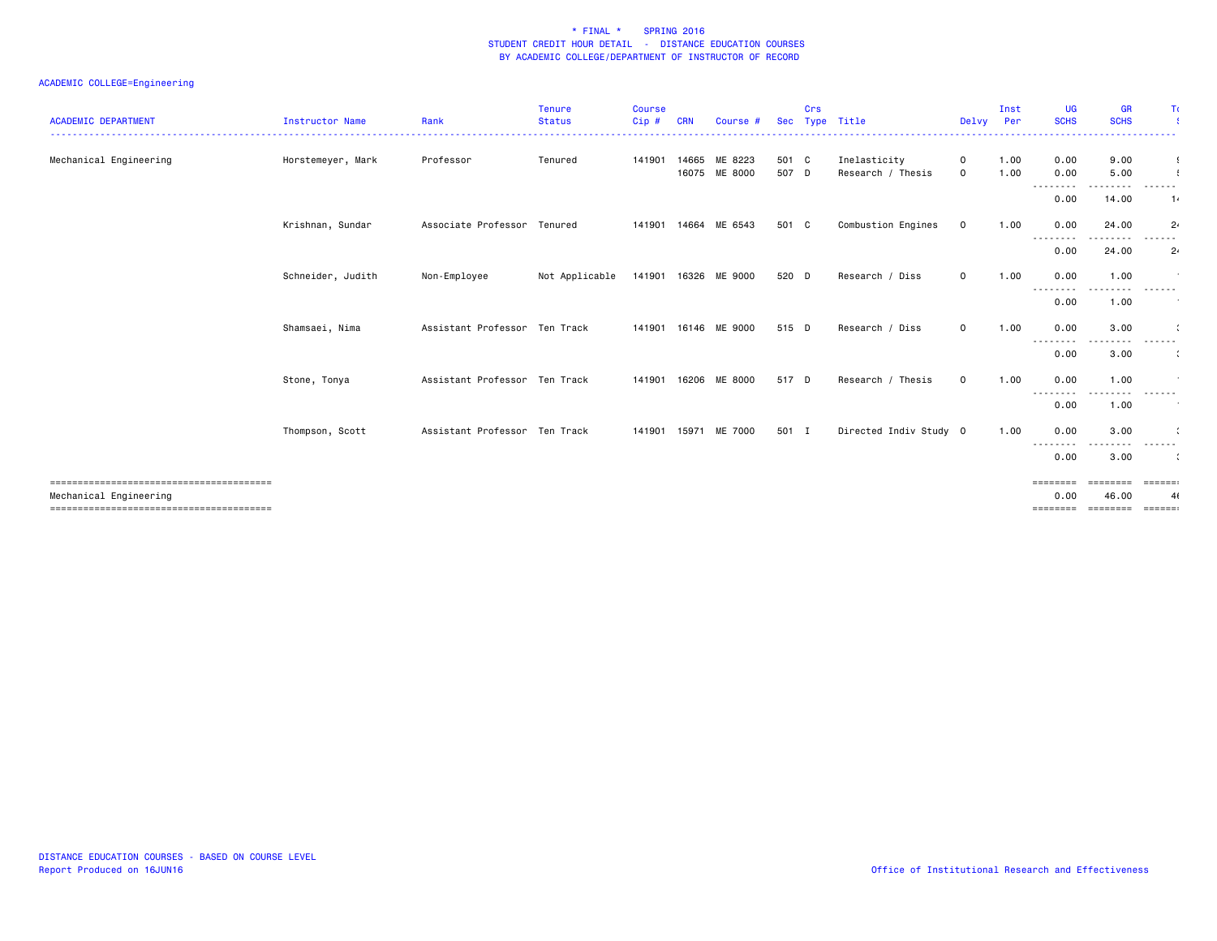### ACADEMIC COLLEGE=Engineering

| <b>ACADEMIC DEPARTMENT</b> | Instructor Name   | Rank                          | Tenure<br><b>Status</b> | <b>Course</b><br>Cip# |       | Course #                 |                | Crs | Sec Type Title                    | Delvy                       | Inst<br>Per  | <b>UG</b><br><b>SCHS</b><br><u>.</u> | <b>GR</b><br><b>SCHS</b> | Τı<br>.                      |
|----------------------------|-------------------|-------------------------------|-------------------------|-----------------------|-------|--------------------------|----------------|-----|-----------------------------------|-----------------------------|--------------|--------------------------------------|--------------------------|------------------------------|
| Mechanical Engineering     | Horstemeyer, Mark | Professor                     | Tenured                 | 141901                | 14665 | ME 8223<br>16075 ME 8000 | 501 C<br>507 D |     | Inelasticity<br>Research / Thesis | $\mathbf 0$<br>$\mathbf{O}$ | 1.00<br>1.00 | 0.00<br>0.00                         | 9.00<br>5.00             | $\cdot$                      |
|                            |                   |                               |                         |                       |       |                          |                |     |                                   |                             |              | --------<br>0.00                     | 14.00                    | 1.                           |
|                            | Krishnan, Sundar  | Associate Professor Tenured   |                         | 141901                | 14664 | ME 6543                  | 501 C          |     | Combustion Engines                | $\mathbf 0$                 | 1.00         | 0.00<br>---------                    | 24.00<br>.               | 2 <sub>1</sub><br>. <b>.</b> |
|                            |                   |                               |                         |                       |       |                          |                |     |                                   |                             |              | 0.00                                 | 24.00                    | 2 <sub>1</sub>               |
|                            | Schneider, Judith | Non-Employee                  | Not Applicable          | 141901                |       | 16326 ME 9000            | 520 D          |     | Research / Diss                   | 0                           | 1.00         | 0.00<br>---------                    | 1.00<br>----             | .                            |
|                            |                   |                               |                         |                       |       |                          |                |     |                                   |                             |              | 0.00                                 | 1.00                     |                              |
|                            | Shamsaei, Nima    | Assistant Professor Ten Track |                         | 141901                | 16146 | ME 9000                  | 515 D          |     | Research / Diss                   | $\mathbf{O}$                | 1.00         | 0.00<br>--------                     | 3.00<br>$\cdots$         | -------                      |
|                            |                   |                               |                         |                       |       |                          |                |     |                                   |                             |              | 0.00                                 | 3.00                     |                              |
|                            | Stone, Tonya      | Assistant Professor Ten Track |                         | 141901                |       | 16206 ME 8000            | 517 D          |     | Research / Thesis                 | $\mathbf 0$                 | 1.00         | 0.00<br>--------                     | 1.00<br>.                | ------                       |
|                            |                   |                               |                         |                       |       |                          |                |     |                                   |                             |              | 0.00                                 | 1.00                     |                              |
|                            | Thompson, Scott   | Assistant Professor Ten Track |                         | 141901                |       | 15971 ME 7000            | 501 I          |     | Directed Indiv Study 0            |                             | 1.00         | 0.00<br>--------                     | 3.00<br>----             | .                            |
|                            |                   |                               |                         |                       |       |                          |                |     |                                   |                             |              | 0.00                                 | 3.00                     |                              |
| Mechanical Engineering     |                   |                               |                         |                       |       |                          |                |     |                                   |                             |              | ========<br>0.00                     | ======== ======<br>46.00 | 4(                           |
|                            |                   |                               |                         |                       |       |                          |                |     |                                   |                             |              | ========                             | Enconcer concer          |                              |